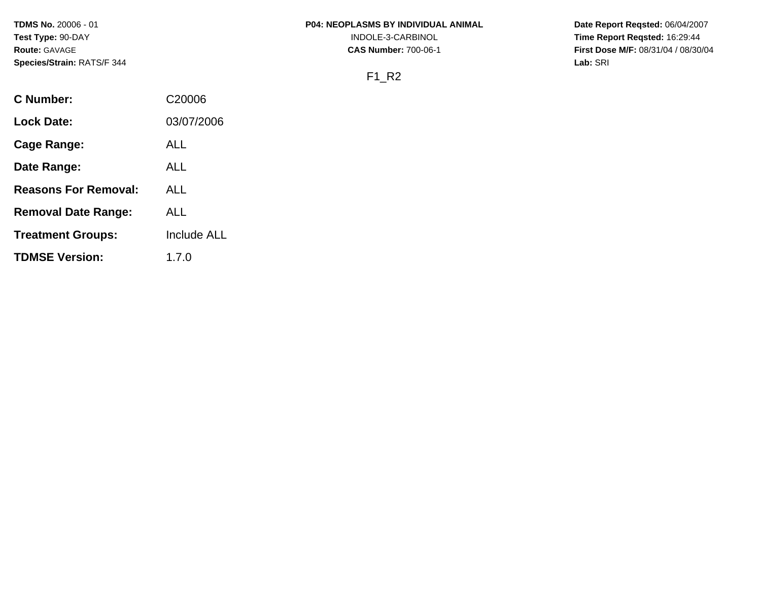**TDMS No.** 20006 - 01 **Test Type:** 90-DAY **Route:** GAVAGE **Species/Strain:** RATS/F 344

#### **P04: NEOPLASMS BY INDIVIDUAL ANIMAL**

INDOLE-3-CARBINOL

**CAS Number:** 700-06-1

**Date Report Reqsted:** 06/04/2007 **Time Report Reqsted:** 16:29:44 **First Dose M/F:** 08/31/04 / 08/30/04 **Lab:** SRI

# F1\_R2

| C Number:                   | C <sub>20006</sub> |
|-----------------------------|--------------------|
| Lock Date:                  | 03/07/2006         |
| Cage Range:                 | ALL                |
| Date Range:                 | ALL                |
| <b>Reasons For Removal:</b> | ALL.               |
| <b>Removal Date Range:</b>  | ALL                |
| <b>Treatment Groups:</b>    | Include ALL        |
| <b>TDMSE Version:</b>       | 1.7.0              |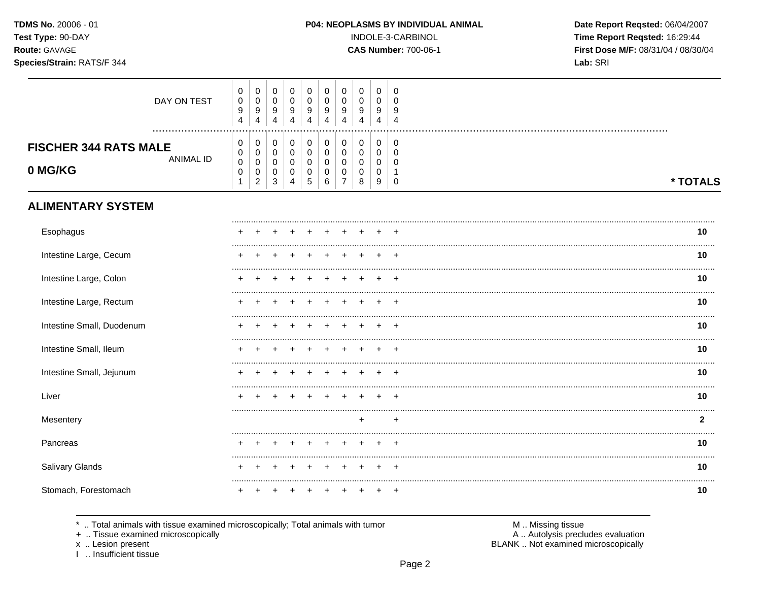TDMS No. 20006 - 01 Test Type: 90-DAY Route: GAVAGE

# Species/Strain: RATS/F 344

#### P04: NEOPLASMS BY INDIVIDUAL ANIMAL

INDOLE-3-CARBINOL

**CAS Number: 700-06-1** 

Date Report Reqsted: 06/04/2007 Time Report Reqsted: 16:29:44 First Dose M/F: 08/31/04 / 08/30/04 Lab: SRI

| DAY ON TEST                                                 | 0<br>$\pmb{0}$<br>$\boldsymbol{9}$<br>4                  | 0<br>$\mathsf 0$<br>9<br>4                                             | 0<br>$\pmb{0}$<br>9<br>4                | $\mathbf 0$<br>$\mathbf 0$<br>9<br>4                 | 0<br>$\pmb{0}$<br>9<br>4      | 0<br>0<br>9<br>4                       | 0<br>$\mathbf 0$<br>9<br>4                 | $\mathbf 0$<br>$\pmb{0}$<br>9<br>$\overline{4}$ | 0<br>0<br>9<br>4                          | 0<br>$\mathbf 0$<br>9<br>$\overline{4}$  |              |
|-------------------------------------------------------------|----------------------------------------------------------|------------------------------------------------------------------------|-----------------------------------------|------------------------------------------------------|-------------------------------|----------------------------------------|--------------------------------------------|-------------------------------------------------|-------------------------------------------|------------------------------------------|--------------|
| <b>FISCHER 344 RATS MALE</b><br><b>ANIMAL ID</b><br>0 MG/KG | 0<br>$\pmb{0}$<br>$\pmb{0}$<br>$\pmb{0}$<br>$\mathbf{1}$ | 0<br>$\mathsf{O}\xspace$<br>$\pmb{0}$<br>$\mathbf 0$<br>$\overline{c}$ | 0<br>$\pmb{0}$<br>$\mathbf 0$<br>0<br>3 | 0<br>$\pmb{0}$<br>$\mathbf 0$<br>0<br>$\overline{4}$ | 0<br>$\pmb{0}$<br>0<br>0<br>5 | 0<br>$\mathbf 0$<br>$\Omega$<br>0<br>6 | 0<br>$\pmb{0}$<br>0<br>0<br>$\overline{7}$ | $\pmb{0}$<br>$\pmb{0}$<br>0<br>$\pmb{0}$<br>8   | 0<br>$\mathbf 0$<br>$\mathbf 0$<br>0<br>9 | 0<br>$\mathbf 0$<br>$\Omega$<br>$\Omega$ | * TOTALS     |
| <b>ALIMENTARY SYSTEM</b>                                    |                                                          |                                                                        |                                         |                                                      |                               |                                        |                                            |                                                 |                                           |                                          |              |
| Esophagus                                                   |                                                          |                                                                        |                                         |                                                      |                               |                                        |                                            |                                                 |                                           |                                          | 10           |
| Intestine Large, Cecum                                      |                                                          |                                                                        |                                         |                                                      |                               |                                        |                                            |                                                 |                                           |                                          | 10           |
| Intestine Large, Colon                                      |                                                          |                                                                        |                                         |                                                      |                               |                                        |                                            |                                                 |                                           |                                          | 10           |
| Intestine Large, Rectum                                     |                                                          |                                                                        |                                         |                                                      |                               |                                        |                                            |                                                 |                                           |                                          | 10           |
| Intestine Small, Duodenum                                   |                                                          |                                                                        |                                         |                                                      |                               |                                        |                                            |                                                 |                                           | $\ddot{}$                                | 10           |
| Intestine Small, Ileum                                      |                                                          |                                                                        |                                         |                                                      |                               |                                        |                                            |                                                 |                                           |                                          | 10           |
| Intestine Small, Jejunum                                    |                                                          |                                                                        |                                         |                                                      |                               |                                        |                                            |                                                 |                                           | $\div$                                   | 10           |
| Liver                                                       |                                                          |                                                                        |                                         |                                                      |                               |                                        |                                            |                                                 |                                           |                                          | 10           |
| Mesentery                                                   |                                                          |                                                                        |                                         |                                                      |                               |                                        |                                            | $\ddot{}$                                       |                                           | $\ddot{}$                                | $\mathbf{2}$ |
| Pancreas                                                    |                                                          |                                                                        |                                         |                                                      |                               |                                        |                                            |                                                 |                                           |                                          | 10<br>       |
| Salivary Glands                                             |                                                          |                                                                        |                                         |                                                      |                               |                                        |                                            |                                                 |                                           |                                          | 10<br>       |
| Stomach, Forestomach                                        |                                                          |                                                                        |                                         |                                                      |                               |                                        |                                            |                                                 |                                           | $\ddot{}$                                | 10           |

\* .. Total animals with tissue examined microscopically; Total animals with tumor

+ .. Tissue examined microscopically

x .. Lesion present<br>I .. Insufficient tissue

M .. Missing tissue<br>A .. Autolysis precludes evaluation

BLANK .. Not examined microscopically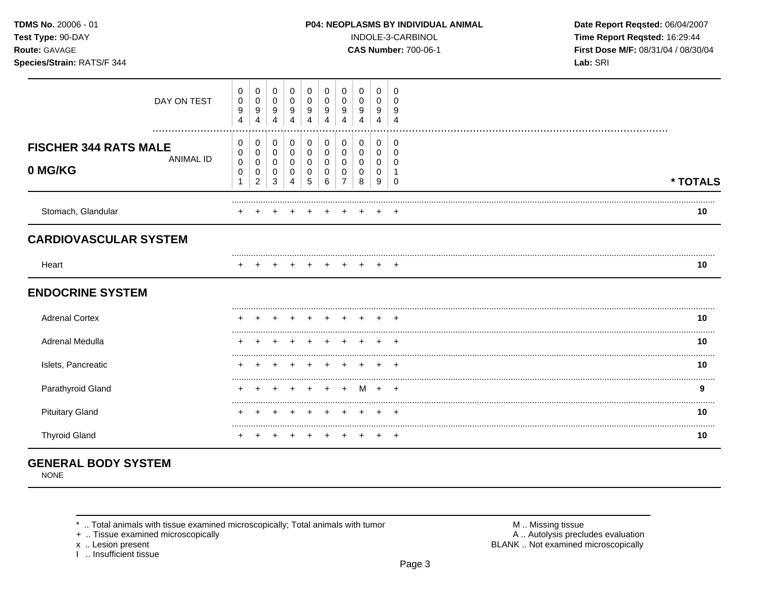| <b>TDMS No. 20006 - 01</b> |  |
|----------------------------|--|
| Test Type: 90-DAY          |  |
| <b>Route: GAVAGE</b>       |  |

Species/Strain: RATS/F 344

#### P04: NEOPLASMS BY INDIVIDUAL ANIMAL

INDOLE-3-CARBINOL

**CAS Number: 700-06-1** 

Date Report Reqsted: 06/04/2007 Time Report Reqsted: 16:29:44 First Dose M/F: 08/31/04 / 08/30/04 Lab: SRI

| DAY ON TEST                                                     | 0<br>0<br>9<br>4      | $\mathbf 0$<br>$\pmb{0}$<br>9<br>4 | $\mathbf 0$<br>$\mathbf 0$<br>9<br>4 | 0<br>$\mathbf 0$<br>9<br>$\overline{4}$ | 0<br>0<br>9<br>4      | 0<br>$\mathbf 0$<br>9<br>4    | 0<br>$\Omega$<br>9 | 0<br>0<br>9           | 0<br>0<br>9<br>Δ      | 0<br>n<br>9             |          |
|-----------------------------------------------------------------|-----------------------|------------------------------------|--------------------------------------|-----------------------------------------|-----------------------|-------------------------------|--------------------|-----------------------|-----------------------|-------------------------|----------|
| <br><b>FISCHER 344 RATS MALE</b><br><b>ANIMAL ID</b><br>0 MG/KG | 0<br>0<br>0<br>0<br>1 | 0<br>0<br>0<br>0<br>2              | 0<br>0<br>0<br>0<br>3                | 0<br>$\pmb{0}$<br>0<br>0<br>4           | 0<br>0<br>0<br>0<br>5 | 0<br>$\pmb{0}$<br>0<br>0<br>6 | 0<br>0<br>0        | 0<br>0<br>0<br>0<br>8 | 0<br>0<br>0<br>0<br>9 | 0<br>∩<br>∩<br>$\Omega$ | * TOTALS |
| Stomach, Glandular                                              |                       |                                    |                                      |                                         |                       |                               |                    |                       |                       |                         | 10       |
| <b>CARDIOVASCULAR SYSTEM</b>                                    |                       |                                    |                                      |                                         |                       |                               |                    |                       |                       |                         |          |
| Heart                                                           |                       |                                    |                                      |                                         |                       |                               |                    |                       |                       |                         | 10       |
| <b>ENDOCRINE SYSTEM</b>                                         |                       |                                    |                                      |                                         |                       |                               |                    |                       |                       |                         |          |
| <b>Adrenal Cortex</b>                                           |                       |                                    |                                      |                                         |                       |                               |                    |                       |                       | +                       | 10       |
| Adrenal Medulla                                                 |                       |                                    |                                      |                                         |                       |                               |                    |                       |                       |                         | 10       |
| Islets, Pancreatic                                              |                       |                                    |                                      |                                         |                       |                               |                    |                       |                       | $\pm$                   | 10       |
| Parathyroid Gland                                               |                       |                                    |                                      |                                         |                       |                               |                    | м                     |                       | $\pm$                   | 9        |
| <b>Pituitary Gland</b>                                          |                       |                                    |                                      |                                         |                       |                               |                    |                       |                       |                         | 10       |
| <b>Thyroid Gland</b>                                            |                       |                                    |                                      |                                         |                       |                               |                    |                       |                       | $+$                     | 10       |

# **GENERAL BODY SYSTEM**

**NONE** 

\* .. Total animals with tissue examined microscopically; Total animals with tumor

+ .. Tissue examined microscopically

x .. Lesion present<br>I .. Insufficient tissue

M .. Missing tissue<br>A .. Autolysis precludes evaluation BLANK .. Not examined microscopically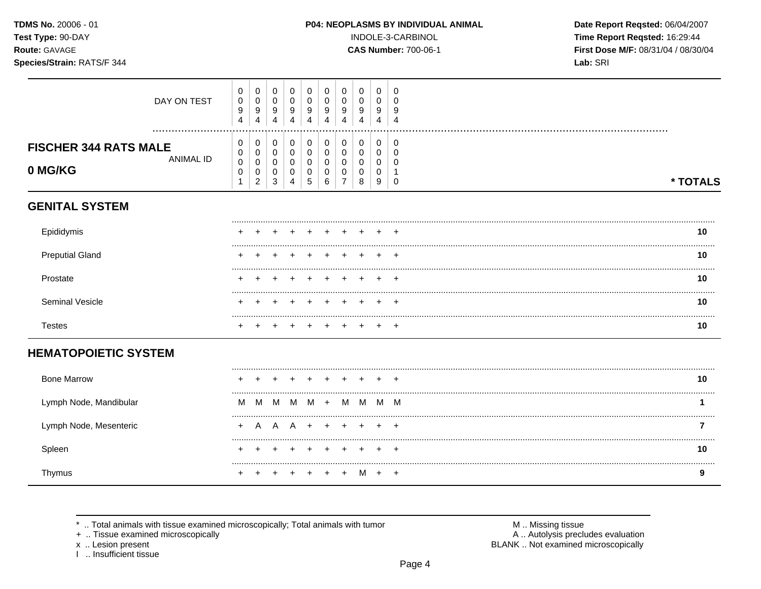TDMS No. 20006 - 01 Test Type: 90-DAY Route: GAVAGE

Species/Strain: RATS/F 344

#### P04: NEOPLASMS BY INDIVIDUAL ANIMAL

INDOLE-3-CARBINOL

**CAS Number: 700-06-1** 

Date Report Reqsted: 06/04/2007 Time Report Reqsted: 16:29:44 First Dose M/F: 08/31/04 / 08/30/04 Lab: SRI

| DAY ON TEST                                                 | 0<br>$\pmb{0}$<br>$\boldsymbol{9}$<br>4 | $\mathbf 0$<br>$\pmb{0}$<br>$\boldsymbol{9}$<br>$\overline{4}$ | 0<br>$\mathbf 0$<br>9<br>$\overline{4}$ | 0<br>$\mathbf 0$<br>9<br>4         | 0<br>$\mathbf 0$<br>9<br>4      | 0<br>$\mathbf 0$<br>9<br>4    | 0<br>$\mathbf 0$<br>9<br>4                   | 0<br>0<br>9<br>Δ      | 0<br>$\mathbf 0$<br>9<br>4 | 0<br>$\Omega$<br>9<br>4               |          |  |
|-------------------------------------------------------------|-----------------------------------------|----------------------------------------------------------------|-----------------------------------------|------------------------------------|---------------------------------|-------------------------------|----------------------------------------------|-----------------------|----------------------------|---------------------------------------|----------|--|
| <b>FISCHER 344 RATS MALE</b><br><b>ANIMAL ID</b><br>0 MG/KG | 0<br>0<br>$\pmb{0}$<br>$\mathbf 0$<br>1 | 0<br>$\pmb{0}$<br>$\pmb{0}$<br>$\pmb{0}$<br>$\overline{c}$     | 0<br>$\pmb{0}$<br>0<br>0<br>3           | 0<br>0<br>0<br>0<br>$\overline{4}$ | 0<br>$\mathbf 0$<br>0<br>0<br>5 | 0<br>$\pmb{0}$<br>0<br>0<br>6 | 0<br>$\mathbf 0$<br>0<br>0<br>$\overline{7}$ | 0<br>0<br>0<br>0<br>8 | 0<br>0<br>0<br>0<br>9      | 0<br>$\Omega$<br>$\Omega$<br>$\Omega$ | * TOTALS |  |
| <b>GENITAL SYSTEM</b>                                       |                                         |                                                                |                                         |                                    |                                 |                               |                                              |                       |                            |                                       |          |  |
| Epididymis                                                  |                                         |                                                                |                                         |                                    |                                 |                               |                                              |                       |                            |                                       | 10       |  |
| <b>Preputial Gland</b>                                      |                                         |                                                                |                                         |                                    |                                 |                               |                                              |                       |                            | -4                                    | 10       |  |
| Prostate                                                    |                                         |                                                                |                                         |                                    |                                 |                               |                                              |                       |                            |                                       | 10       |  |
| Seminal Vesicle                                             |                                         |                                                                |                                         |                                    |                                 |                               |                                              |                       |                            |                                       | 10       |  |
| <b>Testes</b>                                               |                                         |                                                                |                                         |                                    |                                 |                               |                                              |                       |                            |                                       | 10       |  |
| <b>HEMATOPOIETIC SYSTEM</b>                                 |                                         |                                                                |                                         |                                    |                                 |                               |                                              |                       |                            |                                       |          |  |
| <b>Bone Marrow</b>                                          |                                         |                                                                |                                         |                                    |                                 |                               |                                              |                       |                            |                                       | 10       |  |
| Lymph Node, Mandibular                                      | M                                       | M                                                              | M                                       | M                                  | M                               | $+$                           | M                                            | M                     |                            | M M                                   |          |  |
| Lymph Node, Mesenteric                                      | $\ddot{}$                               | A                                                              | <b>A</b>                                | <b>A</b>                           | $+$                             | $+$                           | $+$                                          |                       |                            | $\overline{1}$                        | 7        |  |
| Spleen                                                      |                                         |                                                                |                                         |                                    |                                 |                               |                                              |                       |                            |                                       | 10       |  |
| Thymus                                                      |                                         |                                                                |                                         |                                    |                                 |                               |                                              |                       |                            | $^{+}$                                | 9        |  |

\* .. Total animals with tissue examined microscopically; Total animals with tumor

+ .. Tissue examined microscopically

x .. Lesion present<br>I .. Insufficient tissue

M .. Missing tissue<br>A .. Autolysis precludes evaluation BLANK .. Not examined microscopically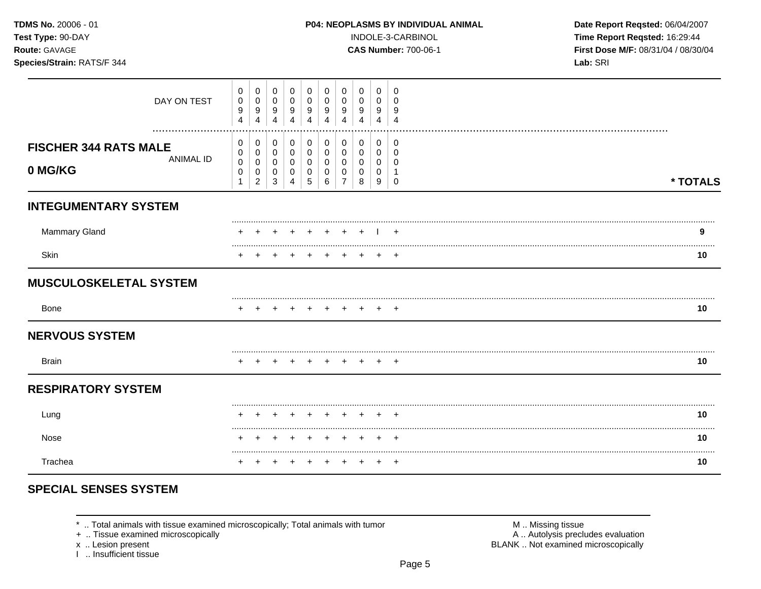| TDMS No. 20006 - 01<br>Test Type: 90-DAY<br>Route: GAVAGE<br>Species/Strain: RATS/F 344 |                                                    |                                                    |                                                  |                                                   |                                                   |                                                        |                                                        |                                                 |                                                     | P04: NEOPLASMS BY INDIVIDUAL ANIMAL<br>INDOLE-3-CARBINOL<br><b>CAS Number: 700-06-1</b> | Date Report Reqsted: 06/04/2007<br>Time Report Reqsted: 16:29:44<br>First Dose M/F: 08/31/04 / 08/30/04<br>Lab: SRI |          |  |  |  |
|-----------------------------------------------------------------------------------------|----------------------------------------------------|----------------------------------------------------|--------------------------------------------------|---------------------------------------------------|---------------------------------------------------|--------------------------------------------------------|--------------------------------------------------------|-------------------------------------------------|-----------------------------------------------------|-----------------------------------------------------------------------------------------|---------------------------------------------------------------------------------------------------------------------|----------|--|--|--|
| DAY ON TEST                                                                             | $\pmb{0}$<br>$\pmb{0}$<br>9<br>4                   | 0<br>$\pmb{0}$<br>9<br>$\overline{4}$              | $\mathbf 0$<br>$\pmb{0}$<br>9<br>$\overline{4}$  | $\mathbf 0$<br>$\mathbf 0$<br>9<br>$\overline{4}$ | 0<br>$\mathbf 0$<br>9<br>4                        | 0<br>$\mathbf 0$<br>$\boldsymbol{9}$<br>$\overline{4}$ | 0<br>$\mathbf 0$<br>9<br>4                             | 0<br>0<br>9<br>4                                | $\mathbf 0$<br>0<br>9<br>4                          | $\mathbf 0$<br>$\Omega$<br>9<br>$\overline{4}$                                          |                                                                                                                     |          |  |  |  |
| <b>FISCHER 344 RATS MALE</b><br><b>ANIMAL ID</b><br>0 MG/KG                             | 0<br>$\mathbf 0$<br>$\pmb{0}$<br>0<br>$\mathbf{1}$ | 0<br>0<br>$\pmb{0}$<br>$\pmb{0}$<br>$\overline{2}$ | 0<br>$\mathbf 0$<br>0<br>$\,0\,$<br>$\mathbf{3}$ | 0<br>$\mathbf 0$<br>0<br>0<br>4                   | 0<br>$\mathbf 0$<br>$\mathbf 0$<br>$\pmb{0}$<br>5 | 0<br>$\mathsf{O}\xspace$<br>0<br>$\pmb{0}$<br>$\,6\,$  | 0<br>$\mathbf 0$<br>$\mathbf 0$<br>0<br>$\overline{7}$ | 0<br>$\mathbf 0$<br>$\mathbf 0$<br>0<br>$\,8\,$ | $\mathbf 0$<br>$\mathbf 0$<br>0<br>$\mathbf 0$<br>9 | 0<br>$\mathbf 0$<br>0<br>$\mathbf{1}$<br>$\mathbf 0$                                    |                                                                                                                     | * TOTALS |  |  |  |
| <b>INTEGUMENTARY SYSTEM</b>                                                             |                                                    |                                                    |                                                  |                                                   |                                                   |                                                        |                                                        |                                                 |                                                     |                                                                                         |                                                                                                                     |          |  |  |  |
| <b>Mammary Gland</b>                                                                    |                                                    |                                                    |                                                  |                                                   |                                                   |                                                        |                                                        |                                                 |                                                     |                                                                                         |                                                                                                                     | 9        |  |  |  |
| Skin                                                                                    |                                                    |                                                    |                                                  |                                                   |                                                   |                                                        |                                                        |                                                 |                                                     |                                                                                         |                                                                                                                     | 10       |  |  |  |
| <b>MUSCULOSKELETAL SYSTEM</b>                                                           |                                                    |                                                    |                                                  |                                                   |                                                   |                                                        |                                                        |                                                 |                                                     |                                                                                         |                                                                                                                     |          |  |  |  |
| Bone                                                                                    |                                                    |                                                    |                                                  |                                                   |                                                   |                                                        |                                                        |                                                 | $+$                                                 | $+$                                                                                     |                                                                                                                     | 10       |  |  |  |
| <b>NERVOUS SYSTEM</b>                                                                   |                                                    |                                                    |                                                  |                                                   |                                                   |                                                        |                                                        |                                                 |                                                     |                                                                                         |                                                                                                                     |          |  |  |  |
| <b>Brain</b>                                                                            |                                                    |                                                    |                                                  |                                                   |                                                   |                                                        |                                                        |                                                 |                                                     | $\div$                                                                                  |                                                                                                                     | 10       |  |  |  |
| <b>RESPIRATORY SYSTEM</b>                                                               |                                                    |                                                    |                                                  |                                                   |                                                   |                                                        |                                                        |                                                 |                                                     |                                                                                         |                                                                                                                     |          |  |  |  |
| Lung                                                                                    |                                                    |                                                    |                                                  |                                                   |                                                   | $\div$                                                 | $\pm$                                                  |                                                 |                                                     |                                                                                         |                                                                                                                     | 10       |  |  |  |
| Nose                                                                                    |                                                    |                                                    |                                                  |                                                   |                                                   |                                                        | $\overline{+}$                                         | $\overline{+}$                                  |                                                     |                                                                                         |                                                                                                                     | 10       |  |  |  |
| Trachea                                                                                 |                                                    |                                                    |                                                  |                                                   |                                                   |                                                        |                                                        |                                                 | $+$                                                 |                                                                                         |                                                                                                                     | 10       |  |  |  |

# **SPECIAL SENSES SYSTEM**

\* .. Total animals with tissue examined microscopically; Total animals with tumor + .. Tissue examined microscopically

x .. Lesion present<br>I .. Insufficient tissue

M .. Missing tissue<br>A .. Autolysis precludes evaluation<br>BLANK .. Not examined microscopically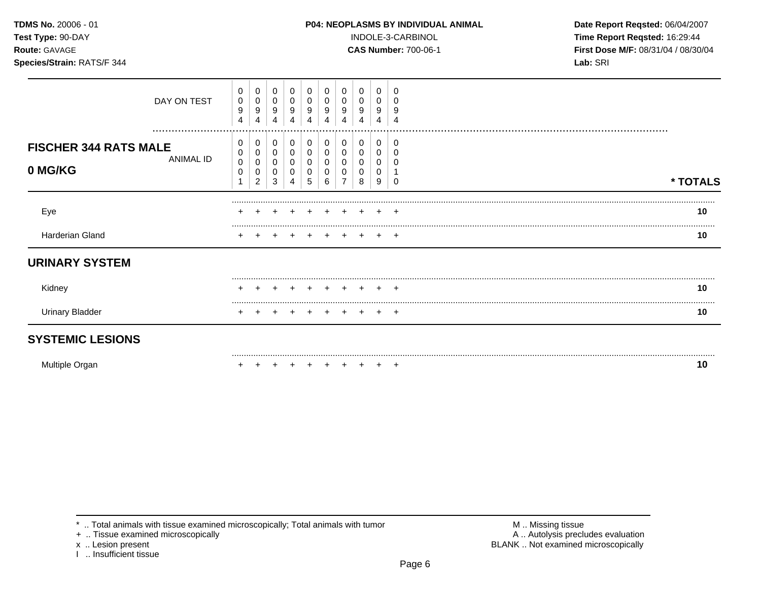#### **TDMS No.** 20006 - 01 **P04: NEOPLASMS BY INDIVIDUAL ANIMAL** Date Report Reqsted: 06/04/2007

**Test Type:** 90-DAY INDOLE-3-CARBINOL **Time Report Reqsted:** 16:29:44 **Route:** GAVAGE **CAS Number:** 700-06-1 **First Dose M/F:** 08/31/04 / 08/30/04 **Species/Strain:** RATS/F 344 **Lab:** SRI

| DAY ON TEST                      | 0<br>0<br>9<br>4 | 0<br>0<br>9<br>4         | 0<br>0<br>9<br>4 | 0<br>0<br>9<br>4 | 0<br>9<br>4 | 4 | 9<br>4 | 0<br>0<br>9<br>4 | 0<br>0<br>9<br>4 |          |          |
|----------------------------------|------------------|--------------------------|------------------|------------------|-------------|---|--------|------------------|------------------|----------|----------|
| <br><b>FISCHER 344 RATS MALE</b> | 0<br>0           | 0<br>0                   | 0                | 0<br>0           | 0           |   |        | 0<br>0           | 0<br>0           | $\Omega$ |          |
| ANIMAL ID<br>0 MG/KG             | 0<br>0           | 0<br>0<br>$\overline{c}$ | 0<br>3           | 0<br>0<br>4      | 0<br>5      | 6 |        | 0<br>0<br>8      | 0<br>0<br>9      |          | * TOTALS |
| Eye                              | ÷                |                          |                  |                  |             |   |        |                  |                  | +        | 10       |
| Harderian Gland                  |                  |                          |                  |                  |             |   |        |                  |                  |          | 10       |
| <b>URINARY SYSTEM</b>            |                  |                          |                  |                  |             |   |        |                  |                  |          |          |
| Kidney                           |                  |                          |                  |                  |             |   |        |                  |                  |          | 10       |
| <b>Urinary Bladder</b>           |                  |                          |                  |                  |             |   |        |                  |                  |          | 10       |
| <b>SYSTEMIC LESIONS</b>          |                  |                          |                  |                  |             |   |        |                  |                  |          |          |

Multiple Organ + + + + + + + + + + **10** 

\* .. Total animals with tissue examined microscopically; Total animals with tumor  $\blacksquare$  M .. Missing tissue<br>
+ .. Tissue examined microscopically

I .. Insufficient tissue

A .. Autolysis precludes evaluation x .. Lesion present **BLANK** .. Not examined microscopically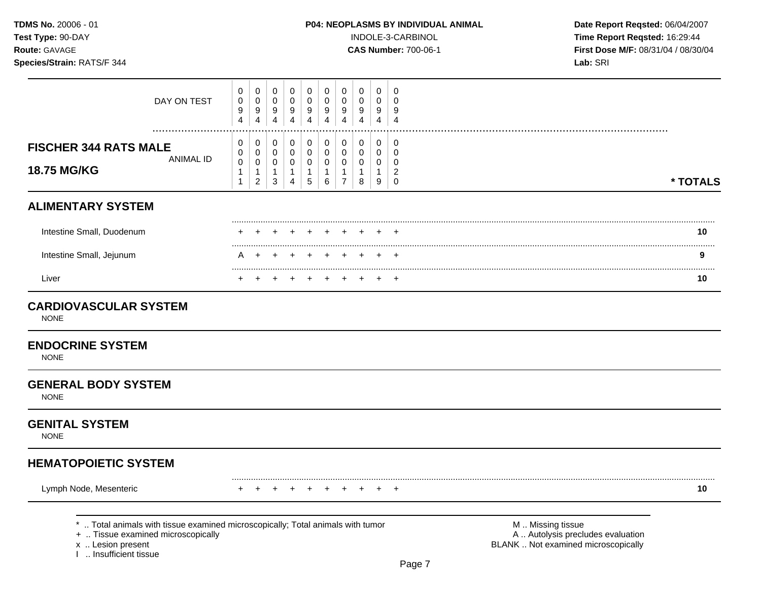## **TDMS No.** 20006 - 01 **P04: NEOPLASMS BY INDIVIDUAL ANIMAL** Date Report Reqsted: 06/04/2007

**Test Type:** 90-DAY INDOLE-3-CARBINOL **Time Report Reqsted:** 16:29:44 **Route:** GAVAGE **CAS Number:** 700-06-1 **First Dose M/F:** 08/31/04 / 08/30/04

| DAY ON TEST                                                                                                                                                          | 0<br>$\pmb{0}$<br>9<br>4                              | 0<br>$\pmb{0}$<br>9<br>4                                        | 0<br>$\pmb{0}$<br>9<br>$\overline{4}$                           | 0<br>$\mathbf 0$<br>9<br>$\overline{4}$            | 0<br>$\mathbf 0$<br>9<br>4                                    | 0<br>$\mathbf 0$<br>9<br>4       | 0<br>0<br>9<br>$\overline{4}$                                     | 0<br>$\mathbf 0$<br>9<br>$\overline{4}$                        | 0<br>0<br>9<br>$\overline{4}$                        | 0<br>$\mathbf 0$<br>9<br>$\overline{4}$                          |                                                                                               |          |
|----------------------------------------------------------------------------------------------------------------------------------------------------------------------|-------------------------------------------------------|-----------------------------------------------------------------|-----------------------------------------------------------------|----------------------------------------------------|---------------------------------------------------------------|----------------------------------|-------------------------------------------------------------------|----------------------------------------------------------------|------------------------------------------------------|------------------------------------------------------------------|-----------------------------------------------------------------------------------------------|----------|
| <br><b>FISCHER 344 RATS MALE</b><br><b>ANIMAL ID</b><br>18.75 MG/KG                                                                                                  | 0<br>0<br>$\mathbf 0$<br>$\mathbf{1}$<br>$\mathbf{1}$ | 0<br>$\mathbf 0$<br>$\pmb{0}$<br>$\mathbf{1}$<br>$\overline{c}$ | 0<br>$\mathbf 0$<br>$\mathbf 0$<br>$\mathbf{1}$<br>$\mathbf{3}$ | 0<br>$\mathbf 0$<br>$\pmb{0}$<br>$\mathbf{1}$<br>4 | 0<br>$\mathbf 0$<br>$\mathbf 0$<br>$\mathbf{1}$<br>$\sqrt{5}$ | 0<br>0<br>0<br>$\mathbf{1}$<br>6 | 0<br>$\mathbf 0$<br>$\mathbf 0$<br>$\mathbf{1}$<br>$\overline{7}$ | $\mathbf 0$<br>$\mathbf 0$<br>$\mathbf 0$<br>$\mathbf{1}$<br>8 | 0<br>$\mathbf 0$<br>$\mathbf 0$<br>$\mathbf{1}$<br>9 | 0<br>$\mathbf 0$<br>$\mathbf 0$<br>$\overline{c}$<br>$\mathbf 0$ |                                                                                               | * TOTALS |
| <b>ALIMENTARY SYSTEM</b>                                                                                                                                             |                                                       |                                                                 |                                                                 |                                                    |                                                               |                                  |                                                                   |                                                                |                                                      |                                                                  |                                                                                               |          |
| Intestine Small, Duodenum                                                                                                                                            |                                                       |                                                                 |                                                                 |                                                    |                                                               |                                  |                                                                   |                                                                |                                                      |                                                                  |                                                                                               | 10       |
| Intestine Small, Jejunum                                                                                                                                             | А                                                     |                                                                 |                                                                 |                                                    |                                                               |                                  |                                                                   |                                                                |                                                      |                                                                  |                                                                                               | 9        |
| Liver                                                                                                                                                                |                                                       |                                                                 |                                                                 |                                                    |                                                               |                                  |                                                                   |                                                                |                                                      | $\overline{1}$                                                   |                                                                                               | <br>10   |
| <b>CARDIOVASCULAR SYSTEM</b><br><b>NONE</b>                                                                                                                          |                                                       |                                                                 |                                                                 |                                                    |                                                               |                                  |                                                                   |                                                                |                                                      |                                                                  |                                                                                               |          |
| <b>ENDOCRINE SYSTEM</b><br><b>NONE</b>                                                                                                                               |                                                       |                                                                 |                                                                 |                                                    |                                                               |                                  |                                                                   |                                                                |                                                      |                                                                  |                                                                                               |          |
| <b>GENERAL BODY SYSTEM</b><br><b>NONE</b>                                                                                                                            |                                                       |                                                                 |                                                                 |                                                    |                                                               |                                  |                                                                   |                                                                |                                                      |                                                                  |                                                                                               |          |
| <b>GENITAL SYSTEM</b><br><b>NONE</b>                                                                                                                                 |                                                       |                                                                 |                                                                 |                                                    |                                                               |                                  |                                                                   |                                                                |                                                      |                                                                  |                                                                                               |          |
| <b>HEMATOPOIETIC SYSTEM</b>                                                                                                                                          |                                                       |                                                                 |                                                                 |                                                    |                                                               |                                  |                                                                   |                                                                |                                                      |                                                                  |                                                                                               |          |
| Lymph Node, Mesenteric                                                                                                                                               | $^+$                                                  | $\div$                                                          | $\overline{+}$                                                  | $\ddot{}$                                          | $+$                                                           | $+$                              | $+$                                                               | $^{+}$                                                         | $+$                                                  | $+$                                                              |                                                                                               | 10       |
| *  Total animals with tissue examined microscopically; Total animals with tumor<br>+  Tissue examined microscopically<br>x  Lesion present<br>I  Insufficient tissue |                                                       |                                                                 |                                                                 |                                                    |                                                               |                                  |                                                                   |                                                                |                                                      | $\sim$                                                           | M  Missing tissue<br>A  Autolysis precludes evaluation<br>BLANK  Not examined microscopically |          |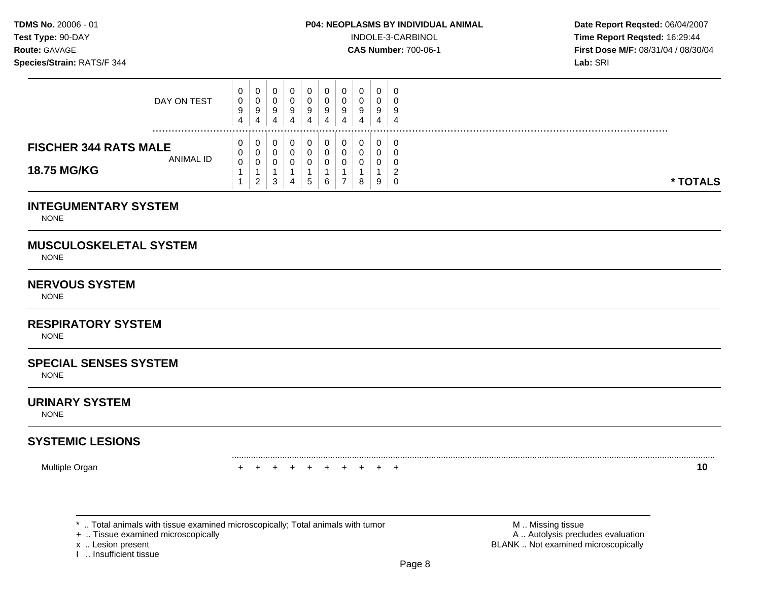**Test Type:** 90-DAY INDOLE-3-CARBINOL **Time Report Reqsted:** 16:29:44 **Route:** GAVAGE **CAS Number:** 700-06-1 **First Dose M/F:** 08/31/04 / 08/30/04

| DAY ON TEST                                                     | 0<br>0<br>9<br>$\overline{4}$                       | $\mathbf 0$<br>0<br>$\boldsymbol{9}$<br>4                       | $\overline{0}$<br>$\mathbf 0$<br>9<br>4                            | 0<br>$\mathbf 0$<br>$\boldsymbol{9}$<br>$\overline{4}$            | 0<br>$\mathbf 0$<br>$\boldsymbol{9}$<br>$\overline{4}$        | $\mathbf 0$<br>$\Omega$<br>9<br>4                    | 0<br>$\Omega$<br>9<br>$\overline{4}$                    | 0<br>$\mathbf 0$<br>9<br>4                | $\mathbf 0$<br>$\Omega$<br>9<br>4                      | 0<br>$\Omega$<br>9<br>$\overline{4}$                       |          |
|-----------------------------------------------------------------|-----------------------------------------------------|-----------------------------------------------------------------|--------------------------------------------------------------------|-------------------------------------------------------------------|---------------------------------------------------------------|------------------------------------------------------|---------------------------------------------------------|-------------------------------------------|--------------------------------------------------------|------------------------------------------------------------|----------|
| <b>FISCHER 344 RATS MALE</b><br><b>ANIMAL ID</b><br>18.75 MG/KG | 0<br>0<br>$\pmb{0}$<br>$\mathbf{1}$<br>$\mathbf{1}$ | 0<br>$\mathbf 0$<br>$\pmb{0}$<br>$\mathbf{1}$<br>$\overline{2}$ | 0<br>$\mathbf 0$<br>$\overline{0}$<br>$\mathbf{1}$<br>$\mathbf{3}$ | 0<br>$\mathbf 0$<br>$\mathbf 0$<br>$\mathbf{1}$<br>$\overline{4}$ | 0<br>$\mathbf 0$<br>$\mathbf 0$<br>$\mathbf{1}$<br>$\sqrt{5}$ | 0<br>$\mathbf 0$<br>$\mathbf 0$<br>$\mathbf{1}$<br>6 | 0<br>$\mathbf 0$<br>0<br>$\mathbf{1}$<br>$\overline{7}$ | 0<br>$\mathbf 0$<br>$\mathbf 0$<br>1<br>8 | 0<br>$\mathbf 0$<br>$\overline{0}$<br>$\mathbf 1$<br>9 | 0<br>$\Omega$<br>$\mathbf 0$<br>$\overline{c}$<br>$\Omega$ | * TOTALS |
| <b>INTEGUMENTARY SYSTEM</b><br><b>NONE</b>                      |                                                     |                                                                 |                                                                    |                                                                   |                                                               |                                                      |                                                         |                                           |                                                        |                                                            |          |
| <b>MUSCULOSKELETAL SYSTEM</b><br><b>NONE</b>                    |                                                     |                                                                 |                                                                    |                                                                   |                                                               |                                                      |                                                         |                                           |                                                        |                                                            |          |
| <b>NERVOUS SYSTEM</b><br><b>NONE</b>                            |                                                     |                                                                 |                                                                    |                                                                   |                                                               |                                                      |                                                         |                                           |                                                        |                                                            |          |
| <b>RESPIRATORY SYSTEM</b><br><b>NONE</b>                        |                                                     |                                                                 |                                                                    |                                                                   |                                                               |                                                      |                                                         |                                           |                                                        |                                                            |          |
| <b>SPECIAL SENSES SYSTEM</b><br><b>NONE</b>                     |                                                     |                                                                 |                                                                    |                                                                   |                                                               |                                                      |                                                         |                                           |                                                        |                                                            |          |
| <b>URINARY SYSTEM</b><br><b>NONE</b>                            |                                                     |                                                                 |                                                                    |                                                                   |                                                               |                                                      |                                                         |                                           |                                                        |                                                            |          |
| <b>SYSTEMIC LESIONS</b>                                         |                                                     |                                                                 |                                                                    |                                                                   |                                                               |                                                      |                                                         |                                           |                                                        |                                                            |          |
| Multiple Organ                                                  | $+$                                                 | $+$                                                             | $+$                                                                | $+$                                                               | $+$                                                           | $+$                                                  | $+$                                                     | $\pm$                                     | $+$                                                    | $+$                                                        | 10       |
|                                                                 |                                                     |                                                                 |                                                                    |                                                                   |                                                               |                                                      |                                                         |                                           |                                                        |                                                            |          |

\* .. Total animals with tissue examined microscopically; Total animals with tumor  $\blacksquare$  M .. Missing tissue<br>
+ .. Tissue examined microscopically

x .. Lesion present<br>I .. Insufficient tissue

A .. Autolysis precludes evaluation BLANK .. Not examined microscopically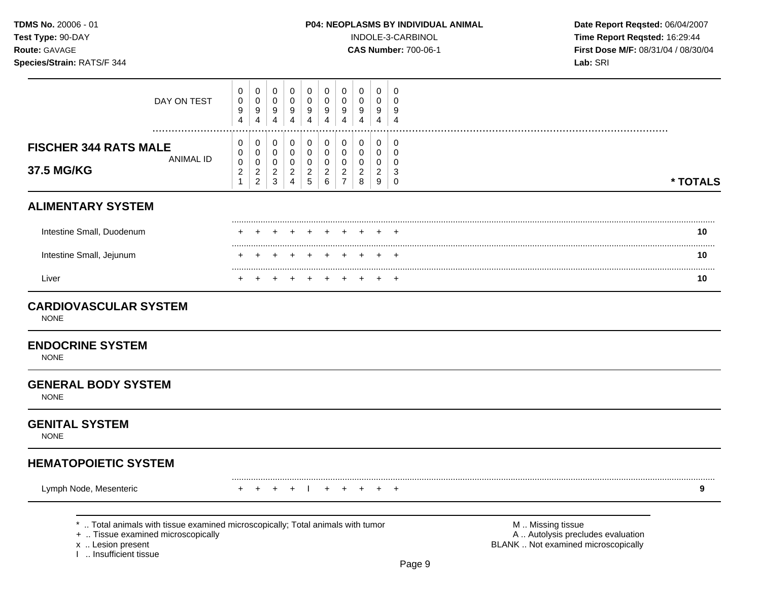**Test Type:** 90-DAY INDOLE-3-CARBINOL **Time Report Reqsted:** 16:29:44 **Route:** GAVAGE **CAS Number:** 700-06-1 **First Dose M/F:** 08/31/04 / 08/30/04

| DAY ON TEST                                                                                                                                                          | 0<br>$\boldsymbol{0}$<br>$\boldsymbol{9}$<br>$\overline{4}$ | $\pmb{0}$<br>$\pmb{0}$<br>$\boldsymbol{9}$<br>4 | 0<br>$\mathbf 0$<br>$\boldsymbol{9}$<br>$\overline{\mathbf{4}}$ | $\pmb{0}$<br>$\mathsf{O}\xspace$<br>$\boldsymbol{9}$<br>$\overline{4}$ | $\mathbf 0$<br>$\mathbf 0$<br>$\boldsymbol{9}$<br>4 | 0<br>$\pmb{0}$<br>9<br>$\overline{\mathbf{4}}$ | 0<br>0<br>9<br>$\overline{4}$         | $\mathbf 0$<br>$\pmb{0}$<br>$\boldsymbol{9}$<br>4 | $\mathbf 0$<br>$\mathsf 0$<br>$\boldsymbol{9}$<br>$\overline{4}$ | 0<br>$\mathbf 0$<br>9<br>$\overline{4}$  |                                                                                               |          |
|----------------------------------------------------------------------------------------------------------------------------------------------------------------------|-------------------------------------------------------------|-------------------------------------------------|-----------------------------------------------------------------|------------------------------------------------------------------------|-----------------------------------------------------|------------------------------------------------|---------------------------------------|---------------------------------------------------|------------------------------------------------------------------|------------------------------------------|-----------------------------------------------------------------------------------------------|----------|
| <b>FISCHER 344 RATS MALE</b>                                                                                                                                         | 0<br>0                                                      | 0<br>$\pmb{0}$                                  | 0<br>$\mathbf 0$                                                | 0<br>$\mathbf 0$                                                       | 0<br>$\mathbf 0$                                    | 0<br>0                                         | 0<br>0                                | 0<br>$\mathbf 0$                                  | 0<br>$\mathbf 0$                                                 | 0<br>$\mathbf 0$                         |                                                                                               |          |
| <b>ANIMAL ID</b><br>37.5 MG/KG                                                                                                                                       | $\pmb{0}$<br>$\overline{c}$<br>$\mathbf{1}$                 | $\pmb{0}$<br>$\sqrt{2}$<br>$\boldsymbol{2}$     | $\mathbf 0$<br>$\overline{2}$<br>$\sqrt{3}$                     | $\mathbf 0$<br>$\overline{c}$<br>$\overline{4}$                        | $\mathbf 0$<br>$\sqrt{2}$<br>$\sqrt{5}$             | 0<br>$\overline{a}$<br>6                       | 0<br>$\overline{2}$<br>$\overline{7}$ | $\mathbf 0$<br>$\overline{c}$<br>8                | $\mathbf 0$<br>$\overline{2}$<br>$\boldsymbol{9}$                | $\mathbf 0$<br>$\sqrt{3}$<br>$\mathbf 0$ |                                                                                               | * TOTALS |
| <b>ALIMENTARY SYSTEM</b>                                                                                                                                             |                                                             |                                                 |                                                                 |                                                                        |                                                     |                                                |                                       |                                                   |                                                                  |                                          |                                                                                               |          |
| Intestine Small, Duodenum                                                                                                                                            |                                                             |                                                 |                                                                 |                                                                        |                                                     |                                                |                                       |                                                   |                                                                  |                                          |                                                                                               | 10       |
| Intestine Small, Jejunum                                                                                                                                             |                                                             |                                                 |                                                                 |                                                                        |                                                     |                                                |                                       |                                                   |                                                                  |                                          |                                                                                               | 10       |
| Liver                                                                                                                                                                |                                                             |                                                 |                                                                 |                                                                        |                                                     |                                                |                                       |                                                   |                                                                  | $\overline{1}$                           |                                                                                               | 10       |
| <b>CARDIOVASCULAR SYSTEM</b><br><b>NONE</b>                                                                                                                          |                                                             |                                                 |                                                                 |                                                                        |                                                     |                                                |                                       |                                                   |                                                                  |                                          |                                                                                               |          |
| <b>ENDOCRINE SYSTEM</b><br><b>NONE</b>                                                                                                                               |                                                             |                                                 |                                                                 |                                                                        |                                                     |                                                |                                       |                                                   |                                                                  |                                          |                                                                                               |          |
| <b>GENERAL BODY SYSTEM</b><br><b>NONE</b>                                                                                                                            |                                                             |                                                 |                                                                 |                                                                        |                                                     |                                                |                                       |                                                   |                                                                  |                                          |                                                                                               |          |
| <b>GENITAL SYSTEM</b><br><b>NONE</b>                                                                                                                                 |                                                             |                                                 |                                                                 |                                                                        |                                                     |                                                |                                       |                                                   |                                                                  |                                          |                                                                                               |          |
| <b>HEMATOPOIETIC SYSTEM</b>                                                                                                                                          |                                                             |                                                 |                                                                 |                                                                        |                                                     |                                                |                                       |                                                   |                                                                  |                                          |                                                                                               |          |
| Lymph Node, Mesenteric                                                                                                                                               |                                                             |                                                 | $\ddot{}$                                                       | $\ddot{}$                                                              |                                                     | $\ddot{}$                                      | $\pm$                                 |                                                   | $\ddot{}$                                                        | $^{+}$                                   |                                                                                               | 9        |
| *  Total animals with tissue examined microscopically; Total animals with tumor<br>+  Tissue examined microscopically<br>x  Lesion present<br>I  Insufficient tissue |                                                             |                                                 |                                                                 |                                                                        |                                                     |                                                |                                       |                                                   |                                                                  |                                          | M  Missing tissue<br>A  Autolysis precludes evaluation<br>BLANK  Not examined microscopically |          |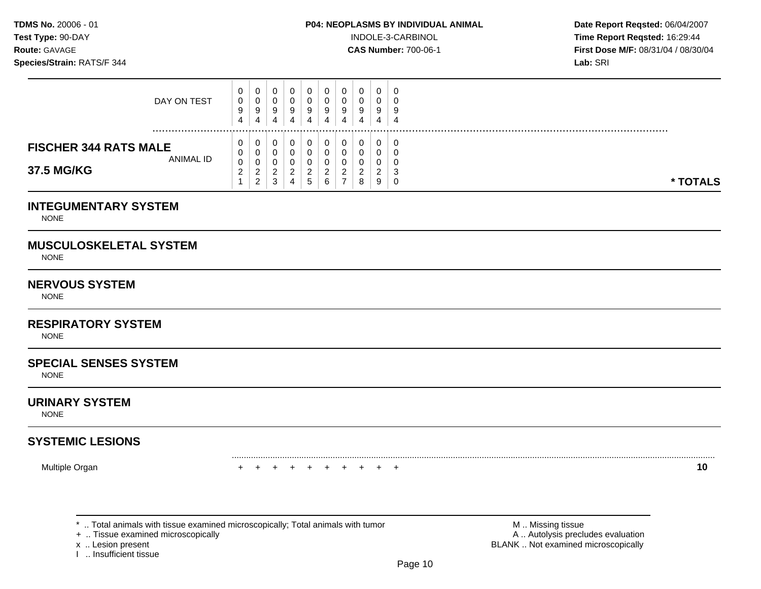**Test Type:**  $90-DAY$  **INDOLE-3-CARBINOL Time Report Reqsted: 16:29:44 Route:** GAVAGE **CAS Number:** 700-06-1 **First Dose M/F:** 08/31/04 / 08/30/04

| DAY ON TEST                                                    | 0<br>0<br>9<br>4             | 0<br>U<br>9<br>4                                   | 4 | 0<br>9<br>4 | 0<br>υ<br>9<br>4                 | 0<br>9<br>4                | 9<br>4 | 9<br>4 | 0<br>U<br>9<br>4                  | - 0<br>J.<br>-9<br>4        |  |  |  |  |          |  |
|----------------------------------------------------------------|------------------------------|----------------------------------------------------|---|-------------|----------------------------------|----------------------------|--------|--------|-----------------------------------|-----------------------------|--|--|--|--|----------|--|
| <b>FISCHER 344 RATS MALE</b><br><b>ANIMAL ID</b><br>37.5 MG/KG | 0<br>0<br>0<br>ົ<br><u>L</u> | U<br>0<br>U<br><sup>o</sup><br>∼<br>$\overline{2}$ | đ | 0<br>⌒<br>4 | U<br>υ<br>υ<br>$\sim$<br>∼<br>C. | υ<br>u<br>u<br>◠<br>ے<br>6 | -      | ◠<br>8 | 0<br>U<br>U<br>ົ<br><u>_</u><br>9 | -0<br>ັບ<br>ັບ<br>-3<br>– ∪ |  |  |  |  | * TOTALS |  |

# **INTEGUMENTARY SYSTEM**

NONE

# **MUSCULOSKELETAL SYSTEM**

NONE

# **NERVOUS SYSTEM**

**NONE** 

# **RESPIRATORY SYSTEM**

NONE

# **SPECIAL SENSES SYSTEM**

NONE

#### **URINARY SYSTEM**

NONE

# **SYSTEMIC LESIONS**

Multiple Organ + + + + + + + + + + **10** 

+ .. Tissue examined microscopically

I .. Insufficient tissue

\* .. Total animals with tissue examined microscopically; Total animals with tumor **M** . Missing tissue M .. Missing tissue<br>  $\blacksquare$  . Tissue examined microscopically<br>  $\blacksquare$  . Autolysis precludes evaluation x .. Lesion present **BLANK** .. Not examined microscopically

.........................................................................................................................................................................................................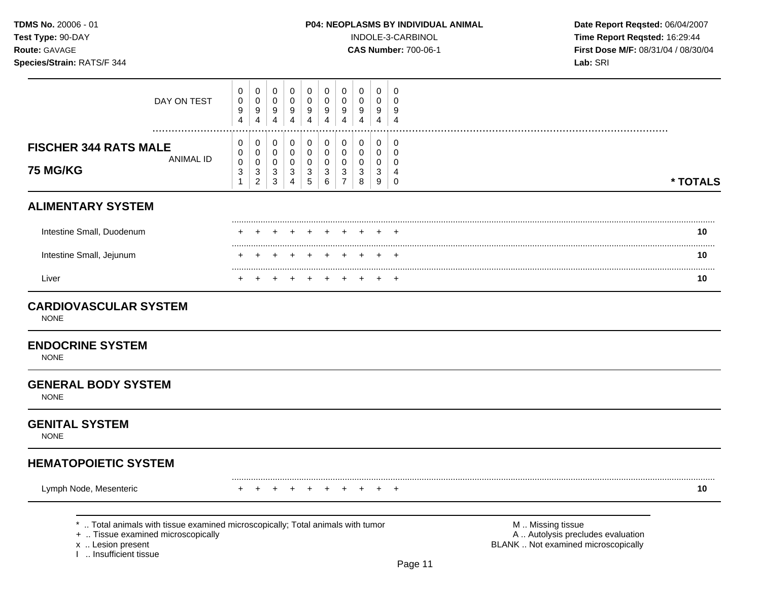**Test Type:** 90-DAY INDOLE-3-CARBINOL **Time Report Reqsted:** 16:29:44 **Route:** GAVAGE **CAS Number:** 700-06-1 **First Dose M/F:** 08/31/04 / 08/30/04

| DAY ON TEST<br>.                                                                                                                                                     | 0<br>0<br>9<br>$\overline{4}$              | 0<br>$\boldsymbol{0}$<br>9<br>$\overline{\mathbf{4}}$                             | 0<br>$\mathbf 0$<br>9<br>$\overline{4}$     | 0<br>$\boldsymbol{0}$<br>9<br>$\overline{4}$                                       | 0<br>$\pmb{0}$<br>9<br>$\overline{4}$                                          | 0<br>0<br>9<br>$\overline{4}$             | 0<br>0<br>9<br>$\overline{4}$                                  | 0<br>$\pmb{0}$<br>9<br>$\overline{4}$                           | 0<br>0<br>9<br>$\overline{4}$                       | 0<br>0<br>9<br>$\overline{4}$                                    |                                                                                               |          |
|----------------------------------------------------------------------------------------------------------------------------------------------------------------------|--------------------------------------------|-----------------------------------------------------------------------------------|---------------------------------------------|------------------------------------------------------------------------------------|--------------------------------------------------------------------------------|-------------------------------------------|----------------------------------------------------------------|-----------------------------------------------------------------|-----------------------------------------------------|------------------------------------------------------------------|-----------------------------------------------------------------------------------------------|----------|
| <b>FISCHER 344 RATS MALE</b><br><b>ANIMAL ID</b><br>75 MG/KG                                                                                                         | 0<br>0<br>$\mathbf 0$<br>3<br>$\mathbf{1}$ | $\pmb{0}$<br>$\mathsf 0$<br>$\pmb{0}$<br>$\ensuremath{\mathsf{3}}$<br>$\mathbf 2$ | 0<br>0<br>0<br>$\mathbf{3}$<br>$\mathbf{3}$ | $\pmb{0}$<br>$\mathsf{O}$<br>$\mathsf{O}\xspace$<br>$\mathbf{3}$<br>$\overline{4}$ | $\pmb{0}$<br>$\pmb{0}$<br>$\pmb{0}$<br>$\ensuremath{\mathsf{3}}$<br>$\sqrt{5}$ | 0<br>$\mathbf 0$<br>$\mathbf 0$<br>3<br>6 | $\pmb{0}$<br>$\mathbf 0$<br>$\mathbf 0$<br>3<br>$\overline{7}$ | $\pmb{0}$<br>$\mathbf 0$<br>$\mathbf 0$<br>$\sqrt{3}$<br>$\bf8$ | $\mathbf 0$<br>$\mathbf 0$<br>$\mathbf 0$<br>3<br>9 | 0<br>$\mathbf 0$<br>$\mathbf 0$<br>$\overline{4}$<br>$\mathbf 0$ |                                                                                               | * TOTALS |
| <b>ALIMENTARY SYSTEM</b>                                                                                                                                             |                                            |                                                                                   |                                             |                                                                                    |                                                                                |                                           |                                                                |                                                                 |                                                     |                                                                  |                                                                                               |          |
| Intestine Small, Duodenum                                                                                                                                            |                                            |                                                                                   |                                             | $\div$                                                                             | $\div$                                                                         | $\div$                                    | ÷                                                              |                                                                 | +                                                   | +                                                                |                                                                                               | 10       |
| Intestine Small, Jejunum                                                                                                                                             |                                            |                                                                                   |                                             |                                                                                    |                                                                                |                                           |                                                                |                                                                 |                                                     |                                                                  |                                                                                               | 10       |
| Liver                                                                                                                                                                |                                            |                                                                                   | $\div$                                      | $\pm$                                                                              | $\div$                                                                         |                                           |                                                                |                                                                 |                                                     | $\pm$                                                            |                                                                                               | 10       |
| <b>CARDIOVASCULAR SYSTEM</b><br><b>NONE</b>                                                                                                                          |                                            |                                                                                   |                                             |                                                                                    |                                                                                |                                           |                                                                |                                                                 |                                                     |                                                                  |                                                                                               |          |
| <b>ENDOCRINE SYSTEM</b><br><b>NONE</b>                                                                                                                               |                                            |                                                                                   |                                             |                                                                                    |                                                                                |                                           |                                                                |                                                                 |                                                     |                                                                  |                                                                                               |          |
| <b>GENERAL BODY SYSTEM</b><br><b>NONE</b>                                                                                                                            |                                            |                                                                                   |                                             |                                                                                    |                                                                                |                                           |                                                                |                                                                 |                                                     |                                                                  |                                                                                               |          |
| <b>GENITAL SYSTEM</b><br><b>NONE</b>                                                                                                                                 |                                            |                                                                                   |                                             |                                                                                    |                                                                                |                                           |                                                                |                                                                 |                                                     |                                                                  |                                                                                               |          |
| <b>HEMATOPOIETIC SYSTEM</b>                                                                                                                                          |                                            |                                                                                   |                                             |                                                                                    |                                                                                |                                           |                                                                |                                                                 |                                                     |                                                                  |                                                                                               |          |
| Lymph Node, Mesenteric                                                                                                                                               |                                            |                                                                                   |                                             |                                                                                    |                                                                                |                                           |                                                                |                                                                 |                                                     | $\pm$                                                            |                                                                                               | 10       |
| *  Total animals with tissue examined microscopically; Total animals with tumor<br>+  Tissue examined microscopically<br>x  Lesion present<br>I  Insufficient tissue |                                            |                                                                                   |                                             |                                                                                    |                                                                                |                                           |                                                                |                                                                 |                                                     |                                                                  | M  Missing tissue<br>A  Autolysis precludes evaluation<br>BLANK  Not examined microscopically |          |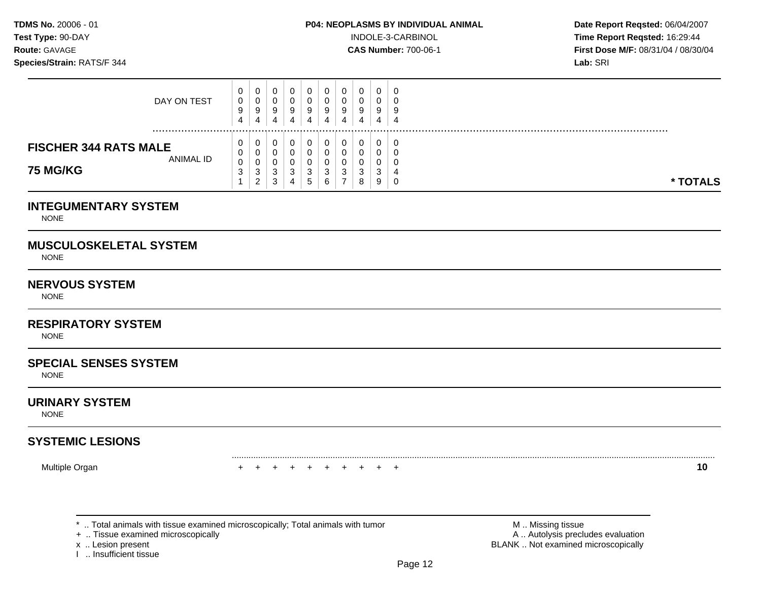**Test Type:**  $90-DAY$  **INDOLE-3-CARBINOL Time Report Reqsted: 16:29:44 Route:** GAVAGE **CAS Number:** 700-06-1 **First Dose M/F:** 08/31/04 / 08/30/04

| <b>INTEGUMENTARY SYSTEM</b>  |        |                          |        |             |        |        |   |        |        |          |
|------------------------------|--------|--------------------------|--------|-------------|--------|--------|---|--------|--------|----------|
| <b>75 MG/KG</b>              | 3      | U<br>3<br>$\overline{2}$ | 3<br>3 | U<br>3<br>4 | 3<br>ა | 3<br>6 | ີ | 3<br>8 | 3<br>9 | * TOTALS |
| <b>ANIMAL ID</b>             | 0<br>0 | U                        | 0<br>0 | U           |        | 0      |   | 0<br>0 | 0<br>0 |          |
| <b>FISCHER 344 RATS MALE</b> | 0      | U                        | 0      | U           |        | 0      |   | 0      | 0      |          |
|                              | 4      | 4                        | 4      | 4           | 4      | 4      | 4 | 4      | 4      | .        |
| DAY ON TEST                  | 0<br>9 | U<br>9                   | 0<br>9 | U<br>9      | 9      | 0<br>9 |   | 0<br>9 | 0<br>9 |          |
|                              | 0      | 0                        | 0      | 0           |        | 0      |   | 0      | 0      |          |

NONE

# **MUSCULOSKELETAL SYSTEM**

NONE

# **NERVOUS SYSTEM**

NONE

# **RESPIRATORY SYSTEM**

NONE

# **SPECIAL SENSES SYSTEM**

NONE

#### **URINARY SYSTEM**

NONE

# **SYSTEMIC LESIONS**

Multiple Organ + + + + + + + + + + **10** 

+ .. Tissue examined microscopically

I .. Insufficient tissue

\* .. Total animals with tissue examined microscopically; Total animals with tumor **M** . Missing tissue M .. Missing tissue<br>  $\blacksquare$  . Tissue examined microscopically<br>  $\blacksquare$  . Autolysis precludes evaluation x .. Lesion present **BLANK** .. Not examined microscopically

.........................................................................................................................................................................................................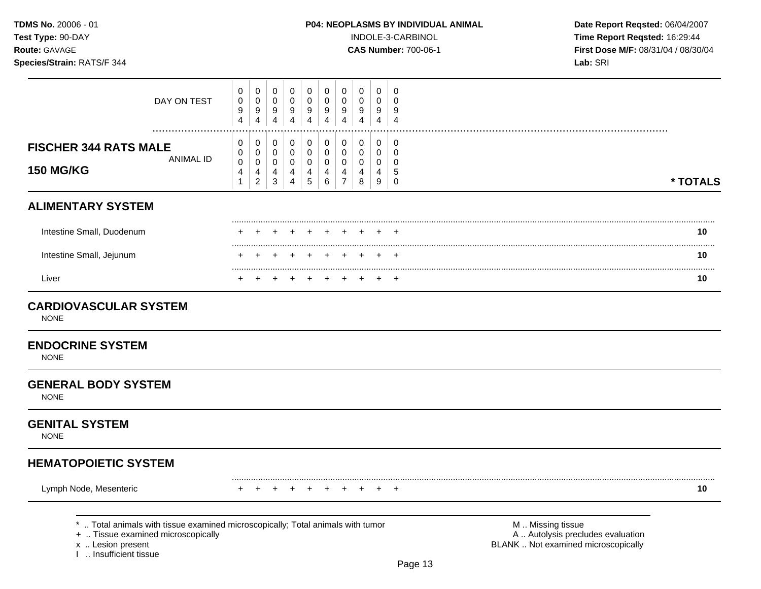**Test Type:** 90-DAY INDOLE-3-CARBINOL **Time Report Reqsted:** 16:29:44 **Route:** GAVAGE **CAS Number:** 700-06-1 **First Dose M/F:** 08/31/04 / 08/30/04

| DAY ON TEST                                                                                                                                                          | 0<br>0<br>9<br>$\overline{4}$              | $\pmb{0}$<br>$\pmb{0}$<br>9<br>$\overline{4}$        | 0<br>$\mathbf 0$<br>9<br>$\overline{4}$                 | $\pmb{0}$<br>$\pmb{0}$<br>9<br>$\overline{4}$                           | $\mathbf 0$<br>$\pmb{0}$<br>$\boldsymbol{9}$<br>$\overline{4}$ | 0<br>$\mathbf 0$<br>9<br>4                | 0<br>0<br>9<br>4                             | $\mathbf 0$<br>$\mathbf 0$<br>9<br>$\overline{4}$                     | 0<br>0<br>9<br>$\overline{4}$             | 0<br>$\mathbf 0$<br>9<br>$\overline{4}$             |                                                                                               |          |
|----------------------------------------------------------------------------------------------------------------------------------------------------------------------|--------------------------------------------|------------------------------------------------------|---------------------------------------------------------|-------------------------------------------------------------------------|----------------------------------------------------------------|-------------------------------------------|----------------------------------------------|-----------------------------------------------------------------------|-------------------------------------------|-----------------------------------------------------|-----------------------------------------------------------------------------------------------|----------|
| <b>FISCHER 344 RATS MALE</b><br><b>ANIMAL ID</b><br><b>150 MG/KG</b>                                                                                                 | 0<br>0<br>$\mathbf 0$<br>4<br>$\mathbf{1}$ | 0<br>$\mathbf 0$<br>$\pmb{0}$<br>4<br>$\overline{c}$ | 0<br>0<br>$\mathbf 0$<br>$\overline{4}$<br>$\mathbf{3}$ | $\pmb{0}$<br>$\pmb{0}$<br>$\pmb{0}$<br>$\overline{4}$<br>$\overline{4}$ | $\pmb{0}$<br>$\mathbf 0$<br>$\pmb{0}$<br>4<br>$\sqrt{5}$       | 0<br>$\mathbf 0$<br>$\mathbf 0$<br>4<br>6 | 0<br>$\mathbf 0$<br>0<br>4<br>$\overline{7}$ | $\mathbf 0$<br>$\mathbf 0$<br>$\mathbf 0$<br>$\overline{4}$<br>$\bf8$ | 0<br>$\mathbf 0$<br>$\mathbf 0$<br>4<br>9 | 0<br>$\mathbf 0$<br>$\mathbf 0$<br>5<br>$\mathbf 0$ |                                                                                               | * TOTALS |
| <b>ALIMENTARY SYSTEM</b>                                                                                                                                             |                                            |                                                      |                                                         |                                                                         |                                                                |                                           |                                              |                                                                       |                                           |                                                     |                                                                                               |          |
| Intestine Small, Duodenum                                                                                                                                            |                                            |                                                      |                                                         |                                                                         |                                                                |                                           |                                              |                                                                       |                                           |                                                     |                                                                                               | 10       |
| Intestine Small, Jejunum                                                                                                                                             |                                            |                                                      |                                                         |                                                                         |                                                                |                                           |                                              |                                                                       |                                           |                                                     |                                                                                               | 10       |
| Liver                                                                                                                                                                |                                            |                                                      |                                                         |                                                                         |                                                                |                                           |                                              |                                                                       |                                           |                                                     |                                                                                               | .<br>10  |
| <b>CARDIOVASCULAR SYSTEM</b><br><b>NONE</b><br><b>ENDOCRINE SYSTEM</b><br><b>NONE</b>                                                                                |                                            |                                                      |                                                         |                                                                         |                                                                |                                           |                                              |                                                                       |                                           |                                                     |                                                                                               |          |
| <b>GENERAL BODY SYSTEM</b><br><b>NONE</b>                                                                                                                            |                                            |                                                      |                                                         |                                                                         |                                                                |                                           |                                              |                                                                       |                                           |                                                     |                                                                                               |          |
| <b>GENITAL SYSTEM</b><br><b>NONE</b>                                                                                                                                 |                                            |                                                      |                                                         |                                                                         |                                                                |                                           |                                              |                                                                       |                                           |                                                     |                                                                                               |          |
| <b>HEMATOPOIETIC SYSTEM</b>                                                                                                                                          |                                            |                                                      |                                                         |                                                                         |                                                                |                                           |                                              |                                                                       |                                           |                                                     |                                                                                               |          |
| Lymph Node, Mesenteric                                                                                                                                               |                                            |                                                      |                                                         |                                                                         |                                                                |                                           |                                              |                                                                       |                                           |                                                     |                                                                                               | 10       |
| *  Total animals with tissue examined microscopically; Total animals with tumor<br>+  Tissue examined microscopically<br>x  Lesion present<br>I  Insufficient tissue |                                            |                                                      |                                                         |                                                                         |                                                                |                                           |                                              |                                                                       |                                           | Page 13                                             | M  Missing tissue<br>A  Autolysis precludes evaluation<br>BLANK  Not examined microscopically |          |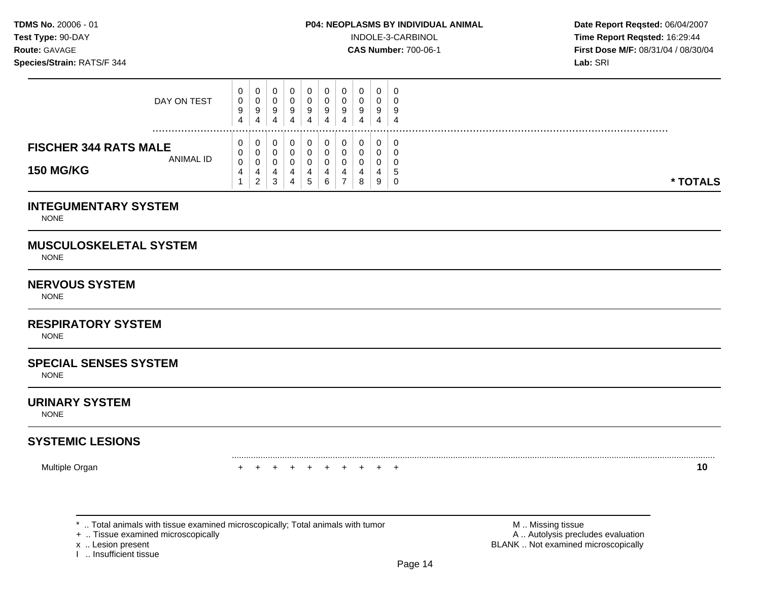**Test Type:**  $90-DAY$  **INDOLE-3-CARBINOL Time Report Reqsted: 16:29:44 Route:** GAVAGE **CAS Number:** 700-06-1 **First Dose M/F:** 08/31/04 / 08/30/04

| DAY ON TEST                                                   | 0<br>0<br>9<br>4 | 0<br>0<br>9<br>4      | 4 | 0<br>U<br>9<br>4        | - 0<br>9<br>4 | 0<br>J<br>9<br>4 | 0<br>υ<br>9<br>4 | 0<br>0<br>9<br>4 | 0<br>υ<br>9<br>4      | - 0<br>÷<br>-4  |          |
|---------------------------------------------------------------|------------------|-----------------------|---|-------------------------|---------------|------------------|------------------|------------------|-----------------------|-----------------|----------|
| <b>FISCHER 344 RATS MALE</b><br>ANIMAL ID<br><b>150 MG/KG</b> | 0<br>0<br>0<br>4 | 0<br>0<br>0<br>4<br>2 | 3 | <b>O</b><br>0<br>4<br>4 | 4<br>G        | 0<br>6           | υ<br>υ<br>ν<br>- | 0<br>8           | U<br>U<br>U<br>4<br>9 | - 6<br>ು<br>- 0 | * TOTALS |

# **INTEGUMENTARY SYSTEM**

NONE

# **MUSCULOSKELETAL SYSTEM**

NONE

# **NERVOUS SYSTEM**

NONE

# **RESPIRATORY SYSTEM**

NONE

# **SPECIAL SENSES SYSTEM**

NONE

#### **URINARY SYSTEM**

NONE

# **SYSTEMIC LESIONS**

Multiple Organ + + + + + + + + + + **10** 

+ .. Tissue examined microscopically

I .. Insufficient tissue

\* .. Total animals with tissue examined microscopically; Total animals with tumor **M** . Missing tissue M .. Missing tissue<br>  $\blacksquare$  . Tissue examined microscopically<br>  $\blacksquare$  . Autolysis precludes evaluation x .. Lesion present **BLANK** .. Not examined microscopically

.........................................................................................................................................................................................................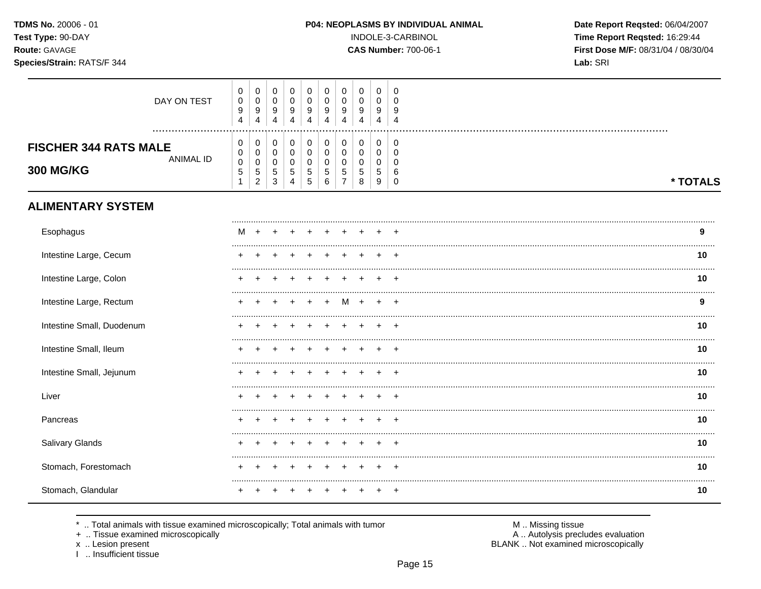TDMS No. 20006 - 01 Test Type: 90-DAY Route: GAVAGE

## Species/Strain: RATS/F 344

INDOLE-3-CARBINOL

**CAS Number: 700-06-1** 

Date Report Reqsted: 06/04/2007 Time Report Reqsted: 16:29:44 First Dose M/F: 08/31/04 / 08/30/04 Lab: SRI

| DAY ON TEST                                                          | $\boldsymbol{0}$<br>$\pmb{0}$<br>9<br>4  | $\pmb{0}$<br>$\pmb{0}$<br>$\boldsymbol{9}$<br>$\overline{4}$             | 0<br>$\mathsf 0$<br>9<br>4                          | $\mathbf 0$<br>$\mathsf{O}\xspace$<br>9<br>4                       | $\mathbf 0$<br>$\mathbf 0$<br>9<br>$\overline{\mathbf{4}}$ | 0<br>$\pmb{0}$<br>9<br>4        | 0<br>$\mathbf 0$<br>9<br>4                          | 0<br>$\mathbf 0$<br>9<br>4      | 0<br>$\mathbf 0$<br>9<br>$\overline{4}$        | 0<br>$\Omega$<br>9<br>$\overline{4}$   |          |
|----------------------------------------------------------------------|------------------------------------------|--------------------------------------------------------------------------|-----------------------------------------------------|--------------------------------------------------------------------|------------------------------------------------------------|---------------------------------|-----------------------------------------------------|---------------------------------|------------------------------------------------|----------------------------------------|----------|
| <b>FISCHER 344 RATS MALE</b><br><b>ANIMAL ID</b><br><b>300 MG/KG</b> | 0<br>0<br>$\pmb{0}$<br>5<br>$\mathbf{1}$ | $\pmb{0}$<br>$\mathbf 0$<br>$\mathbf 0$<br>$\,$ 5 $\,$<br>$\overline{2}$ | 0<br>$\overline{0}$<br>$\pmb{0}$<br>$\sqrt{5}$<br>3 | 0<br>$\mathsf{O}\xspace$<br>$\mathsf{O}\xspace$<br>$\sqrt{5}$<br>4 | 0<br>$\mathbf 0$<br>$\pmb{0}$<br>$\sqrt{5}$<br>$\sqrt{5}$  | 0<br>$\mathbf 0$<br>0<br>5<br>6 | 0<br>$\mathbf 0$<br>$\Omega$<br>5<br>$\overline{7}$ | 0<br>$\mathbf 0$<br>0<br>5<br>8 | 0<br>0<br>$\mathbf 0$<br>5<br>$\boldsymbol{9}$ | 0<br>0<br>$\Omega$<br>6<br>$\mathbf 0$ | * TOTALS |
| <b>ALIMENTARY SYSTEM</b>                                             |                                          |                                                                          |                                                     |                                                                    |                                                            |                                 |                                                     |                                 |                                                |                                        |          |
| Esophagus                                                            |                                          |                                                                          |                                                     |                                                                    |                                                            |                                 |                                                     |                                 |                                                |                                        | 9        |
| Intestine Large, Cecum                                               |                                          |                                                                          |                                                     |                                                                    |                                                            |                                 |                                                     |                                 |                                                |                                        | 10       |
| Intestine Large, Colon                                               |                                          |                                                                          |                                                     |                                                                    |                                                            |                                 |                                                     |                                 |                                                |                                        | 10       |
| Intestine Large, Rectum                                              |                                          |                                                                          |                                                     |                                                                    | $\overline{ }$                                             | $+$                             | M                                                   | $\ddot{}$                       |                                                |                                        | 9        |
| Intestine Small, Duodenum                                            |                                          |                                                                          |                                                     |                                                                    |                                                            |                                 |                                                     |                                 |                                                |                                        | 10       |
| Intestine Small, Ileum                                               |                                          |                                                                          |                                                     |                                                                    |                                                            |                                 |                                                     |                                 |                                                |                                        | 10       |
| Intestine Small, Jejunum                                             |                                          |                                                                          |                                                     |                                                                    |                                                            |                                 |                                                     |                                 |                                                |                                        | 10       |
| Liver                                                                |                                          |                                                                          |                                                     |                                                                    |                                                            |                                 |                                                     |                                 |                                                |                                        | 10       |
| Pancreas                                                             |                                          |                                                                          |                                                     |                                                                    |                                                            |                                 |                                                     |                                 |                                                |                                        | 10       |
| Salivary Glands                                                      |                                          |                                                                          |                                                     |                                                                    |                                                            |                                 |                                                     |                                 |                                                |                                        | 10       |
| Stomach, Forestomach                                                 |                                          |                                                                          |                                                     |                                                                    |                                                            |                                 |                                                     |                                 |                                                |                                        | 10       |
| Stomach, Glandular                                                   |                                          |                                                                          |                                                     |                                                                    |                                                            |                                 |                                                     |                                 |                                                |                                        | 10       |

.. Total animals with tissue examined microscopically; Total animals with tumor  $\star$ 

+ .. Tissue examined microscopically

x .. Lesion present<br>I .. Insufficient tissue

M .. Missing tissue<br>A .. Autolysis precludes evaluation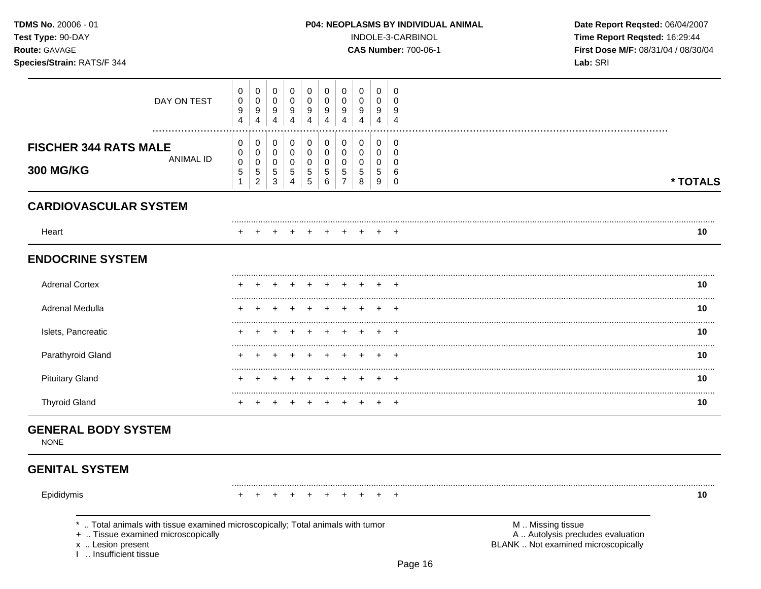| <b>TDMS No. 20006 - 01</b> |  |
|----------------------------|--|
| <b>Test Type: 90-DAY</b>   |  |
| Route: GAVAGE              |  |

Species/Strain: RATS/F 344

INDOLE-3-CARBINOL

**CAS Number: 700-06-1** 

Date Report Reqsted: 06/04/2007 Time Report Reqsted: 16:29:44 First Dose M/F: 08/31/04 / 08/30/04 Lab: SRI

| DAY ON TEST                                                                                                                                                          | 0<br>$\pmb{0}$<br>$\boldsymbol{9}$<br>4          | 0<br>$\pmb{0}$<br>$\boldsymbol{9}$<br>$\overline{4}$                | 0<br>$\pmb{0}$<br>$\boldsymbol{9}$<br>$\overline{4}$                  | 0<br>$\pmb{0}$<br>9<br>$\overline{4}$               | 0<br>$\mathsf 0$<br>$\boldsymbol{9}$<br>$\overline{4}$                | 0<br>$\mathbf 0$<br>9<br>4      | $\mathbf 0$<br>$\pmb{0}$<br>$\boldsymbol{9}$<br>4                     | 0<br>$\mathbf 0$<br>9<br>4                                   | 0<br>$\pmb{0}$<br>9<br>4                  | 0<br>$\mathbf 0$<br>9<br>$\overline{4}$                    |                                                                                               |          |
|----------------------------------------------------------------------------------------------------------------------------------------------------------------------|--------------------------------------------------|---------------------------------------------------------------------|-----------------------------------------------------------------------|-----------------------------------------------------|-----------------------------------------------------------------------|---------------------------------|-----------------------------------------------------------------------|--------------------------------------------------------------|-------------------------------------------|------------------------------------------------------------|-----------------------------------------------------------------------------------------------|----------|
| <b>FISCHER 344 RATS MALE</b><br><b>ANIMAL ID</b><br><b>300 MG/KG</b>                                                                                                 | $\pmb{0}$<br>0<br>$\pmb{0}$<br>5<br>$\mathbf{1}$ | $\mathbf 0$<br>$\mathbf 0$<br>$\pmb{0}$<br>$\sqrt{5}$<br>$\sqrt{2}$ | $\pmb{0}$<br>$\mathbf 0$<br>$\mathbf 0$<br>$\sqrt{5}$<br>$\mathbf{3}$ | $\pmb{0}$<br>0<br>0<br>$\sqrt{5}$<br>$\overline{4}$ | $\pmb{0}$<br>$\mathbf 0$<br>$\pmb{0}$<br>$\sqrt{5}$<br>$\overline{5}$ | 0<br>0<br>0<br>$\,$ 5 $\,$<br>6 | $\pmb{0}$<br>$\pmb{0}$<br>$\mathbf 0$<br>$\sqrt{5}$<br>$\overline{7}$ | $\mathbf 0$<br>$\mathbf 0$<br>$\mathbf 0$<br>$\sqrt{5}$<br>8 | 0<br>$\mathbf 0$<br>$\mathbf 0$<br>5<br>9 | $\mathbf 0$<br>$\mathbf 0$<br>$\Omega$<br>6<br>$\mathbf 0$ |                                                                                               | * TOTALS |
| <b>CARDIOVASCULAR SYSTEM</b>                                                                                                                                         |                                                  |                                                                     |                                                                       |                                                     |                                                                       |                                 |                                                                       |                                                              |                                           |                                                            |                                                                                               |          |
| Heart                                                                                                                                                                |                                                  |                                                                     |                                                                       |                                                     |                                                                       |                                 |                                                                       |                                                              |                                           |                                                            |                                                                                               | 10       |
| <b>ENDOCRINE SYSTEM</b>                                                                                                                                              |                                                  |                                                                     |                                                                       |                                                     |                                                                       |                                 |                                                                       |                                                              |                                           |                                                            |                                                                                               |          |
| <b>Adrenal Cortex</b>                                                                                                                                                |                                                  |                                                                     |                                                                       |                                                     |                                                                       |                                 |                                                                       |                                                              |                                           |                                                            |                                                                                               | 10       |
| <b>Adrenal Medulla</b>                                                                                                                                               |                                                  |                                                                     |                                                                       |                                                     |                                                                       |                                 |                                                                       |                                                              |                                           |                                                            |                                                                                               | 10       |
| Islets, Pancreatic                                                                                                                                                   |                                                  |                                                                     |                                                                       |                                                     |                                                                       |                                 |                                                                       |                                                              |                                           |                                                            |                                                                                               | 10       |
| Parathyroid Gland                                                                                                                                                    |                                                  |                                                                     |                                                                       |                                                     |                                                                       |                                 |                                                                       |                                                              |                                           |                                                            |                                                                                               | 10       |
| <b>Pituitary Gland</b>                                                                                                                                               |                                                  |                                                                     |                                                                       |                                                     |                                                                       |                                 |                                                                       |                                                              |                                           |                                                            |                                                                                               | 10       |
| <b>Thyroid Gland</b>                                                                                                                                                 |                                                  |                                                                     |                                                                       |                                                     |                                                                       |                                 |                                                                       |                                                              |                                           | $\overline{ }$                                             |                                                                                               | 10       |
| <b>GENERAL BODY SYSTEM</b><br><b>NONE</b>                                                                                                                            |                                                  |                                                                     |                                                                       |                                                     |                                                                       |                                 |                                                                       |                                                              |                                           |                                                            |                                                                                               |          |
| <b>GENITAL SYSTEM</b>                                                                                                                                                |                                                  |                                                                     |                                                                       |                                                     |                                                                       |                                 |                                                                       |                                                              |                                           |                                                            |                                                                                               |          |
| Epididymis                                                                                                                                                           |                                                  |                                                                     |                                                                       |                                                     |                                                                       |                                 |                                                                       |                                                              |                                           |                                                            |                                                                                               | 10       |
| *  Total animals with tissue examined microscopically; Total animals with tumor<br>+  Tissue examined microscopically<br>x  Lesion present<br>I  Insufficient tissue |                                                  |                                                                     |                                                                       |                                                     |                                                                       |                                 |                                                                       |                                                              |                                           | Page 16                                                    | M  Missing tissue<br>A  Autolysis precludes evaluation<br>BLANK  Not examined microscopically |          |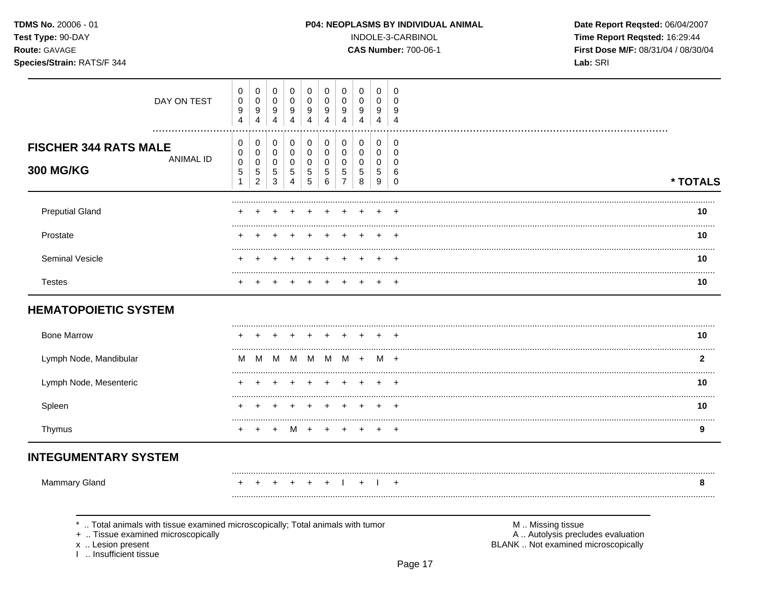TDMS No. 20006 - 01 Test Type: 90-DAY

Species/Strain: RATS/F 344

Route: GAVAGE

#### P04: NEOPLASMS BY INDIVIDUAL ANIMAL

INDOLE-3-CARBINOL

**CAS Number: 700-06-1** 

Date Report Reqsted: 06/04/2007 Time Report Reqsted: 16:29:44 First Dose M/F: 08/31/04 / 08/30/04 Lab: SRI

| DAY ON TEST                                                                     | 0<br>$\pmb{0}$<br>$\boldsymbol{9}$<br>$\overline{4}$ | 0<br>$\boldsymbol{0}$<br>$\boldsymbol{9}$<br>$\overline{4}$ | 0<br>0<br>9<br>$\overline{4}$            | 0<br>$\mathbf 0$<br>9<br>4              | 0<br>0<br>9<br>$\overline{4}$                       | 0<br>0<br>9<br>4      | 0<br>0<br>9<br>$\overline{4}$                | $\mathbf 0$<br>0<br>$9\,$<br>$\overline{4}$ | 0<br>$\mathbf 0$<br>9<br>$\overline{4}$   | 0<br>0<br>9<br>$\overline{\mathbf{4}}$    |                   |          |
|---------------------------------------------------------------------------------|------------------------------------------------------|-------------------------------------------------------------|------------------------------------------|-----------------------------------------|-----------------------------------------------------|-----------------------|----------------------------------------------|---------------------------------------------|-------------------------------------------|-------------------------------------------|-------------------|----------|
| <b>FISCHER 344 RATS MALE</b><br><b>ANIMAL ID</b><br><b>300 MG/KG</b>            | 0<br>0<br>$\mathbf 0$<br>$\sqrt{5}$<br>$\mathbf{1}$  | 0<br>0<br>$\mathsf 0$<br>$\,$ 5 $\,$<br>$\overline{2}$      | 0<br>0<br>$\mathbf 0$<br>$\sqrt{5}$<br>3 | 0<br>$\pmb{0}$<br>$\mathbf 0$<br>5<br>4 | 0<br>$\mathbf 0$<br>$\mathbf 0$<br>$\mathbf 5$<br>5 | 0<br>0<br>0<br>5<br>6 | $\mathbf 0$<br>0<br>0<br>5<br>$\overline{7}$ | 0<br>0<br>$\mathbf 0$<br>5<br>8             | 0<br>$\mathbf 0$<br>$\mathbf 0$<br>5<br>9 | 0<br>$\mathbf 0$<br>0<br>6<br>$\mathbf 0$ |                   | * TOTALS |
| <b>Preputial Gland</b>                                                          |                                                      |                                                             |                                          |                                         |                                                     |                       |                                              |                                             |                                           |                                           |                   | 10       |
| Prostate                                                                        |                                                      |                                                             |                                          |                                         |                                                     |                       |                                              |                                             |                                           |                                           |                   | 10       |
| Seminal Vesicle                                                                 |                                                      |                                                             |                                          |                                         |                                                     |                       |                                              |                                             |                                           |                                           |                   | 10       |
| <b>Testes</b>                                                                   |                                                      |                                                             |                                          |                                         |                                                     |                       |                                              |                                             |                                           |                                           |                   | 10       |
| <b>HEMATOPOIETIC SYSTEM</b>                                                     |                                                      |                                                             |                                          |                                         |                                                     |                       |                                              |                                             |                                           |                                           |                   |          |
| <b>Bone Marrow</b>                                                              |                                                      |                                                             |                                          |                                         |                                                     |                       |                                              |                                             |                                           |                                           |                   | 10       |
| Lymph Node, Mandibular                                                          |                                                      |                                                             |                                          |                                         | M                                                   | м                     |                                              |                                             |                                           |                                           |                   | 2        |
| Lymph Node, Mesenteric                                                          |                                                      |                                                             |                                          |                                         |                                                     |                       |                                              |                                             |                                           |                                           |                   | 10       |
| Spleen                                                                          |                                                      |                                                             |                                          |                                         |                                                     |                       |                                              |                                             |                                           |                                           |                   | 10       |
| Thymus                                                                          |                                                      |                                                             |                                          |                                         |                                                     |                       |                                              |                                             |                                           |                                           |                   | 9        |
| <b>INTEGUMENTARY SYSTEM</b>                                                     |                                                      |                                                             |                                          |                                         |                                                     |                       |                                              |                                             |                                           |                                           |                   |          |
| Mammary Gland                                                                   |                                                      |                                                             |                                          |                                         |                                                     |                       |                                              |                                             |                                           |                                           |                   | 8        |
|                                                                                 |                                                      |                                                             |                                          |                                         |                                                     |                       |                                              |                                             |                                           |                                           |                   |          |
| *  Total animals with tissue examined microscopically; Total animals with tumor |                                                      |                                                             |                                          |                                         |                                                     |                       |                                              |                                             |                                           |                                           | M  Missing tissue |          |

+ .. Tissue examined microscopically

x .. Lesion present<br>I .. Insufficient tissue

M .. Missing tissue<br>A .. Autolysis precludes evaluation BLANK .. Not examined microscopically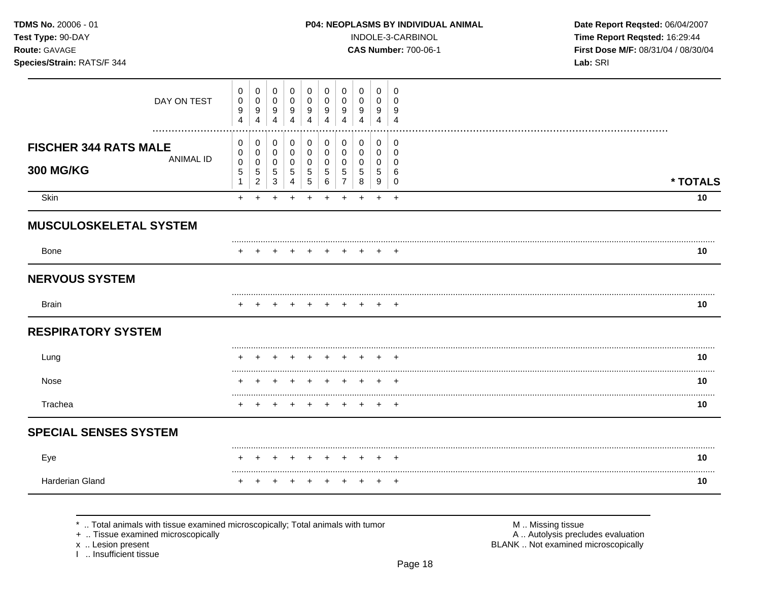TDMS No. 20006 - 01 Test Type: 90-DAY Route: GAVAGE

# Species/Strain: RATS/F 344

#### P04: NEOPLASMS BY INDIVIDUAL ANIMAL

INDOLE-3-CARBINOL

**CAS Number: 700-06-1** 

Date Report Reqsted: 06/04/2007 Time Report Reqsted: 16:29:44 First Dose M/F: 08/31/04 / 08/30/04 Lab: SRI

| DAY ON TEST                                                          | 0<br>0<br>$\boldsymbol{9}$<br>4         | $\pmb{0}$<br>$\pmb{0}$<br>$\boldsymbol{9}$<br>$\overline{4}$          | $\mathbf 0$<br>$\mathbf 0$<br>$\boldsymbol{9}$<br>$\overline{4}$ | 0<br>0<br>9<br>4                                                | 0<br>0<br>9<br>4                                   | 0<br>$\mathbf 0$<br>9<br>4             | 0<br>0<br>9<br>4                  | $\pmb{0}$<br>$\mathbf 0$<br>9<br>4                 | 0<br>0<br>9<br>4                | 0<br>$\Omega$<br>9<br>$\overline{4}$             |          |
|----------------------------------------------------------------------|-----------------------------------------|-----------------------------------------------------------------------|------------------------------------------------------------------|-----------------------------------------------------------------|----------------------------------------------------|----------------------------------------|-----------------------------------|----------------------------------------------------|---------------------------------|--------------------------------------------------|----------|
| <b>FISCHER 344 RATS MALE</b><br><b>ANIMAL ID</b><br><b>300 MG/KG</b> | 0<br>0<br>$\pmb{0}$<br>$\,$ 5 $\,$<br>1 | 0<br>$\pmb{0}$<br>$\mathsf{O}\xspace$<br>$\sqrt{5}$<br>$\overline{2}$ | 0<br>$\mathbf 0$<br>$\mathbf 0$<br>$\,$ 5 $\,$<br>3              | 0<br>$\mathbf 0$<br>$\mathbf 0$<br>$\sqrt{5}$<br>$\overline{4}$ | 0<br>$\mathbf 0$<br>$\mathbf 0$<br>$\sqrt{5}$<br>5 | 0<br>$\mathbf 0$<br>$\Omega$<br>5<br>6 | 0<br>$\mathbf 0$<br>$\Omega$<br>5 | 0<br>$\mathbf 0$<br>$\mathbf 0$<br>$\sqrt{5}$<br>8 | 0<br>0<br>$\mathbf 0$<br>5<br>9 | 0<br>$\mathbf 0$<br>$\Omega$<br>6<br>$\mathbf 0$ | * TOTALS |
| Skin                                                                 | $\ddot{}$                               | ÷.                                                                    | ٠                                                                |                                                                 |                                                    | ÷                                      |                                   |                                                    | $\ddot{}$                       | $\ddot{}$                                        | 10       |
| MUSCULOSKELETAL SYSTEM                                               |                                         |                                                                       |                                                                  |                                                                 |                                                    |                                        |                                   |                                                    |                                 |                                                  |          |
| Bone                                                                 |                                         |                                                                       |                                                                  |                                                                 |                                                    |                                        |                                   |                                                    |                                 |                                                  | 10       |
| <b>NERVOUS SYSTEM</b>                                                |                                         |                                                                       |                                                                  |                                                                 |                                                    |                                        |                                   |                                                    |                                 |                                                  |          |
| <b>Brain</b>                                                         |                                         |                                                                       |                                                                  |                                                                 |                                                    |                                        |                                   |                                                    |                                 | $\overline{1}$                                   | 10       |
| <b>RESPIRATORY SYSTEM</b>                                            |                                         |                                                                       |                                                                  |                                                                 |                                                    |                                        |                                   |                                                    |                                 |                                                  |          |
| Lung                                                                 |                                         |                                                                       |                                                                  |                                                                 |                                                    |                                        |                                   |                                                    |                                 |                                                  | 10       |
| Nose                                                                 |                                         |                                                                       |                                                                  |                                                                 |                                                    |                                        |                                   |                                                    |                                 |                                                  | 10       |
| Trachea                                                              |                                         |                                                                       |                                                                  |                                                                 |                                                    |                                        |                                   |                                                    |                                 |                                                  | 10       |
| <b>SPECIAL SENSES SYSTEM</b>                                         |                                         |                                                                       |                                                                  |                                                                 |                                                    |                                        |                                   |                                                    |                                 |                                                  |          |
| Eye                                                                  |                                         |                                                                       |                                                                  |                                                                 |                                                    |                                        |                                   |                                                    |                                 |                                                  | 10       |
| Harderian Gland                                                      |                                         |                                                                       |                                                                  |                                                                 |                                                    |                                        |                                   |                                                    |                                 | $\overline{1}$                                   | 10       |

\* .. Total animals with tissue examined microscopically; Total animals with tumor

+ .. Tissue examined microscopically

x .. Lesion present<br>I .. Insufficient tissue

M .. Missing tissue<br>A .. Autolysis precludes evaluation

BLANK .. Not examined microscopically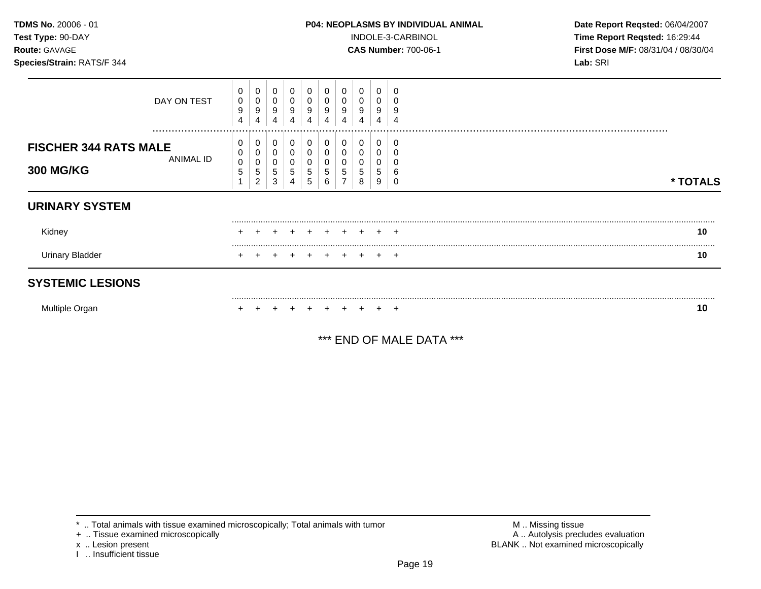| TDMS No. 20006 - 01<br>Test Type: 90-DAY<br>Route: GAVAGE<br>Species/Strain: RATS/F 344 |                 |                            |                       |                  |                  |                       | <b>P04: NEOPLASMS BY INDIVIDUAL ANIMAL</b><br>INDOLE-3-CARBINOL<br><b>CAS Number: 700-06-1</b> |                  | Date Report Reqsted: 06/04/2007<br>Time Report Reqsted: 16:29:44<br>First Dose M/F: 08/31/04 / 08/30/04<br>Lab: SRI |             |                       |  |          |
|-----------------------------------------------------------------------------------------|-----------------|----------------------------|-----------------------|------------------|------------------|-----------------------|------------------------------------------------------------------------------------------------|------------------|---------------------------------------------------------------------------------------------------------------------|-------------|-----------------------|--|----------|
|                                                                                         | DAY ON TEST<br> | 0<br>0<br>9<br>4           | 0<br>0<br>9<br>4      | 0<br>9<br>4      | 0<br>0<br>9<br>4 | 0<br>0<br>9<br>4      | 0<br>0<br>9<br>4                                                                               | 0<br>0<br>9<br>4 | 0<br>0<br>9<br>4                                                                                                    | 0<br>9<br>4 | 0<br>0<br>g           |  |          |
| <b>FISCHER 344 RATS MALE</b><br><b>300 MG/KG</b>                                        | ANIMAL ID       | 0<br>0<br>$\mathbf 0$<br>5 | 0<br>0<br>0<br>5<br>2 | 0<br>0<br>5<br>3 | 0<br>0<br>0<br>5 | 0<br>0<br>0<br>5<br>5 | 0<br>0<br>0<br>5<br>6                                                                          | 0<br>0<br>0<br>5 | 0<br>0<br>0<br>5<br>8                                                                                               | 0<br>5<br>9 | 0<br>0<br>0<br>6<br>0 |  | * TOTALS |
| <b>URINARY SYSTEM</b>                                                                   |                 |                            |                       |                  |                  |                       |                                                                                                |                  |                                                                                                                     |             |                       |  |          |
| Kidney                                                                                  |                 |                            |                       |                  |                  |                       |                                                                                                |                  |                                                                                                                     |             |                       |  | 10       |
| <b>Urinary Bladder</b>                                                                  |                 |                            |                       |                  |                  | $\div$                | $+$                                                                                            | $+$              |                                                                                                                     |             | $+$ $+$               |  | 10       |
| <b>SYSTEMIC LESIONS</b>                                                                 |                 |                            |                       |                  |                  |                       |                                                                                                |                  |                                                                                                                     |             |                       |  |          |
| Multiple Organ                                                                          |                 |                            |                       |                  |                  |                       |                                                                                                |                  |                                                                                                                     |             | $\pm$                 |  | 10       |

\*\*\* END OF MALE DATA \*\*\*

 $*$  .. Total animals with tissue examined microscopically; Total animals with tumor  $\blacksquare$  M .. Missing tissue

x .. Lesion present<br>I .. Insufficient tissue

+ .. Tissue examined microscopically  $\blacksquare$  A .. Autolysis precludes evaluation M .. Missing tissue<br>A .. Autolysis precludes evaluation<br>BLANK .. Not examined microscopically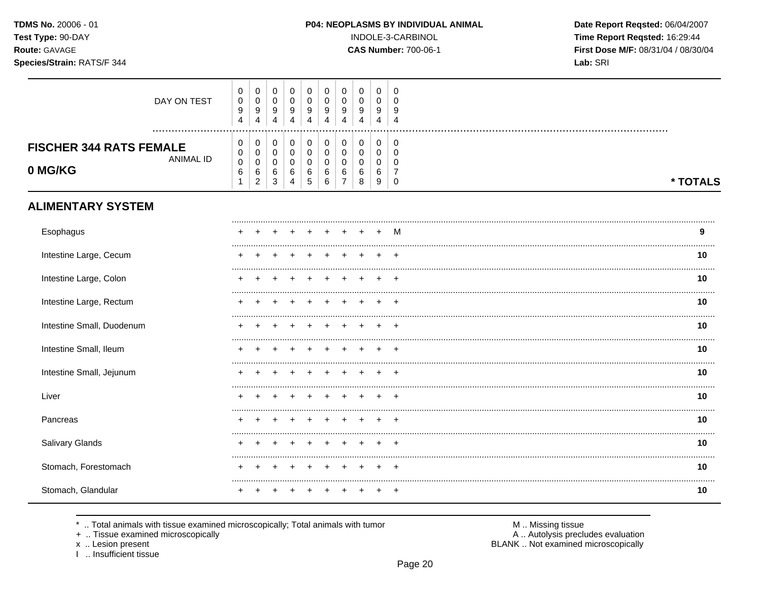TDMS No. 20006 - 01 Test Type: 90-DAY Route: GAVAGE

## Species/Strain: RATS/F 344

INDOLE-3-CARBINOL

**CAS Number: 700-06-1** 

Date Report Reqsted: 06/04/2007 Time Report Reqsted: 16:29:44 First Dose M/F: 08/31/04 / 08/30/04 Lab: SRI

| DAY ON TEST                                                   | 0<br>$\pmb{0}$<br>9<br>$\overline{4}$                | 0<br>$\pmb{0}$<br>9<br>$\overline{4}$                     | 0<br>$\pmb{0}$<br>9<br>$\overline{4}$                          | 0<br>$\pmb{0}$<br>9<br>4                  | 0<br>$\pmb{0}$<br>9<br>$\overline{4}$ | 0<br>$\mathbf 0$<br>9<br>4      | 0<br>0<br>9<br>$\overline{4}$                      | 0<br>$\mathbf 0$<br>9<br>$\overline{4}$       | 0<br>$\mathbf 0$<br>9<br>$\overline{4}$ | 0<br>$\Omega$<br>9<br>4                               |          |
|---------------------------------------------------------------|------------------------------------------------------|-----------------------------------------------------------|----------------------------------------------------------------|-------------------------------------------|---------------------------------------|---------------------------------|----------------------------------------------------|-----------------------------------------------|-----------------------------------------|-------------------------------------------------------|----------|
| <b>FISCHER 344 RATS FEMALE</b><br><b>ANIMAL ID</b><br>0 MG/KG | 0<br>$\pmb{0}$<br>$\pmb{0}$<br>$\,6$<br>$\mathbf{1}$ | 0<br>$\pmb{0}$<br>$\boldsymbol{0}$<br>6<br>$\overline{c}$ | 0<br>$\mathsf{O}\xspace$<br>$\pmb{0}$<br>$\,6\,$<br>$\sqrt{3}$ | 0<br>$\mathbf 0$<br>$\mathbf 0$<br>6<br>4 | 0<br>$\pmb{0}$<br>0<br>$\,6$<br>5     | 0<br>$\mathbf 0$<br>0<br>6<br>6 | $\pmb{0}$<br>$\pmb{0}$<br>0<br>6<br>$\overline{7}$ | $\mathbf 0$<br>$\pmb{0}$<br>0<br>6<br>$\,8\,$ | 0<br>$\mathsf 0$<br>0<br>6<br>9         | $\mathbf 0$<br>$\mathbf 0$<br>$\Omega$<br>$\mathbf 0$ | * TOTALS |
| <b>ALIMENTARY SYSTEM</b>                                      |                                                      |                                                           |                                                                |                                           |                                       |                                 |                                                    |                                               |                                         |                                                       |          |
| Esophagus                                                     |                                                      |                                                           |                                                                |                                           |                                       |                                 |                                                    |                                               |                                         | М                                                     | 9        |
| Intestine Large, Cecum                                        |                                                      |                                                           |                                                                |                                           |                                       |                                 |                                                    |                                               |                                         |                                                       | 10       |
| Intestine Large, Colon                                        |                                                      |                                                           |                                                                |                                           |                                       |                                 |                                                    |                                               |                                         |                                                       | 10       |
| Intestine Large, Rectum                                       |                                                      |                                                           |                                                                |                                           |                                       |                                 |                                                    |                                               |                                         |                                                       | 10       |
| Intestine Small, Duodenum                                     |                                                      |                                                           |                                                                |                                           |                                       |                                 |                                                    |                                               |                                         | $\div$                                                | 10       |
| Intestine Small, Ileum                                        |                                                      |                                                           |                                                                |                                           |                                       |                                 |                                                    |                                               |                                         |                                                       | 10       |
| Intestine Small, Jejunum                                      |                                                      |                                                           |                                                                |                                           |                                       |                                 |                                                    |                                               |                                         | $\pm$                                                 | 10       |
| Liver                                                         |                                                      |                                                           |                                                                |                                           |                                       |                                 |                                                    |                                               |                                         | $\ddot{}$                                             | 10       |
| Pancreas                                                      |                                                      |                                                           |                                                                |                                           |                                       |                                 |                                                    |                                               |                                         |                                                       | 10       |
| Salivary Glands                                               |                                                      |                                                           |                                                                |                                           |                                       |                                 |                                                    |                                               |                                         |                                                       | 10       |
| Stomach, Forestomach                                          |                                                      |                                                           |                                                                |                                           |                                       |                                 |                                                    |                                               |                                         |                                                       | 10       |
| Stomach, Glandular                                            |                                                      |                                                           |                                                                |                                           |                                       |                                 |                                                    |                                               |                                         | ÷                                                     | 10       |

.. Total animals with tissue examined microscopically; Total animals with tumor  $\star$ 

+ .. Tissue examined microscopically

x .. Lesion present<br>I .. Insufficient tissue

M .. Missing tissue<br>A .. Autolysis precludes evaluation BLANK .. Not examined microscopically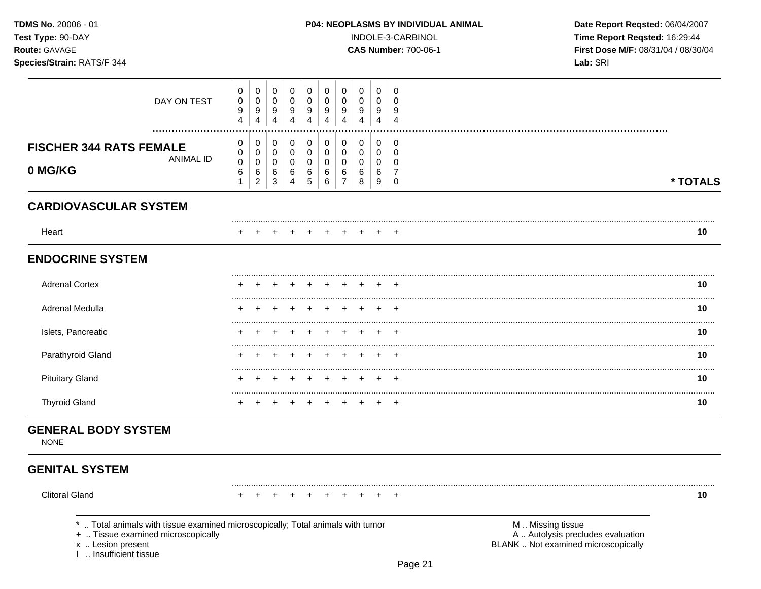| TDMS No. 20006 - 01<br>Test Type: 90-DAY<br>Route: GAVAGE<br>Species/Strain: RATS/F 344 |                               |                                            |                               |                       |                       |                                           |                                                        |                                           |                       | P04: NEOPLASMS BY INDIVIDUAL ANIMAL<br>INDOLE-3-CARBINOL<br><b>CAS Number: 700-06-1</b> | Date Report Reqsted: 06/04/2007<br>Time Report Reqsted: 16:29:44<br>First Dose M/F: 08/31/04 / 08/30/04<br>Lab: SRI |                   |          |
|-----------------------------------------------------------------------------------------|-------------------------------|--------------------------------------------|-------------------------------|-----------------------|-----------------------|-------------------------------------------|--------------------------------------------------------|-------------------------------------------|-----------------------|-----------------------------------------------------------------------------------------|---------------------------------------------------------------------------------------------------------------------|-------------------|----------|
| DAY ON TEST                                                                             | 0<br>0<br>9<br>$\overline{4}$ | 0<br>0<br>9<br>$\overline{4}$              | 0<br>0<br>9<br>4              | 0<br>0<br>9<br>4      | 0<br>0<br>9<br>4      | 0<br>$\,0\,$<br>9<br>$\overline{4}$       | 0<br>0<br>9<br>$\overline{4}$                          | 0<br>0<br>9<br>4                          | 0<br>0<br>9<br>4      | 0<br>0<br>9<br>$\overline{4}$                                                           |                                                                                                                     |                   |          |
| <b>FISCHER 344 RATS FEMALE</b><br><b>ANIMAL ID</b><br>0 MG/KG                           | 0<br>0<br>$\pmb{0}$<br>6      | 0<br>0<br>$\pmb{0}$<br>6<br>$\overline{c}$ | 0<br>0<br>$\pmb{0}$<br>6<br>3 | 0<br>0<br>0<br>6<br>4 | 0<br>0<br>0<br>6<br>5 | 0<br>$\pmb{0}$<br>$\pmb{0}$<br>6<br>$\,6$ | 0<br>$\mathbf 0$<br>$\mathbf 0$<br>6<br>$\overline{7}$ | 0<br>$\mathbf 0$<br>$\mathbf 0$<br>6<br>8 | 0<br>0<br>0<br>6<br>9 | 0<br>0<br>0<br>7<br>0                                                                   |                                                                                                                     |                   | * TOTALS |
| <b>CARDIOVASCULAR SYSTEM</b>                                                            |                               |                                            |                               |                       |                       |                                           |                                                        |                                           |                       |                                                                                         |                                                                                                                     |                   |          |
| Heart                                                                                   |                               |                                            |                               |                       |                       |                                           |                                                        |                                           |                       |                                                                                         |                                                                                                                     |                   | 10       |
| <b>ENDOCRINE SYSTEM</b>                                                                 |                               |                                            |                               |                       |                       |                                           |                                                        |                                           |                       |                                                                                         |                                                                                                                     |                   |          |
| <b>Adrenal Cortex</b>                                                                   |                               |                                            |                               |                       |                       |                                           |                                                        |                                           |                       | $\pm$                                                                                   |                                                                                                                     |                   | 10       |
| Adrenal Medulla                                                                         |                               |                                            |                               |                       |                       |                                           |                                                        |                                           |                       |                                                                                         |                                                                                                                     |                   | 10       |
| Islets, Pancreatic                                                                      |                               |                                            |                               |                       |                       |                                           |                                                        |                                           |                       |                                                                                         |                                                                                                                     |                   | 10       |
| Parathyroid Gland                                                                       |                               |                                            |                               |                       |                       |                                           |                                                        |                                           |                       |                                                                                         |                                                                                                                     |                   | 10       |
| <b>Pituitary Gland</b>                                                                  |                               |                                            |                               |                       |                       |                                           |                                                        |                                           |                       |                                                                                         |                                                                                                                     |                   | 10       |
| <b>Thyroid Gland</b>                                                                    | $\pm$                         | $\ddot{}$                                  | $\ddot{}$                     | $\ddot{}$             |                       | $\ddot{}$                                 | $\ddot{}$                                              |                                           | $^+$                  | $\pm$                                                                                   |                                                                                                                     |                   | 10       |
| <b>GENERAL BODY SYSTEM</b><br><b>NONE</b>                                               |                               |                                            |                               |                       |                       |                                           |                                                        |                                           |                       |                                                                                         |                                                                                                                     |                   |          |
| <b>GENITAL SYSTEM</b>                                                                   |                               |                                            |                               |                       |                       |                                           |                                                        |                                           |                       |                                                                                         |                                                                                                                     |                   |          |
| <b>Clitoral Gland</b>                                                                   |                               |                                            |                               |                       |                       |                                           |                                                        |                                           |                       |                                                                                         |                                                                                                                     |                   | 10       |
| *  Total animals with tissue examined microscopically; Total animals with tumor         |                               |                                            |                               |                       |                       |                                           |                                                        |                                           |                       |                                                                                         |                                                                                                                     | M  Missing tissue |          |

+ .. Tissue examined microscopically

x .. Lesion present<br>I .. Insufficient tissue

Page 21

A .. Autolysis precludes evaluation<br>BLANK .. Not examined microscopically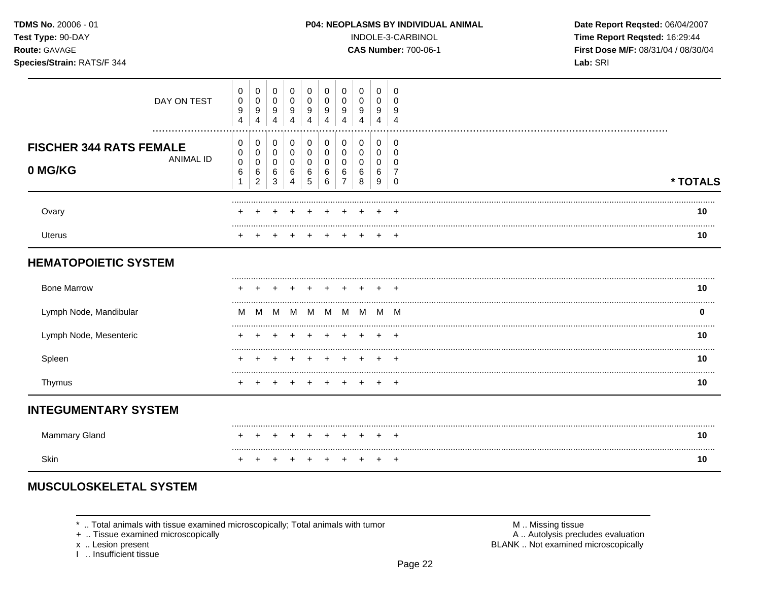TDMS No. 20006 - 01 Test Type: 90-DAY

Species/Strain: RATS/F 344

Route: GAVAGE

#### P04: NEOPLASMS BY INDIVIDUAL ANIMAL

INDOLE-3-CARBINOL

**CAS Number: 700-06-1** 

Date Report Reqsted: 06/04/2007 Time Report Reqsted: 16:29:44 First Dose M/F: 08/31/04 / 08/30/04 Lab: SRI

| DAY ON TEST                                                | 0<br>0<br>9<br>4 | 9<br>4 | 0<br>0<br>9<br>4 | 9                   | 9 | 9<br>4      | 0<br>9<br>4 | 0<br>0<br>9<br>4      | 9     |          |
|------------------------------------------------------------|------------------|--------|------------------|---------------------|---|-------------|-------------|-----------------------|-------|----------|
| <br><b>FISCHER 344 RATS FEMALE</b><br>ANIMAL ID<br>0 MG/KG | 0<br>0<br>0<br>6 | 6<br>◠ | 0<br>C<br>6<br>3 | ь                   | 6 | 0<br>6<br>հ | 0<br>6<br>8 | 0<br>0<br>0<br>6<br>9 |       | * TOTALS |
| Ovary                                                      |                  |        |                  |                     |   |             |             |                       | $\pm$ | 10       |
| <b>Uterus</b>                                              |                  |        |                  |                     |   |             |             |                       | $\pm$ | 10       |
| <b>HEMATOPOIETIC SYSTEM</b>                                |                  |        |                  |                     |   |             |             |                       |       |          |
| <b>Bong Marrow</b>                                         |                  |        |                  | + + + + + + + + + + |   |             |             |                       |       | 1 N      |

| <b>Bone Marrow</b>     |   |   |   |    |  |             |  | 10 |
|------------------------|---|---|---|----|--|-------------|--|----|
| Lymph Node, Mandibular | M | M | M | M. |  | M M M M M M |  |    |
| Lymph Node, Mesenteric |   |   |   |    |  |             |  | 10 |
| Spleen                 |   |   |   |    |  |             |  | 10 |
| I hymus                |   |   |   |    |  |             |  | 10 |

# **INTEGUMENTARY SYSTEM**

|  |  |  |  |  | + + + + + + + + + + |  |
|--|--|--|--|--|---------------------|--|
|  |  |  |  |  | + + + + + + + + + + |  |

# **MUSCULOSKELETAL SYSTEM**

\* .. Total animals with tissue examined microscopically; Total animals with tumor

+ .. Tissue examined microscopically

x .. Lesion present

I .. Insufficient tissue

M .. Missing tissue A .. Autolysis precludes evaluation

BLANK .. Not examined microscopically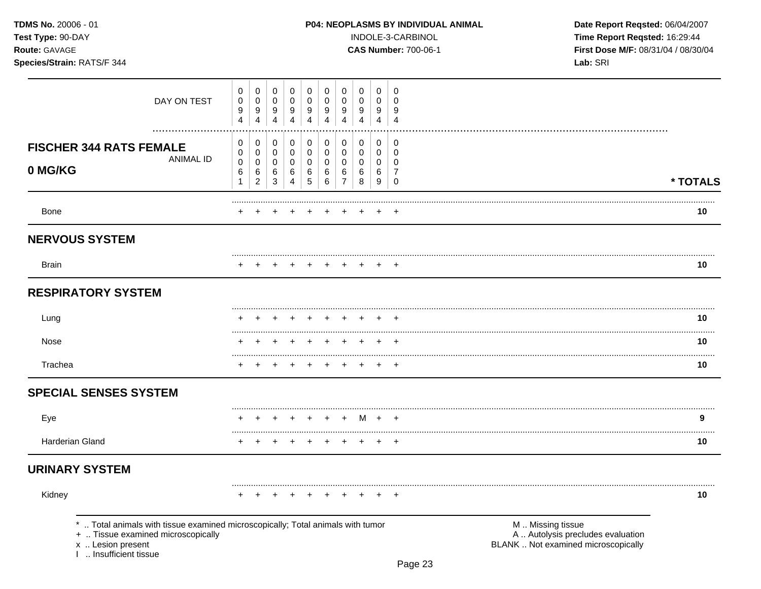| TDMS No. 20006 - 01<br>Test Type: 90-DAY<br>Route: GAVAGE<br>Species/Strain: RATS/F 344 |                                                                                                                    |                                       |                                       |                            |                  |                  |                               |                  |                                    |                  | INDOLE-3-CARBINOL<br><b>CAS Number: 700-06-1</b> | P04: NEOPLASMS BY INDIVIDUAL ANIMAL<br>Date Report Reqsted: 06/04/2007<br>Time Report Reqsted: 16:29:44<br>First Dose M/F: 08/31/04 / 08/30/04<br>Lab: SRI |                |
|-----------------------------------------------------------------------------------------|--------------------------------------------------------------------------------------------------------------------|---------------------------------------|---------------------------------------|----------------------------|------------------|------------------|-------------------------------|------------------|------------------------------------|------------------|--------------------------------------------------|------------------------------------------------------------------------------------------------------------------------------------------------------------|----------------|
|                                                                                         | DAY ON TEST                                                                                                        | 0<br>$\pmb{0}$<br>9<br>$\overline{4}$ | 0<br>$\pmb{0}$<br>9<br>$\overline{4}$ | 0<br>0<br>9<br>4           | 0<br>0<br>9<br>4 | 0<br>0<br>9<br>4 | 0<br>0<br>9<br>$\overline{4}$ | 0<br>0<br>9<br>4 | 0<br>0<br>9<br>$\overline{4}$      | 0<br>0<br>9<br>4 | 0<br>0<br>9<br>4                                 |                                                                                                                                                            |                |
| <b>FISCHER 344 RATS FEMALE</b><br>0 MG/KG                                               | <b>ANIMAL ID</b>                                                                                                   | 0<br>0<br>0<br>6                      | 0<br>0<br>0<br>6                      | 0<br>0<br>$\mathbf 0$<br>6 | 0<br>0<br>0<br>6 | 0<br>0<br>0<br>6 | 0<br>0<br>0<br>6              | 0<br>0<br>0<br>6 | 0<br>0<br>$\mathsf{O}\xspace$<br>6 | 0<br>0<br>0<br>6 | 0<br>0<br>0<br>7                                 |                                                                                                                                                            |                |
| Bone                                                                                    |                                                                                                                    |                                       | $\overline{2}$                        | 3                          | 4                | 5                | 6                             | $\overline{7}$   | 8                                  | 9                | 0                                                |                                                                                                                                                            | * TOTALS<br>10 |
| <b>NERVOUS SYSTEM</b>                                                                   |                                                                                                                    |                                       |                                       |                            |                  |                  |                               |                  |                                    |                  |                                                  |                                                                                                                                                            |                |
| <b>Brain</b>                                                                            |                                                                                                                    |                                       |                                       |                            |                  |                  |                               |                  |                                    |                  |                                                  |                                                                                                                                                            | 10             |
| <b>RESPIRATORY SYSTEM</b>                                                               |                                                                                                                    |                                       |                                       |                            |                  |                  |                               |                  |                                    |                  |                                                  |                                                                                                                                                            |                |
| Lung                                                                                    |                                                                                                                    |                                       |                                       |                            |                  |                  |                               |                  |                                    |                  | $\pm$                                            |                                                                                                                                                            | 10             |
| Nose                                                                                    |                                                                                                                    |                                       |                                       |                            |                  |                  |                               |                  |                                    |                  | $\pm$                                            |                                                                                                                                                            | 10             |
| Trachea                                                                                 |                                                                                                                    |                                       |                                       |                            |                  |                  |                               |                  |                                    | $\pm$            | $\pm$                                            |                                                                                                                                                            | 10             |
| <b>SPECIAL SENSES SYSTEM</b>                                                            |                                                                                                                    |                                       |                                       |                            |                  |                  |                               |                  |                                    |                  |                                                  |                                                                                                                                                            |                |
| Eye                                                                                     |                                                                                                                    |                                       |                                       |                            | $^+$             |                  | $+$ $+$ $+$                   |                  | – M                                | $+$ $+$          |                                                  |                                                                                                                                                            | 9              |
| <b>Harderian Gland</b>                                                                  |                                                                                                                    | $\ddot{}$                             | $+$                                   | $\ddot{}$                  | $\ddot{}$        | $\ddot{}$        | $\ddot{}$                     | $+$              | $+$                                | $+$              | $^{+}$                                           |                                                                                                                                                            | 10             |
| <b>URINARY SYSTEM</b>                                                                   |                                                                                                                    |                                       |                                       |                            |                  |                  |                               |                  |                                    |                  |                                                  |                                                                                                                                                            |                |
| Kidney                                                                                  |                                                                                                                    |                                       |                                       |                            |                  |                  |                               |                  |                                    |                  |                                                  |                                                                                                                                                            | 10             |
| x  Lesion present<br>Insufficient tissue                                                | Total animals with tissue examined microscopically; Total animals with tumor<br>+  Tissue examined microscopically |                                       |                                       |                            |                  |                  |                               |                  |                                    |                  |                                                  | M  Missing tissue<br>A  Autolysis precludes evaluation<br>BLANK  Not examined microscopically                                                              |                |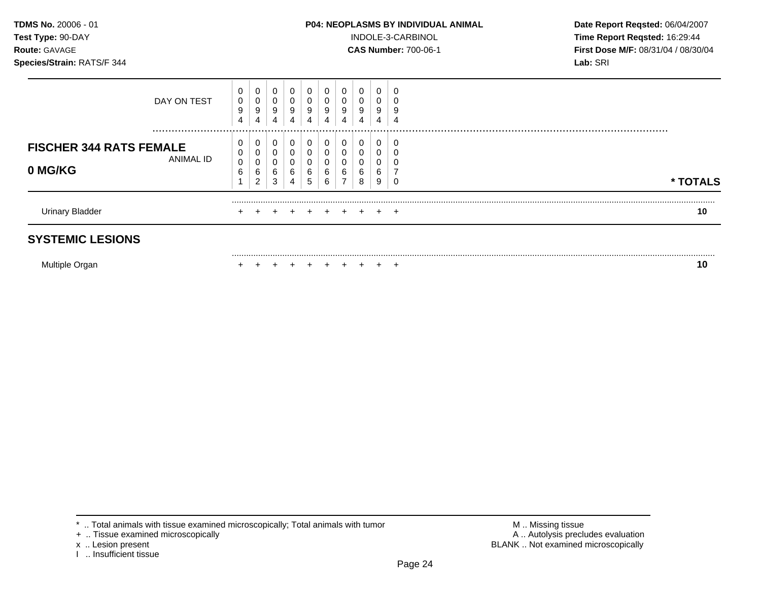**Test Type:** 90-DAY INDOLE-3-CARBINOL **Time Report Reqsted:** 16:29:44 **Route:** GAVAGE **CAS Number:** 700-06-1 **First Dose M/F:** 08/31/04 / 08/30/04

| <b>SYSTEMIC LESIONS</b>                   |                 |                               |                       |                       |                  |                       |                       |        |                       |                       |             |          |
|-------------------------------------------|-----------------|-------------------------------|-----------------------|-----------------------|------------------|-----------------------|-----------------------|--------|-----------------------|-----------------------|-------------|----------|
| <b>Urinary Bladder</b>                    |                 | $\pm$                         |                       |                       |                  |                       |                       | $+$    | $+$                   | $\div$                | $+$         | 10       |
| <b>FISCHER 344 RATS FEMALE</b><br>0 MG/KG | ANIMAL ID       | 0<br>0<br>$\pmb{0}$<br>6<br>и | 0<br>0<br>0<br>6<br>2 | 0<br>0<br>0<br>6<br>3 | 0<br>6<br>4      | 0<br>0<br>0<br>6<br>5 | 0<br>0<br>U<br>6<br>6 | 6      | 0<br>0<br>0<br>6<br>8 | 0<br>0<br>0<br>6<br>9 | U           | * TOTALS |
|                                           | DAY ON TEST<br> | 0<br>$\mathbf 0$<br>9<br>4    | 0<br>0<br>9<br>4      | 0<br>0<br>9<br>4      | 0<br>0<br>9<br>4 | 0<br>0<br>9<br>4      | 0<br>0<br>9<br>4      | 0<br>9 | 0<br>0<br>9<br>4      | 0<br>0<br>9<br>4      | J<br>g<br>4 |          |

Multiple Organ **+ + + + + + + + + + + + + +** + + **10** 

<sup>+ ..</sup> Tissue examined microscopically

I .. Insufficient tissue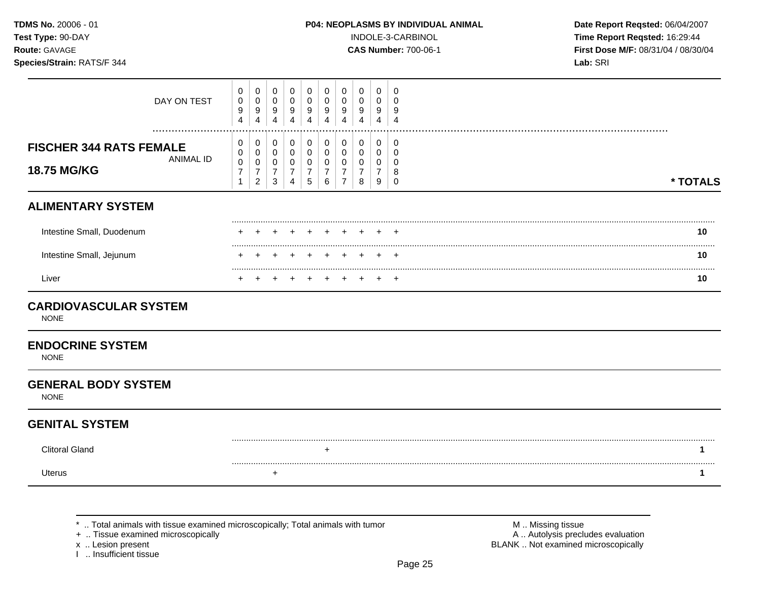| <b>TDMS No.</b> 20006 - 01 |  |
|----------------------------|--|
| Test Type: 90-DAY          |  |
| <b>Route:</b> GAVAGE       |  |

INDOLE-3-CARBINOL **Time Report Reqsted:** 16:29:44 **Route:** GAVAGE **CAS Number:** 700-06-1 **First Dose M/F:** 08/31/04 / 08/30/04

| DAY ON TEST                                                       | 0<br>$\pmb{0}$<br>$\boldsymbol{9}$<br>$\overline{4}$ | 0<br>$\pmb{0}$<br>$\boldsymbol{9}$<br>$\overline{4}$                          | 0<br>$\boldsymbol{0}$<br>9<br>$\overline{4}$           | 0<br>$\mathbf 0$<br>9<br>$\boldsymbol{\Lambda}$        | 0<br>$\mathbf 0$<br>9<br>4                             | 0<br>$\mathbf 0$<br>9<br>4      | 0<br>$\mathbf 0$<br>9<br>Δ                                | 0<br>$\mathbf 0$<br>9<br>4 | 0<br>$\overline{0}$<br>9<br>4                           | 0<br>$\Omega$<br>9<br>$\boldsymbol{\Lambda}$  |          |
|-------------------------------------------------------------------|------------------------------------------------------|-------------------------------------------------------------------------------|--------------------------------------------------------|--------------------------------------------------------|--------------------------------------------------------|---------------------------------|-----------------------------------------------------------|----------------------------|---------------------------------------------------------|-----------------------------------------------|----------|
| <b>FISCHER 344 RATS FEMALE</b><br><b>ANIMAL ID</b><br>18.75 MG/KG | 0<br>0<br>$\,0\,$<br>$\overline{7}$<br>$\mathbf{1}$  | 0<br>$\mathsf{O}\xspace$<br>$\mathbf 0$<br>$\boldsymbol{7}$<br>$\overline{2}$ | 0<br>$\mathbf 0$<br>$\mathbf 0$<br>$\overline{7}$<br>3 | 0<br>$\mathbf 0$<br>$\mathbf 0$<br>$\overline{7}$<br>4 | 0<br>$\mathbf 0$<br>$\mathbf 0$<br>$\overline{7}$<br>5 | 0<br>$\mathbf 0$<br>0<br>7<br>6 | 0<br>$\mathbf 0$<br>0<br>$\overline{7}$<br>$\overline{7}$ | 0<br>0<br>0<br>8           | 0<br>$\mathbf 0$<br>$\mathbf{0}$<br>$\overline{7}$<br>9 | 0<br>$\mathbf 0$<br>$\Omega$<br>8<br>$\Omega$ | * TOTALS |
| <b>ALIMENTARY SYSTEM</b>                                          |                                                      |                                                                               |                                                        |                                                        |                                                        |                                 |                                                           |                            |                                                         |                                               |          |
| Intestine Small, Duodenum                                         |                                                      |                                                                               |                                                        |                                                        |                                                        |                                 |                                                           |                            |                                                         | $\div$                                        | 10       |
| Intestine Small, Jejunum                                          |                                                      |                                                                               |                                                        |                                                        |                                                        |                                 |                                                           |                            |                                                         |                                               | 10       |
| Liver                                                             |                                                      |                                                                               |                                                        |                                                        |                                                        |                                 |                                                           |                            |                                                         |                                               | 10       |
| <b>CARDIOVASCULAR SYSTEM</b><br><b>NONE</b>                       |                                                      |                                                                               |                                                        |                                                        |                                                        |                                 |                                                           |                            |                                                         |                                               |          |
| <b>ENDOCRINE SYSTEM</b><br><b>NONE</b>                            |                                                      |                                                                               |                                                        |                                                        |                                                        |                                 |                                                           |                            |                                                         |                                               |          |
| <b>GENERAL BODY SYSTEM</b><br><b>NONE</b>                         |                                                      |                                                                               |                                                        |                                                        |                                                        |                                 |                                                           |                            |                                                         |                                               |          |
| <b>GENITAL SYSTEM</b>                                             |                                                      |                                                                               |                                                        |                                                        |                                                        |                                 |                                                           |                            |                                                         |                                               |          |
| <b>Clitoral Gland</b>                                             |                                                      |                                                                               |                                                        |                                                        |                                                        | $\ddot{}$                       |                                                           |                            |                                                         |                                               | 1        |
| <b>Uterus</b>                                                     |                                                      |                                                                               | $\ddot{}$                                              |                                                        |                                                        |                                 |                                                           |                            |                                                         |                                               | 1        |
|                                                                   |                                                      |                                                                               |                                                        |                                                        |                                                        |                                 |                                                           |                            |                                                         |                                               |          |

\* .. Total animals with tissue examined microscopically; Total animals with tumor + .. Tissue examined microscopically

x .. Lesion present<br>I .. Insufficient tissue

M .. Missing tissue<br>A .. Autolysis precludes evaluation BLANK .. Not examined microscopically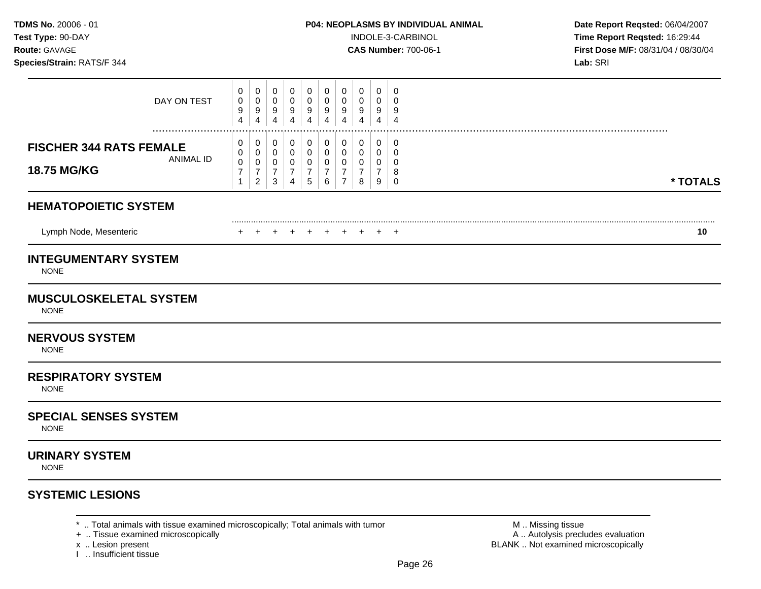**Test Type:** 90-DAY INDOLE-3-CARBINOL **Time Report Reqsted:** 16:29:44 **Route:** GAVAGE **CAS Number:** 700-06-1 **First Dose M/F:** 08/31/04 / 08/30/04

| DAY ON TEST                                                       | 0<br>0<br>9<br>$\overline{\mathbf{4}}$   | 0<br>0<br>9<br>$\overline{4}$      | 0<br>0<br>9<br>$\overline{4}$  | 0<br>0<br>9<br>$\overline{4}$                   | 0<br>$\mathbf 0$<br>$9\,$<br>$\overline{4}$           | 0<br>0<br>9<br>$\overline{4}$                                | 0<br>0<br>9<br>$\overline{4}$      | 0<br>0<br>9<br>4      | $\mathbf 0$<br>0<br>9<br>4          | 0<br>$\Omega$<br>9<br>$\overline{4}$   |   |          |
|-------------------------------------------------------------------|------------------------------------------|------------------------------------|--------------------------------|-------------------------------------------------|-------------------------------------------------------|--------------------------------------------------------------|------------------------------------|-----------------------|-------------------------------------|----------------------------------------|---|----------|
| <b>FISCHER 344 RATS FEMALE</b><br><b>ANIMAL ID</b><br>18.75 MG/KG | 0<br>0<br>$\pmb{0}$<br>7<br>$\mathbf{1}$ | 0<br>0<br>0<br>7<br>$\overline{c}$ | 0<br>0<br>0<br>7<br>$\sqrt{3}$ | 0<br>0<br>0<br>$\overline{7}$<br>$\overline{4}$ | 0<br>0<br>$\mathbf 0$<br>$\overline{7}$<br>$\sqrt{5}$ | 0<br>$\mathbf 0$<br>$\mathbf 0$<br>$\overline{7}$<br>$\,6\,$ | 0<br>0<br>0<br>7<br>$\overline{7}$ | 0<br>0<br>0<br>7<br>8 | 0<br>$\mathbf 0$<br>0<br>7<br>$9\,$ | 0<br>0<br>$\Omega$<br>8<br>$\mathbf 0$ |   | * TOTALS |
| <b>HEMATOPOIETIC SYSTEM</b>                                       |                                          |                                    |                                |                                                 |                                                       |                                                              |                                    |                       |                                     |                                        |   |          |
| Lymph Node, Mesenteric                                            | $\ddot{}$                                | $\div$                             | $+$                            | $+$                                             | $+$                                                   | $+$                                                          | $+$                                | $\ddot{}$             | $\ddot{}$                           | $+$                                    |   | 10       |
| <b>INTEGUMENTARY SYSTEM</b><br><b>NONE</b>                        |                                          |                                    |                                |                                                 |                                                       |                                                              |                                    |                       |                                     |                                        |   |          |
| <b>MUSCULOSKELETAL SYSTEM</b><br><b>NONE</b>                      |                                          |                                    |                                |                                                 |                                                       |                                                              |                                    |                       |                                     |                                        |   |          |
| <b>NERVOUS SYSTEM</b><br><b>NONE</b>                              |                                          |                                    |                                |                                                 |                                                       |                                                              |                                    |                       |                                     |                                        |   |          |
| <b>RESPIRATORY SYSTEM</b><br><b>NONE</b>                          |                                          |                                    |                                |                                                 |                                                       |                                                              |                                    |                       |                                     |                                        |   |          |
| <b>SPECIAL SENSES SYSTEM</b><br><b>NONE</b>                       |                                          |                                    |                                |                                                 |                                                       |                                                              |                                    |                       |                                     |                                        |   |          |
| <b>URINARY SYSTEM</b><br><b>NONE</b>                              |                                          |                                    |                                |                                                 |                                                       |                                                              |                                    |                       |                                     |                                        |   |          |
| <b>SYSTEMIC LESIONS</b>                                           |                                          |                                    |                                |                                                 |                                                       |                                                              |                                    |                       |                                     |                                        |   |          |
|                                                                   |                                          |                                    |                                |                                                 |                                                       |                                                              |                                    |                       |                                     |                                        | . |          |

\* .. Total animals with tissue examined microscopically; Total animals with tumor **Machinal and M** .. Missing tissue<br>+ .. Tissue examined microscopically and the most of the animals with tumor **Machinal and M** .. Autolysis

+ .. Tissue examined microscopically

x .. Lesion present<br>I .. Insufficient tissue

BLANK .. Not examined microscopically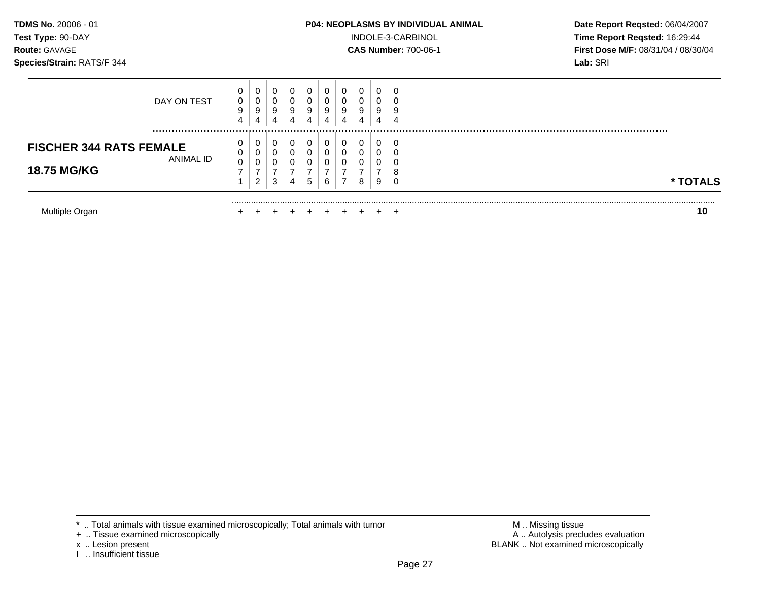## **TDMS No.** 20006 - 01 **P04: NEOPLASMS BY INDIVIDUAL ANIMAL** Date Report Reqsted: 06/04/2007

**Test Type:** 90-DAY INDOLE-3-CARBINOL **Time Report Reqsted:** 16:29:44 **Route: GAVAGE <b>CAS Number: 700-06-1 CAS Number: 700-06-1 First Dose M/F: 08/31/04 / 08/30/04** 

| Multiple Organ                              |                  |                             |                  |        |                  |                  |                  |                  |   | ้าเ      |
|---------------------------------------------|------------------|-----------------------------|------------------|--------|------------------|------------------|------------------|------------------|---|----------|
| <b>18.75 MG/KG</b>                          | -                | U<br>ົ<br>$\epsilon$        | 3                | 4      | 5                | 6                | 8                | v<br>9           |   | * TOTALS |
| <b>FISCHER 344 RATS FEMALE</b><br>ANIMAL ID | 0<br>0<br>0      | $\mathbf{0}$<br>⌒<br>U<br>⌒ | O                |        | 0<br>0<br>0      | υ                | 0<br>0           | 0<br>U           |   |          |
| DAY ON TEST                                 | 0<br>0<br>9<br>4 | $\overline{0}$<br>υ<br>9    | 0<br>0<br>9<br>4 | g<br>4 | 0<br>0<br>9<br>4 | 0<br>U<br>9<br>4 | 0<br>0<br>9<br>4 | 0<br>U<br>9<br>4 | 4 |          |

x .. Lesion present<br>I .. Insufficient tissue

M .. Missing tissue<br>A .. Autolysis precludes evaluation BLANK .. Not examined microscopically

<sup>\* ..</sup> Total animals with tissue examined microscopically; Total animals with tumor + .. Tissue examined microscopically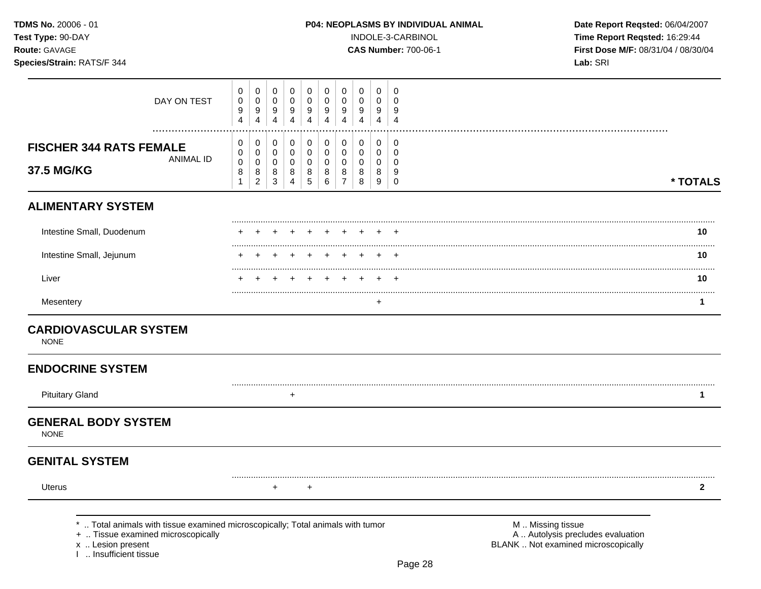| <b>TDMS No. 20006 - 01</b><br>Test Type: 90-DAY<br>Route: GAVAGE<br>Species/Strain: RATS/F 344 |               |                            |                       |        |                                 |                       |                                 |                  |                       |                       |                         | <b>P04: NEOPLASMS BY INDIVIDUAL ANIMAL</b><br>INDOLE-3-CARBINOL<br><b>CAS Number: 700-06-1</b> | Date Report Reqsted: 06/04/2007<br>Time Report Reqsted: 16:29:44<br>First Dose M/F: 08/31/04 / 08/30/04<br>Lab: SRI |
|------------------------------------------------------------------------------------------------|---------------|----------------------------|-----------------------|--------|---------------------------------|-----------------------|---------------------------------|------------------|-----------------------|-----------------------|-------------------------|------------------------------------------------------------------------------------------------|---------------------------------------------------------------------------------------------------------------------|
|                                                                                                | DAY ON TEST   | 0<br>$\mathbf 0$<br>9<br>4 | 0<br>0<br>9<br>4      | 0<br>9 | 0<br>0<br>9<br>4                | 0<br>0<br>9<br>4      | 0<br>9<br>4                     | 0<br>0<br>9<br>4 | 0<br>9<br>4           | 0<br>0<br>9<br>4      | 0<br>9                  |                                                                                                |                                                                                                                     |
| <b>FISCHER 344 RATS FEMALE</b><br>37.5 MG/KG                                                   | <br>ANIMAL ID | 0<br>0<br>$\mathbf 0$<br>8 | 0<br>0<br>0<br>8<br>2 | 8<br>3 | $\mathbf 0$<br>0<br>0<br>8<br>Δ | 0<br>0<br>0<br>8<br>5 | 0<br>0<br>$\mathbf 0$<br>8<br>6 | 0<br>0<br>0      | 0<br>0<br>0<br>8<br>8 | 0<br>0<br>0<br>8<br>9 | 0<br>0<br>9<br>$\Omega$ |                                                                                                | * TOTALS                                                                                                            |
| <b>ALIMENTARY SYSTEM</b>                                                                       |               |                            |                       |        |                                 |                       |                                 |                  |                       |                       |                         |                                                                                                |                                                                                                                     |
| Intestine Small, Duodenum                                                                      |               |                            |                       |        |                                 |                       |                                 |                  |                       |                       |                         |                                                                                                | 10                                                                                                                  |
| Intestine Small, Jejunum                                                                       |               |                            |                       |        |                                 |                       |                                 |                  |                       |                       |                         |                                                                                                | 10                                                                                                                  |
| Liver                                                                                          |               |                            |                       |        |                                 |                       |                                 |                  |                       |                       |                         |                                                                                                | 10                                                                                                                  |

Mesentery + **1** 

# **CARDIOVASCULAR SYSTEM**

NONE

# **ENDOCRINE SYSTEM**

Pituitary Gland

# **GENERAL BODY SYSTEM**

NONE

# **GENITAL SYSTEM**

Uterus

+ + **2** 

.. Total animals with tissue examined microscopically; Total animals with tumor **M** .. Missing tissue M .. Missing tissue<br>M .. Autolysis precludes evaluation .. And .. Autolysis precludes evaluation

+ .. Tissue examined microscopically

I .. Insufficient tissue

.........................................................................................................................................................................................................

.........................................................................................................................................................................................................

+ **1** 

x .. Lesion present **BLANK** .. Not examined microscopically

.........................................................................................................................................................................................................

**\* TOTALS**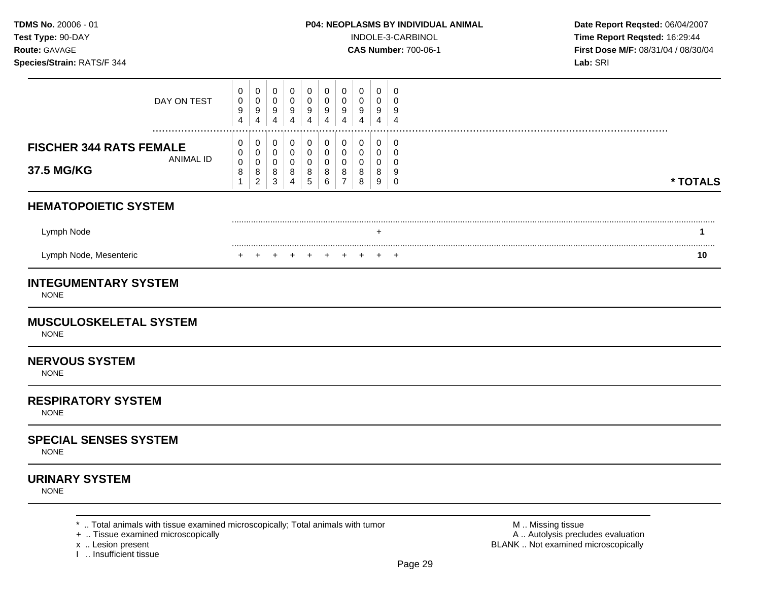**Test Type:** 90-DAY INDOLE-3-CARBINOL **Time Report Reqsted:** 16:29:44 **Route:** GAVAGE **CAS Number:** 700-06-1 **First Dose M/F:** 08/31/04 / 08/30/04

| 0<br>0<br>9<br>4                         | $\mathbf 0$<br>0<br>$\boldsymbol{9}$<br>$\overline{4}$ | $\mathbf 0$<br>$\mathsf 0$<br>9<br>$\overline{4}$ | $\mathbf 0$<br>$\mathbf 0$<br>$\boldsymbol{9}$<br>$\overline{4}$     | 0<br>0<br>9<br>4               | 0<br>0<br>9<br>4                      | $\mathbf 0$<br>0<br>9<br>4                   | $\mathbf 0$<br>$\Omega$<br>9<br>$\overline{\mathbf{4}}$ | 0<br>0<br>9<br>4                                       | $\mathbf 0$<br>$\mathbf 0$<br>9<br>$\overline{4}$   |  |          |
|------------------------------------------|--------------------------------------------------------|---------------------------------------------------|----------------------------------------------------------------------|--------------------------------|---------------------------------------|----------------------------------------------|---------------------------------------------------------|--------------------------------------------------------|-----------------------------------------------------|--|----------|
| 0<br>0<br>$\pmb{0}$<br>8<br>$\mathbf{1}$ | 0<br>0<br>0<br>8<br>$\sqrt{2}$                         | 0<br>0<br>0<br>8<br>$\sqrt{3}$                    | 0<br>$\mathsf{O}\xspace$<br>$\mathbf 0$<br>$\bf 8$<br>$\overline{4}$ | 0<br>0<br>0<br>8<br>$\sqrt{5}$ | 0<br>$\mathbf 0$<br>0<br>8<br>$\,6\,$ | 0<br>$\mathbf 0$<br>0<br>8<br>$\overline{7}$ | 0<br>$\mathbf 0$<br>0<br>8<br>8                         | $\pmb{0}$<br>$\mathbf 0$<br>0<br>8<br>$\boldsymbol{9}$ | 0<br>$\mathbf 0$<br>$\mathbf 0$<br>9<br>$\mathbf 0$ |  | * TOTALS |
|                                          |                                                        |                                                   |                                                                      |                                |                                       |                                              |                                                         |                                                        |                                                     |  |          |
|                                          |                                                        |                                                   |                                                                      |                                |                                       |                                              |                                                         |                                                        |                                                     |  | 1        |
|                                          |                                                        |                                                   |                                                                      |                                | $+$                                   |                                              |                                                         | $\pm$                                                  | $\pm$                                               |  | 10       |
|                                          |                                                        |                                                   |                                                                      |                                |                                       |                                              |                                                         |                                                        |                                                     |  |          |
|                                          |                                                        |                                                   |                                                                      |                                |                                       |                                              |                                                         |                                                        |                                                     |  |          |
|                                          |                                                        |                                                   |                                                                      |                                |                                       |                                              |                                                         |                                                        |                                                     |  |          |
|                                          |                                                        |                                                   |                                                                      |                                |                                       |                                              |                                                         |                                                        |                                                     |  |          |
|                                          |                                                        |                                                   |                                                                      |                                |                                       |                                              |                                                         |                                                        |                                                     |  |          |
|                                          |                                                        |                                                   |                                                                      |                                |                                       |                                              |                                                         |                                                        |                                                     |  |          |
|                                          |                                                        |                                                   |                                                                      |                                |                                       |                                              |                                                         |                                                        |                                                     |  |          |

- 
- x .. Lesion present<br>I .. Insufficient tissue
- 

A .. Autolysis precludes evaluation BLANK .. Not examined microscopically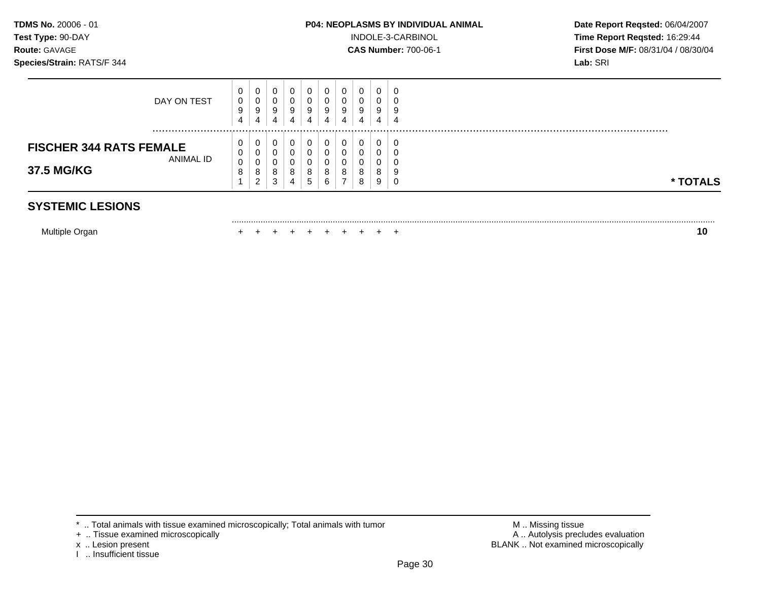.........................................................................................................................................................................................................

**Test Type:** 90-DAY INDOLE-3-CARBINOL **Time Report Reqsted:** 16:29:44 **Route: GAVAGE <b>CAS Number: 700-06-1 CAS Number: 700-06-1 First Dose M/F: 08/31/04 / 08/30/04** 

| <b>FISCHER 344 RATS FEMALE</b><br>ANIMAL ID<br>37.5 MG/KG | υ<br>U<br>0<br>o | 0<br>0<br>0<br>8<br>ົ<br>∠ | 0<br>0<br>0<br>8<br>3 | $\circ$<br>o<br>4 | 0<br>0<br>0<br>8<br>. 5 | 0<br>υ<br>8<br>6 | 8           | 0<br>0<br>8<br>8 | 8<br>9      | C<br>v<br>9<br>υ | * TOTALS |
|-----------------------------------------------------------|------------------|----------------------------|-----------------------|-------------------|-------------------------|------------------|-------------|------------------|-------------|------------------|----------|
| DAY ON TEST                                               | U<br>0<br>9<br>4 | 0<br>0<br>9<br>4           | 0<br>0<br>9<br>4      | 9<br>4            | 0<br>0<br>9<br>4        | U<br>υ<br>9<br>4 | u<br>9<br>д | 0<br>0<br>9<br>4 | ີ<br>9<br>4 | 0<br>v<br>9<br>4 |          |

# **SYSTEMIC LESIONS**

Multiple Organ + + + + + + + + + + **10** 

- + .. Tissue examined microscopically
- 
- I .. Insufficient tissue

\* .. Total animals with tissue examined microscopically; Total animals with tumor **M** . Missing tissue M .. Missing tissue<br>
+ .. Tissue examined microscopically x .. Lesion present **BLANK** .. Not examined microscopically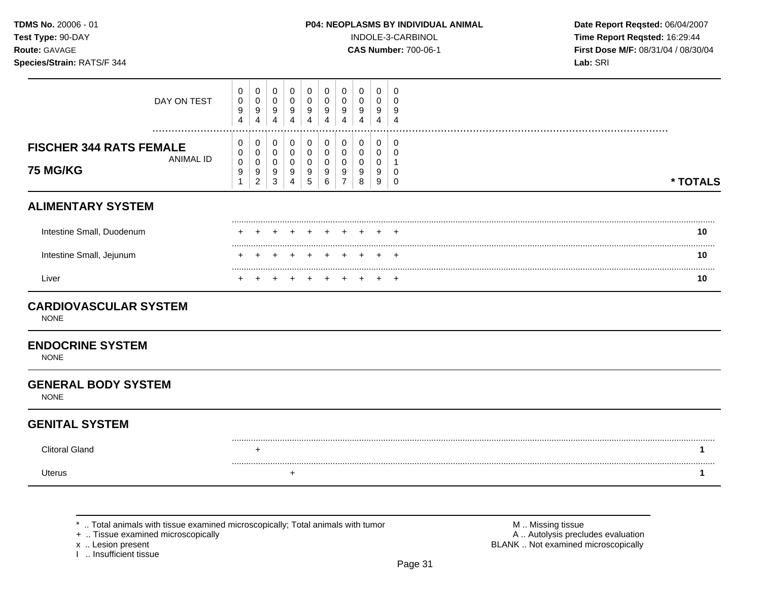| <b>TDMS No.</b> 20006 - 01 |
|----------------------------|
| Test Type: 90-DAY          |
| <b>Route: GAVAGE</b>       |

INDOLE-3-CARBINOL **Time Report Reqsted:** 16:29:44 **Route:** GAVAGE **CAS Number:** 700-06-1 **First Dose M/F:** 08/31/04 / 08/30/04

| DAY ON TEST                                                           | 0<br>0<br>9<br>$\overline{4}$ | 0<br>$\mathbf 0$<br>9<br>$\overline{4}$    | 0<br>$\mathbf 0$<br>9<br>4                 | 0<br>$\mathbf 0$<br>9<br>4                 | 0<br>0<br>9<br>4                        | 0<br>0<br>9           | 0<br>$\Omega$<br>9                           | 0<br>0<br>9<br>$\Delta$         | 0<br>0<br>9<br>4      | 0<br>$\Omega$<br>9<br>$\overline{4}$  |          |
|-----------------------------------------------------------------------|-------------------------------|--------------------------------------------|--------------------------------------------|--------------------------------------------|-----------------------------------------|-----------------------|----------------------------------------------|---------------------------------|-----------------------|---------------------------------------|----------|
| <b>FISCHER 344 RATS FEMALE</b><br><b>ANIMAL ID</b><br><b>75 MG/KG</b> | 0<br>0<br>$\pmb{0}$<br>9<br>1 | 0<br>0<br>$\pmb{0}$<br>9<br>$\overline{c}$ | 0<br>0<br>$\mathbf 0$<br>9<br>$\mathbf{3}$ | 0<br>0<br>$\pmb{0}$<br>9<br>$\overline{4}$ | 0<br>0<br>$\pmb{0}$<br>9<br>$\,$ 5 $\,$ | 0<br>0<br>0<br>9<br>6 | 0<br>0<br>$\mathbf 0$<br>9<br>$\overline{7}$ | 0<br>0<br>$\mathbf 0$<br>9<br>8 | 0<br>0<br>0<br>9<br>9 | 0<br>$\Omega$<br>$\Omega$<br>$\Omega$ | * TOTALS |
| <b>ALIMENTARY SYSTEM</b>                                              |                               |                                            |                                            |                                            |                                         |                       |                                              |                                 |                       |                                       |          |
| Intestine Small, Duodenum                                             |                               |                                            |                                            |                                            |                                         |                       |                                              |                                 |                       | +                                     | 10       |
| Intestine Small, Jejunum                                              |                               |                                            |                                            |                                            |                                         |                       |                                              |                                 |                       | $\div$                                | 10       |
| Liver                                                                 |                               |                                            |                                            |                                            |                                         |                       |                                              |                                 |                       | $\div$                                | 10       |
| <b>CARDIOVASCULAR SYSTEM</b><br><b>NONE</b>                           |                               |                                            |                                            |                                            |                                         |                       |                                              |                                 |                       |                                       |          |
| <b>ENDOCRINE SYSTEM</b><br><b>NONE</b>                                |                               |                                            |                                            |                                            |                                         |                       |                                              |                                 |                       |                                       |          |
| <b>GENERAL BODY SYSTEM</b><br><b>NONE</b>                             |                               |                                            |                                            |                                            |                                         |                       |                                              |                                 |                       |                                       |          |
| <b>GENITAL SYSTEM</b>                                                 |                               |                                            |                                            |                                            |                                         |                       |                                              |                                 |                       |                                       |          |
| <b>Clitoral Gland</b>                                                 |                               | $\ddot{}$                                  |                                            |                                            |                                         |                       |                                              |                                 |                       |                                       | 1        |
| <b>Uterus</b>                                                         |                               |                                            |                                            | +                                          |                                         |                       |                                              |                                 |                       |                                       | 1        |

\* .. Total animals with tissue examined microscopically; Total animals with tumor + .. Tissue examined microscopically

x .. Lesion present<br>I .. Insufficient tissue

M .. Missing tissue<br>A .. Autolysis precludes evaluation BLANK .. Not examined microscopically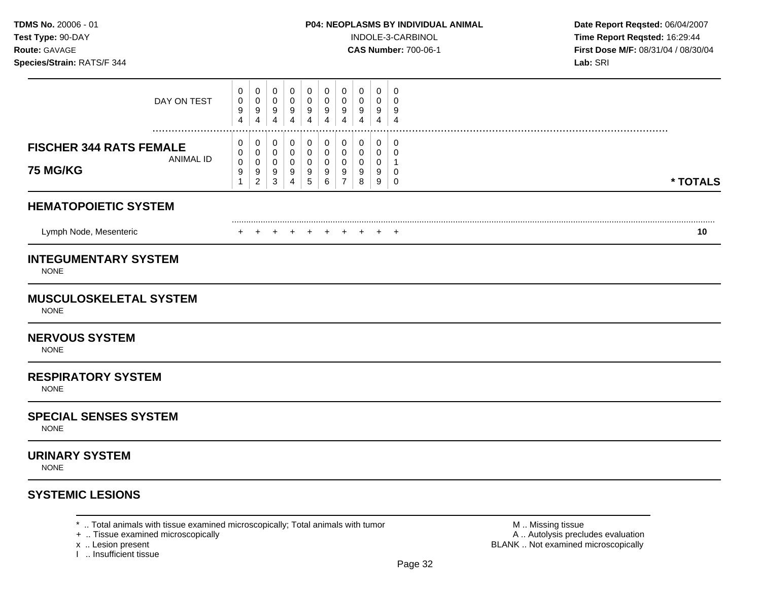**Test Type:** 90-DAY INDOLE-3-CARBINOL **Time Report Reqsted:** 16:29:44 **Route:** GAVAGE **CAS Number:** 700-06-1 **First Dose M/F:** 08/31/04 / 08/30/04

| DAY ON TEST                                                                | 0<br>0<br>9<br>$\overline{\mathbf{4}}$   | 0<br>0<br>9<br>$\overline{4}$                         | 0<br>0<br>9<br>$\overline{4}$                 | 0<br>0<br>$\boldsymbol{9}$<br>$\overline{4}$                   | 0<br>0<br>9<br>$\overline{4}$                            | 0<br>0<br>9<br>$\overline{4}$        | 0<br>0<br>9<br>4                           | 0<br>0<br>9<br>4      | 0<br>0<br>9<br>$\overline{4}$                            | 0<br>$\Omega$<br>9<br>$\overline{4}$       |          |
|----------------------------------------------------------------------------|------------------------------------------|-------------------------------------------------------|-----------------------------------------------|----------------------------------------------------------------|----------------------------------------------------------|--------------------------------------|--------------------------------------------|-----------------------|----------------------------------------------------------|--------------------------------------------|----------|
| .<br><b>FISCHER 344 RATS FEMALE</b><br><b>ANIMAL ID</b><br><b>75 MG/KG</b> | 0<br>0<br>$\pmb{0}$<br>9<br>$\mathbf{1}$ | 0<br>0<br>$\pmb{0}$<br>$\boldsymbol{9}$<br>$\sqrt{2}$ | 0<br>0<br>$\boldsymbol{0}$<br>9<br>$\sqrt{3}$ | $\pmb{0}$<br>$\mathbf 0$<br>$\mathbf 0$<br>9<br>$\overline{4}$ | $\pmb{0}$<br>$\mathbf 0$<br>$\pmb{0}$<br>9<br>$\sqrt{5}$ | 0<br>0<br>$\boldsymbol{0}$<br>9<br>6 | $\pmb{0}$<br>0<br>0<br>9<br>$\overline{7}$ | 0<br>0<br>0<br>9<br>8 | $\mathbf 0$<br>0<br>$\mathbf 0$<br>9<br>$\boldsymbol{9}$ | 0<br>$\mathbf 0$<br>-1<br>0<br>$\mathbf 0$ | * TOTALS |
| <b>HEMATOPOIETIC SYSTEM</b>                                                |                                          |                                                       |                                               |                                                                |                                                          |                                      |                                            |                       |                                                          |                                            |          |
| Lymph Node, Mesenteric                                                     | $\pm$                                    |                                                       | $^{+}$                                        | $\overline{+}$                                                 | $^{+}$                                                   | $\pm$                                | ÷                                          |                       | $\div$                                                   | $^+$                                       | 10       |
| <b>INTEGUMENTARY SYSTEM</b><br><b>NONE</b>                                 |                                          |                                                       |                                               |                                                                |                                                          |                                      |                                            |                       |                                                          |                                            |          |
| <b>MUSCULOSKELETAL SYSTEM</b><br><b>NONE</b>                               |                                          |                                                       |                                               |                                                                |                                                          |                                      |                                            |                       |                                                          |                                            |          |
| <b>NERVOUS SYSTEM</b><br><b>NONE</b>                                       |                                          |                                                       |                                               |                                                                |                                                          |                                      |                                            |                       |                                                          |                                            |          |
| <b>RESPIRATORY SYSTEM</b><br><b>NONE</b>                                   |                                          |                                                       |                                               |                                                                |                                                          |                                      |                                            |                       |                                                          |                                            |          |
| <b>SPECIAL SENSES SYSTEM</b><br><b>NONE</b>                                |                                          |                                                       |                                               |                                                                |                                                          |                                      |                                            |                       |                                                          |                                            |          |
| <b>URINARY SYSTEM</b><br><b>NONE</b>                                       |                                          |                                                       |                                               |                                                                |                                                          |                                      |                                            |                       |                                                          |                                            |          |
|                                                                            |                                          |                                                       |                                               |                                                                |                                                          |                                      |                                            |                       |                                                          |                                            |          |

\* .. Total animals with tissue examined microscopically; Total animals with tumor  $\blacksquare$  M .. Missing tissue<br>
+ .. Tissue examined microscopically<br>
+ .. Tissue examined microscopically

- 
- 
- x .. Lesion present<br>I .. Insufficient tissue

A .. Autolysis precludes evaluation BLANK .. Not examined microscopically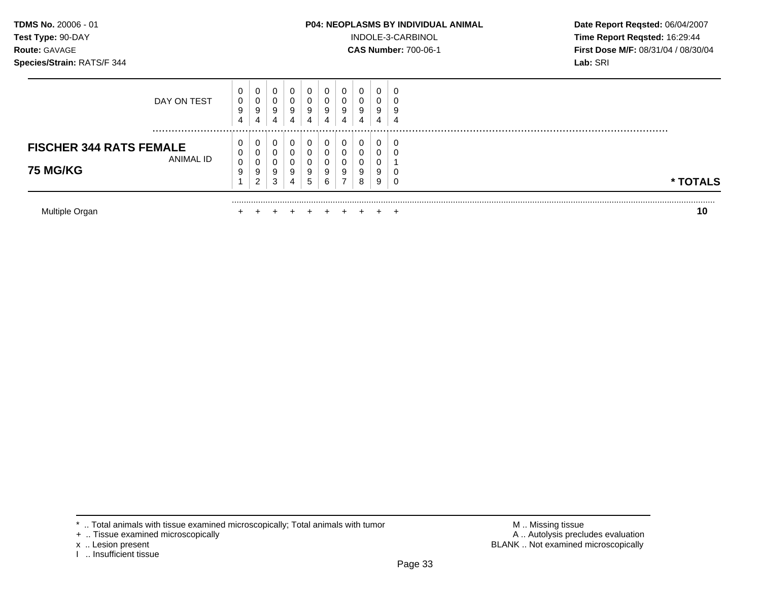## **TDMS No.** 20006 - 01 **P04: NEOPLASMS BY INDIVIDUAL ANIMAL** Date Report Reqsted: 06/04/2007

**Test Type:** 90-DAY INDOLE-3-CARBINOL **Time Report Reqsted:** 16:29:44 **Route: GAVAGE <b>CAS Number: 700-06-1 CAS Number: 700-06-1 First Dose M/F: 08/31/04 / 08/30/04** 

|                                                                                                                                                                                     | ้าเ      |
|-------------------------------------------------------------------------------------------------------------------------------------------------------------------------------------|----------|
| 0<br>0<br>U<br>J<br>9<br>9<br>9<br>9<br>9<br>9<br>9<br>9<br>ົ<br>-<br>8<br>3<br>9<br>6<br>4<br>b<br>∠                                                                               | * TOTALS |
| 0<br>0<br>0<br>Ü<br>υ<br>υ<br><b>FISCHER 344 RATS FEMALE</b><br>0<br>0<br>0<br>υ<br>ANIMAL ID                                                                                       |          |
| 0<br>0<br>0<br>0<br>0<br>υ<br>υ<br>0<br>DAY ON TEST<br>0<br>O<br>υ<br>J<br>υ<br>υ<br>9<br>9<br>9<br>9<br>9<br>9<br>9<br>9<br>4<br>4<br>4<br>4<br>4<br>4<br>$\overline{a}$<br>4<br>4 |          |

<sup>\* ..</sup> Total animals with tissue examined microscopically; Total animals with tumor + .. Tissue examined microscopically

x .. Lesion present<br>I .. Insufficient tissue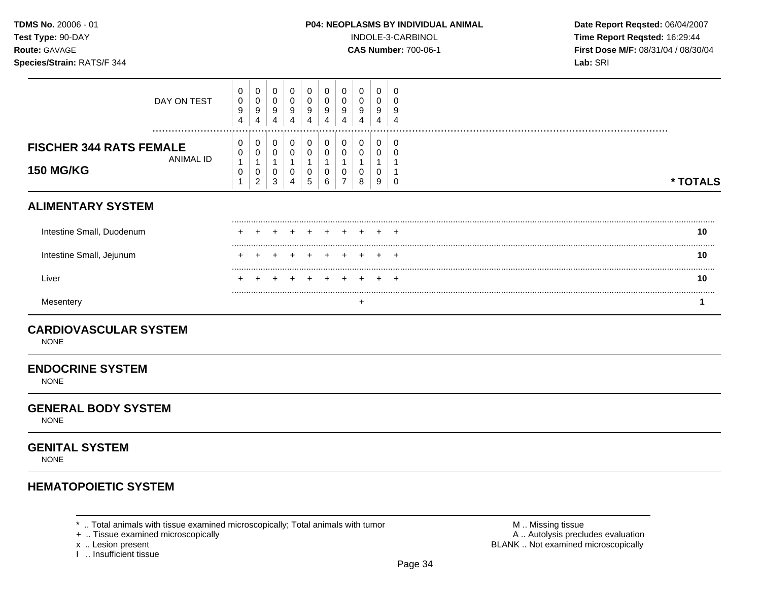**Test Type:** 90-DAY INDOLE-3-CARBINOL **Time Report Reqsted:** 16:29:44 **Route:** GAVAGE **CAS Number:** 700-06-1 **First Dose M/F:** 08/31/04 / 08/30/04

| <b>ENDOCRINE SYSTEM</b><br><b>NONE</b>                                 |                                  |                               |                                  |                               |                  |                  |                  |                  |                  |                               |          |
|------------------------------------------------------------------------|----------------------------------|-------------------------------|----------------------------------|-------------------------------|------------------|------------------|------------------|------------------|------------------|-------------------------------|----------|
| <b>CARDIOVASCULAR SYSTEM</b><br><b>NONE</b>                            |                                  |                               |                                  |                               |                  |                  |                  |                  |                  |                               |          |
| Mesentery                                                              |                                  |                               |                                  |                               |                  |                  |                  | +                |                  |                               | 1        |
| Liver                                                                  |                                  |                               |                                  |                               |                  |                  |                  |                  |                  |                               | 10       |
| Intestine Small, Jejunum                                               |                                  |                               |                                  |                               |                  |                  |                  |                  |                  | +                             | 10       |
| Intestine Small, Duodenum                                              |                                  |                               |                                  |                               |                  |                  |                  |                  |                  |                               | 10       |
| <b>ALIMENTARY SYSTEM</b>                                               |                                  |                               |                                  |                               |                  |                  |                  |                  |                  |                               |          |
| <b>FISCHER 344 RATS FEMALE</b><br><b>ANIMAL ID</b><br><b>150 MG/KG</b> | 0<br>0<br>$\mathbf{1}$<br>0<br>1 | 0<br>0<br>0<br>$\overline{c}$ | 0<br>0<br>1<br>0<br>$\mathbf{3}$ | 0<br>$\pmb{0}$<br>1<br>0<br>4 | 0<br>0<br>0<br>5 | 0<br>0<br>0<br>6 | 0<br>0           | 0<br>0<br>0<br>8 | 0<br>0<br>0<br>9 | 0<br>Ω<br>0                   | * TOTALS |
| DAY ON TEST                                                            | 0<br>0<br>9<br>4                 | 0<br>$\pmb{0}$<br>9<br>4      | 0<br>0<br>9<br>4                 | 0<br>$\pmb{0}$<br>9<br>4      | 0<br>0<br>9<br>4 | 0<br>0<br>9<br>4 | 0<br>0<br>9<br>4 | 0<br>0<br>9<br>4 | 0<br>0<br>9<br>4 | 0<br>0<br>9<br>$\overline{4}$ |          |

NONE

# **GENITAL SYSTEM**

NONE

# **HEMATOPOIETIC SYSTEM**

\* .. Total animals with tissue examined microscopically; Total animals with tumor <br>
+ .. Tissue examined microscopically<br>
+ .. Tissue examined microscopically

+ .. Tissue examined microscopically

I .. Insufficient tissue

x .. Lesion present **BLANK** .. Not examined microscopically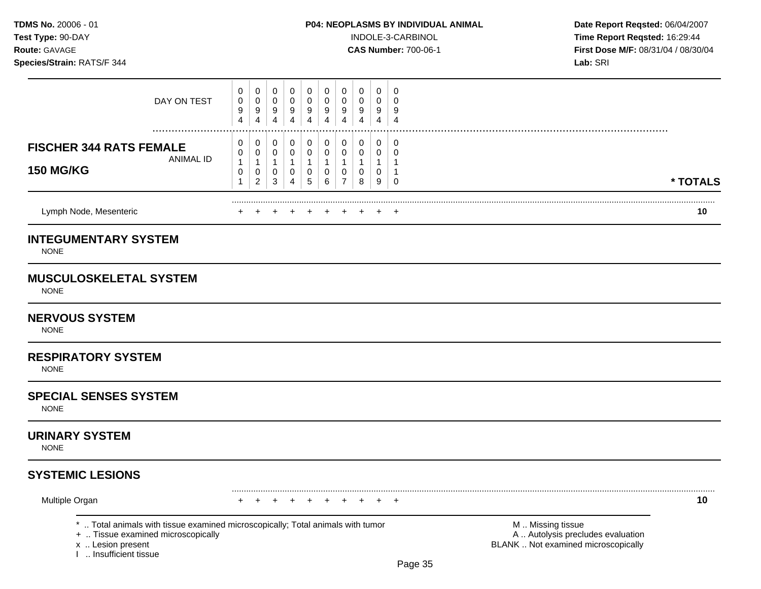#### **TDMS No.** 20006 - 01 **P04: NEOPLASMS BY INDIVIDUAL ANIMAL Date Report Reqsted:** 06/04/2007

**Test Type:**  $90-DAY$  **INDOLE-3-CARBINOL Time Report Reqsted: 16:29:44 Route:** GAVAGE **CAS Number:** 700-06-1 **First Dose M/F:** 08/31/04 / 08/30/04

| Lymph Node, Mesenteric<br><b>INTEGUMENTARY SYSTEM</b>           | $+$<br>$+$ $+$<br>$+$<br>÷<br>$+$<br>$+$<br>÷                                                                                                                                                                | 10       |
|-----------------------------------------------------------------|--------------------------------------------------------------------------------------------------------------------------------------------------------------------------------------------------------------|----------|
| <b>FISCHER 344 RATS FEMALE</b><br>ANIMAL ID<br><b>150 MG/KG</b> | 0<br>0<br>0<br>0<br>0<br>0<br>0<br>0<br>$\mathbf 0$<br>0<br>0<br>0<br>0<br>0<br>0<br>u<br>$\boldsymbol{A}$<br>0<br>0<br>0<br>0<br>0<br>0<br>0<br>0<br>$\overline{2}$<br>5<br>3<br>6<br>⇁<br>9<br>8<br>0<br>4 | * TOTALS |
| DAY ON TEST<br>                                                 | 0<br>0<br>0<br>$\mathbf{0}$<br>0<br>0<br>0<br>U<br>0<br>0<br>0<br>0<br>0<br>0<br>0<br>0<br>0<br>u<br>9<br>9<br>9<br>9<br>9<br>9<br>9<br>9<br>9<br>9<br>4<br>4<br>4<br>4<br>4<br>4<br>4                       |          |

# **MUSCULOSKELETAL SYSTEM**

NONE

#### **NERVOUS SYSTEM**

NONE

# **RESPIRATORY SYSTEM**

NONE

# **SPECIAL SENSES SYSTEM**

NONE

# **URINARY SYSTEM**

NONE

# **SYSTEMIC LESIONS**

Multiple Organ + + + + + + + + + + **10** 

\* .. Total animals with tissue examined microscopically; Total animals with tumor **M** . Missing tissue M .. Missing tissue<br>  $\blacksquare$  . Tissue examined microscopically<br>  $\blacksquare$  . Autolysis precludes evaluation

+ .. Tissue examined microscopically

I .. Insufficient tissue

x .. Lesion present **BLANK** .. Not examined microscopically

.........................................................................................................................................................................................................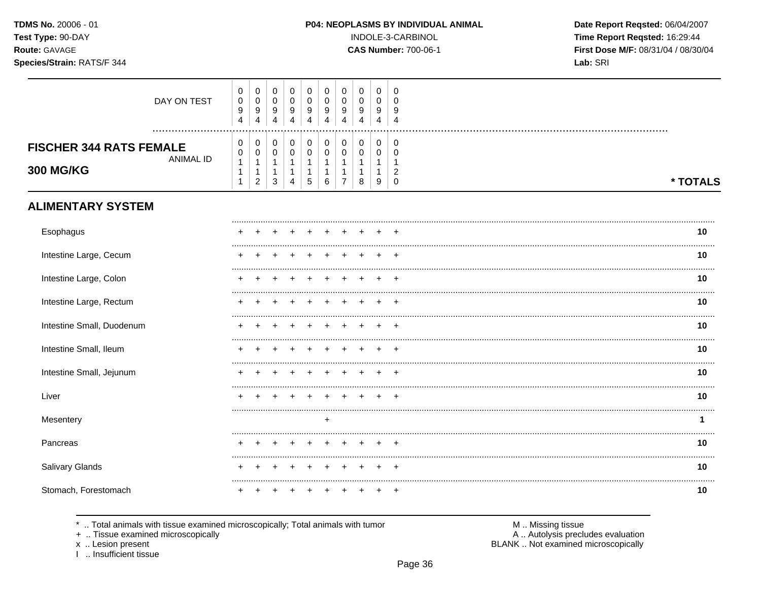TDMS No. 20006 - 01 Test Type: 90-DAY Route: GAVAGE

### Species/Strain: RATS/F 344

INDOLE-3-CARBINOL

**CAS Number: 700-06-1** 

Date Report Reqsted: 06/04/2007 Time Report Reqsted: 16:29:44 First Dose M/F: 08/31/04 / 08/30/04 Lab: SRI

| DAY ON TEST                                                            | 0<br>$\pmb{0}$<br>$\boldsymbol{9}$<br>$\overline{4}$           | 0<br>$\pmb{0}$<br>9<br>4                             | $\mathbf 0$<br>$\mathsf 0$<br>9<br>$\overline{4}$             | $\mathbf 0$<br>$\pmb{0}$<br>9<br>4                               | 0<br>$\mathbf 0$<br>9<br>4                                 | 0<br>$\mathbf 0$<br>9<br>4 | 0<br>$\mathbf 0$<br>9<br>4                   | $\mathbf 0$<br>$\pmb{0}$<br>9<br>$\overline{4}$ | 0<br>0<br>9<br>4                           | 0<br>$\Omega$<br>9<br>$\overline{4}$           |          |
|------------------------------------------------------------------------|----------------------------------------------------------------|------------------------------------------------------|---------------------------------------------------------------|------------------------------------------------------------------|------------------------------------------------------------|----------------------------|----------------------------------------------|-------------------------------------------------|--------------------------------------------|------------------------------------------------|----------|
| <b>FISCHER 344 RATS FEMALE</b><br><b>ANIMAL ID</b><br><b>300 MG/KG</b> | 0<br>$\pmb{0}$<br>$\mathbf{1}$<br>$\mathbf{1}$<br>$\mathbf{1}$ | 0<br>$\mathsf{O}\xspace$<br>1<br>1<br>$\overline{2}$ | 0<br>$\mathsf{O}\xspace$<br>1<br>$\mathbf{1}$<br>$\mathbf{3}$ | 0<br>$\pmb{0}$<br>$\mathbf{1}$<br>$\mathbf{1}$<br>$\overline{4}$ | 0<br>$\mathsf{O}\xspace$<br>1<br>$\mathbf 1$<br>$\sqrt{5}$ | 0<br>$\mathbf 0$<br>1<br>6 | 0<br>$\mathbf 0$<br>1<br>1<br>$\overline{7}$ | $\pmb{0}$<br>$\pmb{0}$<br>8                     | 0<br>$\mathbf 0$<br>$\mathbf{1}$<br>1<br>9 | 0<br>$\mathbf 0$<br>$\overline{2}$<br>$\Omega$ | * TOTALS |
| <b>ALIMENTARY SYSTEM</b>                                               |                                                                |                                                      |                                                               |                                                                  |                                                            |                            |                                              |                                                 |                                            |                                                |          |
| Esophagus                                                              |                                                                |                                                      |                                                               |                                                                  |                                                            |                            |                                              |                                                 |                                            |                                                | 10       |
| Intestine Large, Cecum                                                 |                                                                |                                                      |                                                               |                                                                  |                                                            |                            |                                              |                                                 |                                            |                                                | 10       |
| Intestine Large, Colon                                                 |                                                                |                                                      |                                                               |                                                                  |                                                            |                            |                                              |                                                 |                                            |                                                | 10       |
| Intestine Large, Rectum                                                |                                                                |                                                      |                                                               |                                                                  |                                                            |                            |                                              |                                                 |                                            | $\ddot{}$                                      | 10       |
| Intestine Small, Duodenum                                              |                                                                |                                                      |                                                               |                                                                  |                                                            |                            |                                              |                                                 |                                            |                                                | 10       |
| Intestine Small, Ileum                                                 |                                                                |                                                      |                                                               |                                                                  |                                                            |                            |                                              |                                                 |                                            |                                                | 10       |
| Intestine Small, Jejunum                                               |                                                                |                                                      |                                                               |                                                                  |                                                            |                            |                                              |                                                 |                                            |                                                | 10       |
| Liver                                                                  |                                                                |                                                      |                                                               |                                                                  |                                                            |                            |                                              |                                                 |                                            |                                                | 10       |
| Mesentery                                                              |                                                                |                                                      |                                                               |                                                                  |                                                            | $\ddot{}$                  |                                              |                                                 |                                            |                                                | 1        |
| Pancreas                                                               |                                                                |                                                      |                                                               |                                                                  |                                                            |                            |                                              |                                                 |                                            |                                                | 10       |
| Salivary Glands                                                        |                                                                |                                                      |                                                               |                                                                  |                                                            |                            |                                              |                                                 |                                            |                                                | 10       |
| Stomach, Forestomach                                                   |                                                                |                                                      |                                                               |                                                                  |                                                            |                            |                                              |                                                 |                                            |                                                | 10       |

\* .. Total animals with tissue examined microscopically; Total animals with tumor

+ .. Tissue examined microscopically

x .. Lesion present<br>I .. Insufficient tissue

M .. Missing tissue A .. Autolysis precludes evaluation

BLANK .. Not examined microscopically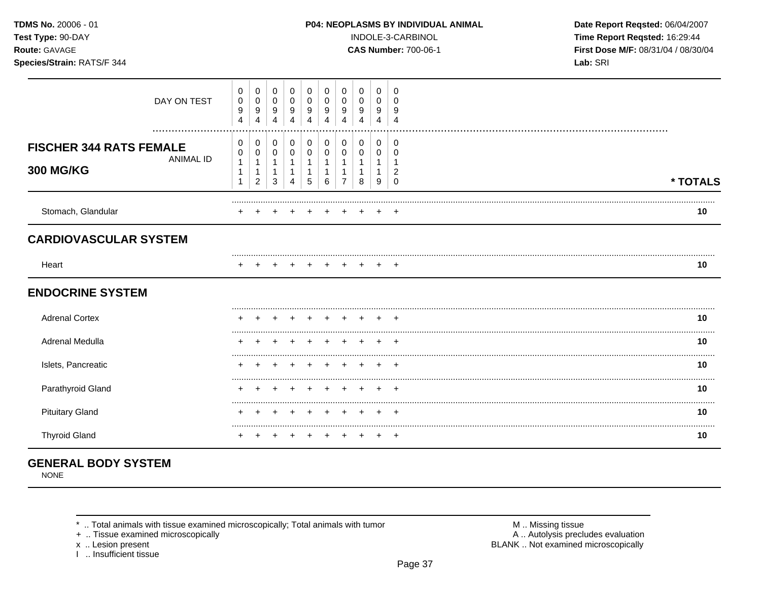| TDMS No. 20006 - 01<br>Test Type: 90-DAY<br>Route: GAVAGE<br>Species/Strain: RATS/F 344 |                  |             |                                         |                                 |                     |                     |   |                            |                          |               | <b>P04: NEOPLASMS BY INDIVIDUAL ANIMAL</b><br>INDOLE-3-CARBINOL<br><b>CAS Number: 700-06-1</b> | Date Report Reqsted: 06/04/2007<br>Time Report Reqsted: 16:29:44<br>First Dose M/F: 08/31/04 / 08/30/04<br>Lab: SRI |
|-----------------------------------------------------------------------------------------|------------------|-------------|-----------------------------------------|---------------------------------|---------------------|---------------------|---|----------------------------|--------------------------|---------------|------------------------------------------------------------------------------------------------|---------------------------------------------------------------------------------------------------------------------|
| DAY ON TEST                                                                             | 0<br>0<br>9<br>4 | 0<br>9<br>4 | 0<br>$\pmb{0}$<br>$\boldsymbol{9}$<br>4 | 0<br>0<br>$\boldsymbol{9}$<br>4 | $\pmb{0}$<br>9<br>4 | $\pmb{0}$<br>9<br>4 | 9 | 0<br>$\boldsymbol{9}$<br>4 | 0<br>$\pmb{0}$<br>9<br>4 | 9             |                                                                                                |                                                                                                                     |
| <br><b>FISCHER 344 RATS FEMALE</b><br><b>ANIMAL ID</b><br><b>300 MG/KG</b>              | 0<br>0<br>1      | 2           | 0<br>0<br>3                             | 0<br>0<br>4                     | 0<br>$\Omega$<br>5  | 0<br>0<br>6         | ⇁ | 0<br>0<br>8                | 0<br>0<br>9              | $\Omega$<br>2 |                                                                                                | * TOTAL                                                                                                             |
| Stomach, Glandular                                                                      |                  |             |                                         |                                 |                     |                     |   |                            |                          | $+$           |                                                                                                | 10                                                                                                                  |
| <b>CARDIOVASCULAR SYSTEM</b>                                                            |                  |             |                                         |                                 |                     |                     |   |                            |                          |               |                                                                                                |                                                                                                                     |
| Heart                                                                                   |                  |             |                                         |                                 |                     |                     |   |                            |                          | $+$           |                                                                                                | 10                                                                                                                  |

| <b>Adrenal Cortex</b>  |  |  |  |  |  | 10 |
|------------------------|--|--|--|--|--|----|
| Adrenal Medulla        |  |  |  |  |  | 10 |
| Islets, Pancreatic     |  |  |  |  |  | 10 |
| Parathyroid Gland      |  |  |  |  |  | 10 |
| <b>Pituitary Gland</b> |  |  |  |  |  | 10 |
| <b>Thyroid Gland</b>   |  |  |  |  |  | 10 |

# **GENERAL BODY SYSTEM**

**NONE** 

\* .. Total animals with tissue examined microscopically; Total animals with tumor

+ .. Tissue examined microscopically

x .. Lesion present<br>I .. Insufficient tissue

M .. Missing tissue A .. Autolysis precludes evaluation BLANK .. Not examined microscopically

\* TOTALS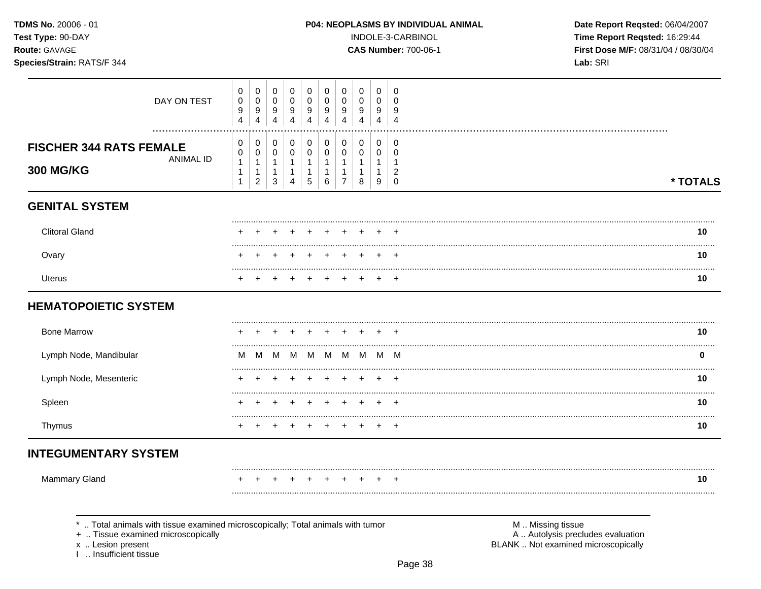| <b>TDMS No. 20006 - 01</b> |  |
|----------------------------|--|
| Test Type: 90-DAY          |  |
| <b>Route: GAVAGE</b>       |  |

#### Species/Strain: RATS/F 344

INDOLE-3-CARBINOL

**CAS Number: 700-06-1** 

Date Report Reqsted: 06/04/2007 Time Report Reqsted: 16:29:44 First Dose M/F: 08/31/04 / 08/30/04 Lab: SRI

| DAY ON TEST                                                                     | $\pmb{0}$<br>$\pmb{0}$<br>9<br>4                       | $\boldsymbol{0}$<br>$\boldsymbol{0}$<br>9<br>$\overline{4}$  | $\mathbf 0$<br>$\mathsf{O}\xspace$<br>$\boldsymbol{9}$<br>$\overline{4}$ | $\mathbf 0$<br>$\pmb{0}$<br>$\boldsymbol{9}$<br>$\overline{4}$             | 0<br>$\mathbf 0$<br>9<br>$\overline{4}$                      | $\mathbf 0$<br>$\mathbf 0$<br>9<br>$\overline{4}$                   | 0<br>$\mathbf 0$<br>9<br>$\overline{4}$    | $\mathbf 0$<br>0<br>9<br>$\overline{4}$               | $\mathbf 0$<br>$\mathbf 0$<br>9<br>$\overline{4}$    | $\mathbf 0$<br>$\mathbf 0$<br>9<br>$\overline{4}$      |                   |          |
|---------------------------------------------------------------------------------|--------------------------------------------------------|--------------------------------------------------------------|--------------------------------------------------------------------------|----------------------------------------------------------------------------|--------------------------------------------------------------|---------------------------------------------------------------------|--------------------------------------------|-------------------------------------------------------|------------------------------------------------------|--------------------------------------------------------|-------------------|----------|
| .<br><b>FISCHER 344 RATS FEMALE</b><br><b>ANIMAL ID</b><br><b>300 MG/KG</b>     | 0<br>0<br>$\mathbf{1}$<br>$\mathbf{1}$<br>$\mathbf{1}$ | 0<br>$\pmb{0}$<br>$\mathbf{1}$<br>$\mathbf{1}$<br>$\sqrt{2}$ | 0<br>$\mathbf 0$<br>$\mathbf{1}$<br>$\mathbf{1}$<br>$\mathbf{3}$         | $\pmb{0}$<br>$\mathbf 0$<br>$\mathbf{1}$<br>$\mathbf{1}$<br>$\overline{4}$ | 0<br>$\pmb{0}$<br>$\mathbf{1}$<br>$\mathbf{1}$<br>$\sqrt{5}$ | $\pmb{0}$<br>$\mathbf 0$<br>$\mathbf{1}$<br>$\mathbf{1}$<br>$\,6\,$ | $\pmb{0}$<br>0<br>1<br>1<br>$\overline{7}$ | $\mathbf 0$<br>0<br>$\mathbf{1}$<br>$\mathbf{1}$<br>8 | $\mathbf 0$<br>$\mathbf 0$<br>1<br>$\mathbf{1}$<br>9 | 0<br>$\mathbf 0$<br>1<br>$\overline{2}$<br>$\mathbf 0$ |                   | * TOTALS |
| <b>GENITAL SYSTEM</b>                                                           |                                                        |                                                              |                                                                          |                                                                            |                                                              |                                                                     |                                            |                                                       |                                                      |                                                        |                   |          |
| <b>Clitoral Gland</b>                                                           |                                                        |                                                              |                                                                          |                                                                            |                                                              |                                                                     |                                            |                                                       |                                                      |                                                        |                   | 10       |
| Ovary                                                                           |                                                        |                                                              |                                                                          |                                                                            |                                                              |                                                                     |                                            |                                                       |                                                      | $\overline{ }$                                         |                   | 10       |
| <b>Uterus</b>                                                                   |                                                        |                                                              |                                                                          |                                                                            |                                                              |                                                                     |                                            |                                                       |                                                      |                                                        |                   | 10       |
| <b>HEMATOPOIETIC SYSTEM</b>                                                     |                                                        |                                                              |                                                                          |                                                                            |                                                              |                                                                     |                                            |                                                       |                                                      |                                                        |                   |          |
| <b>Bone Marrow</b>                                                              |                                                        |                                                              |                                                                          |                                                                            |                                                              |                                                                     |                                            |                                                       |                                                      | $\pm$                                                  |                   | 10       |
| Lymph Node, Mandibular                                                          | м                                                      | M                                                            | M                                                                        | M                                                                          | M                                                            | M                                                                   | M                                          | M                                                     | M                                                    | M                                                      |                   | 0        |
| Lymph Node, Mesenteric                                                          |                                                        |                                                              |                                                                          |                                                                            |                                                              |                                                                     |                                            |                                                       |                                                      |                                                        |                   | 10       |
| Spleen                                                                          |                                                        |                                                              |                                                                          |                                                                            |                                                              |                                                                     |                                            |                                                       |                                                      | +                                                      |                   | 10       |
| Thymus                                                                          |                                                        |                                                              |                                                                          |                                                                            |                                                              |                                                                     |                                            |                                                       |                                                      | $^{+}$                                                 |                   | 10       |
| <b>INTEGUMENTARY SYSTEM</b>                                                     |                                                        |                                                              |                                                                          |                                                                            |                                                              |                                                                     |                                            |                                                       |                                                      |                                                        |                   |          |
| Mammary Gland                                                                   |                                                        |                                                              |                                                                          |                                                                            |                                                              |                                                                     |                                            |                                                       |                                                      |                                                        |                   | 10       |
|                                                                                 |                                                        |                                                              |                                                                          |                                                                            |                                                              |                                                                     |                                            |                                                       |                                                      |                                                        |                   |          |
| *  Total animals with tissue examined microscopically; Total animals with tumor |                                                        |                                                              |                                                                          |                                                                            |                                                              |                                                                     |                                            |                                                       |                                                      |                                                        | M  Missing tissue |          |

+ .. Tissue examined microscopically

x .. Lesion present<br>I .. Insufficient tissue

A .. Autolysis precludes evaluation BLANK .. Not examined microscopically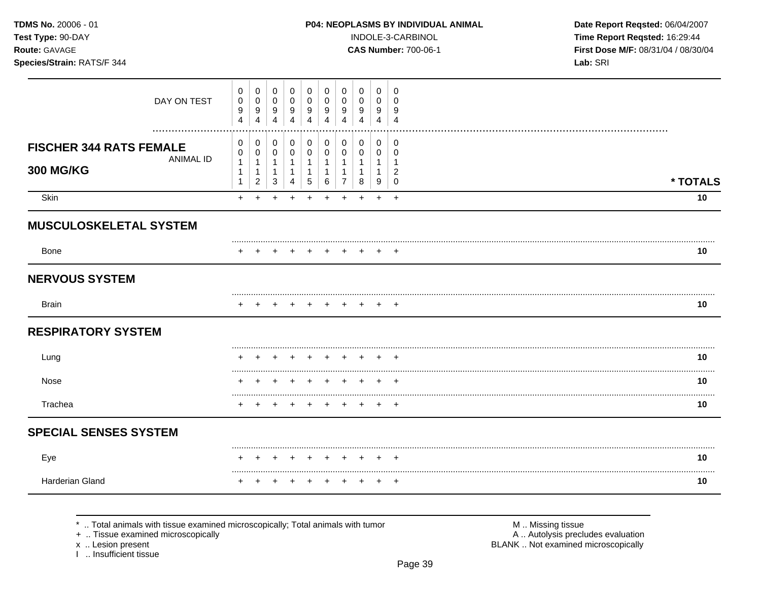| <b>TDMS No. 20006 - 01</b> |
|----------------------------|
| <b>Test Type: 90-DAY</b>   |
| <b>Route: GAVAGE</b>       |

#### Species/Strain: RATS/F 344

#### P04: NEOPLASMS BY INDIVIDUAL ANIMAL

INDOLE-3-CARBINOL

**CAS Number: 700-06-1** 

Date Report Reqsted: 06/04/2007 Time Report Reqsted: 16:29:44 First Dose M/F: 08/31/04 / 08/30/04 Lab: SRI

| DAY ON TEST                                                            | 0<br>0<br>9<br>$\overline{4}$                        | 0<br>0<br>9<br>4                              | 0<br>0<br>9<br>$\overline{4}$                      | 0<br>0<br>9<br>$\overline{4}$                                    | 0<br>0<br>9<br>4                                    | 0<br>0<br>9<br>$\overline{4}$             | 0<br>0<br>9<br>4                             | 0<br>0<br>9<br>4                          | 0<br>0<br>9<br>4                                   | 0<br>0<br>9<br>$\overline{4}$                                               |          |
|------------------------------------------------------------------------|------------------------------------------------------|-----------------------------------------------|----------------------------------------------------|------------------------------------------------------------------|-----------------------------------------------------|-------------------------------------------|----------------------------------------------|-------------------------------------------|----------------------------------------------------|-----------------------------------------------------------------------------|----------|
| <b>FISCHER 344 RATS FEMALE</b><br><b>ANIMAL ID</b><br><b>300 MG/KG</b> | 0<br>0<br>$\mathbf{1}$<br>$\mathbf 1$<br>$\mathbf 1$ | 0<br>0<br>$\mathbf{1}$<br>1<br>$\overline{c}$ | $\mathbf 0$<br>$\pmb{0}$<br>$\mathbf{1}$<br>1<br>3 | 0<br>$\pmb{0}$<br>$\mathbf{1}$<br>$\mathbf{1}$<br>$\overline{4}$ | 0<br>$\pmb{0}$<br>$\mathbf{1}$<br>$\mathbf{1}$<br>5 | $\mathbf 0$<br>$\mathsf 0$<br>1<br>1<br>6 | $\mathbf 0$<br>$\mathbf 0$<br>$\overline{7}$ | $\mathbf 0$<br>$\mathbf 0$<br>1<br>1<br>8 | $\mathbf 0$<br>$\pmb{0}$<br>$\mathbf{1}$<br>1<br>9 | $\mathbf 0$<br>$\mathbf 0$<br>$\mathbf{1}$<br>$\overline{2}$<br>$\mathbf 0$ | * TOTALS |
| Skin                                                                   | $+$                                                  | $+$                                           | $\div$                                             | $\ddot{}$                                                        | $\div$                                              | $\div$                                    | $+$                                          | $\div$                                    | $\ddot{}$                                          | $+$                                                                         | 10       |
| <b>MUSCULOSKELETAL SYSTEM</b>                                          |                                                      |                                               |                                                    |                                                                  |                                                     |                                           |                                              |                                           |                                                    |                                                                             |          |
| Bone                                                                   |                                                      |                                               |                                                    |                                                                  |                                                     |                                           |                                              |                                           |                                                    |                                                                             | 10       |
| <b>NERVOUS SYSTEM</b>                                                  |                                                      |                                               |                                                    |                                                                  |                                                     |                                           |                                              |                                           |                                                    |                                                                             |          |
| <b>Brain</b>                                                           |                                                      |                                               |                                                    |                                                                  |                                                     |                                           |                                              |                                           |                                                    |                                                                             | 10       |
| <b>RESPIRATORY SYSTEM</b>                                              |                                                      |                                               |                                                    |                                                                  |                                                     |                                           |                                              |                                           |                                                    |                                                                             |          |
| Lung                                                                   |                                                      |                                               |                                                    |                                                                  |                                                     |                                           |                                              |                                           |                                                    | $\div$                                                                      | 10       |
| Nose                                                                   |                                                      |                                               |                                                    |                                                                  |                                                     |                                           |                                              |                                           |                                                    | $\overline{ }$                                                              | <br>10   |
| Trachea                                                                |                                                      |                                               |                                                    |                                                                  |                                                     |                                           |                                              |                                           |                                                    | $^+$                                                                        | .<br>10  |
| <b>SPECIAL SENSES SYSTEM</b>                                           |                                                      |                                               |                                                    |                                                                  |                                                     |                                           |                                              |                                           |                                                    |                                                                             |          |
| Eye                                                                    | $\div$                                               | ÷                                             | +                                                  | $\pm$                                                            | $\overline{+}$                                      | $^+$                                      | $+$                                          | $+$                                       | $+$                                                | $^{+}$                                                                      | 10       |
| Harderian Gland                                                        |                                                      |                                               |                                                    |                                                                  |                                                     |                                           |                                              |                                           |                                                    | $^{+}$                                                                      | <br>10   |

\* .. Total animals with tissue examined microscopically; Total animals with tumor

+ .. Tissue examined microscopically

x .. Lesion present<br>I .. Insufficient tissue

M .. Missing tissue<br>A .. Autolysis precludes evaluation

BLANK .. Not examined microscopically